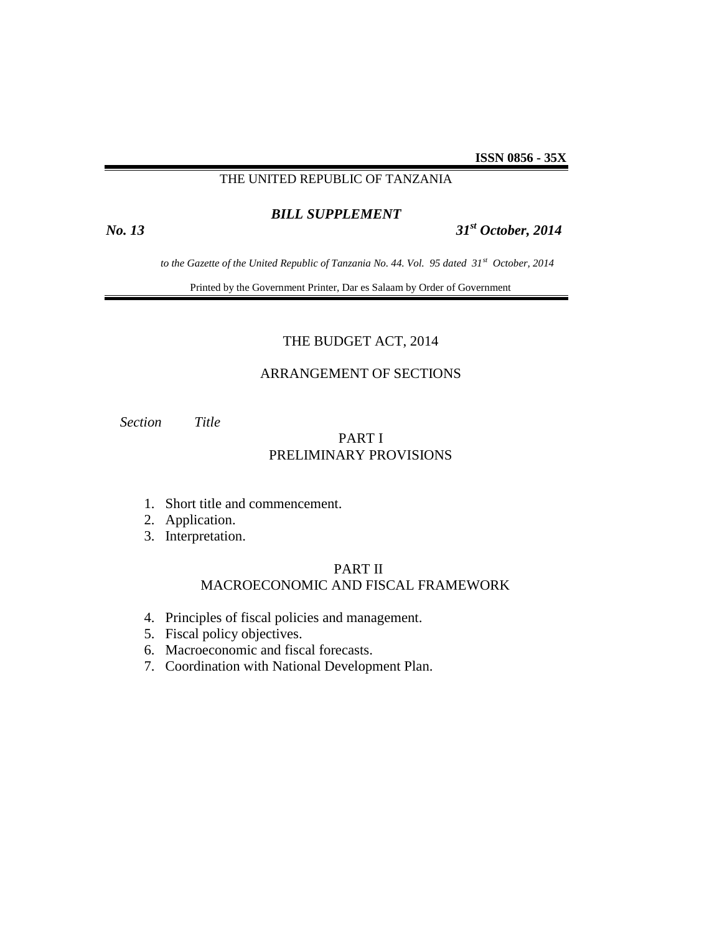## THE UNITED REPUBLIC OF TANZANIA

# *BILL SUPPLEMENT*

# *No. 13 31st October, 2014*

 *to the Gazette of the United Republic of Tanzania No. 44. Vol. 95 dated 31st October, 2014*

Printed by the Government Printer, Dar es Salaam by Order of Government

### THE BUDGET ACT, 2014

## ARRANGEMENT OF SECTIONS

 *Section Title*

# PART I PRELIMINARY PROVISIONS

- 1. Short title and commencement.
- 2. Application.
- 3. Interpretation.

## PART II MACROECONOMIC AND FISCAL FRAMEWORK

- 4. Principles of fiscal policies and management.
- 5. Fiscal policy objectives.
- 6. Macroeconomic and fiscal forecasts.
- 7. Coordination with National Development Plan.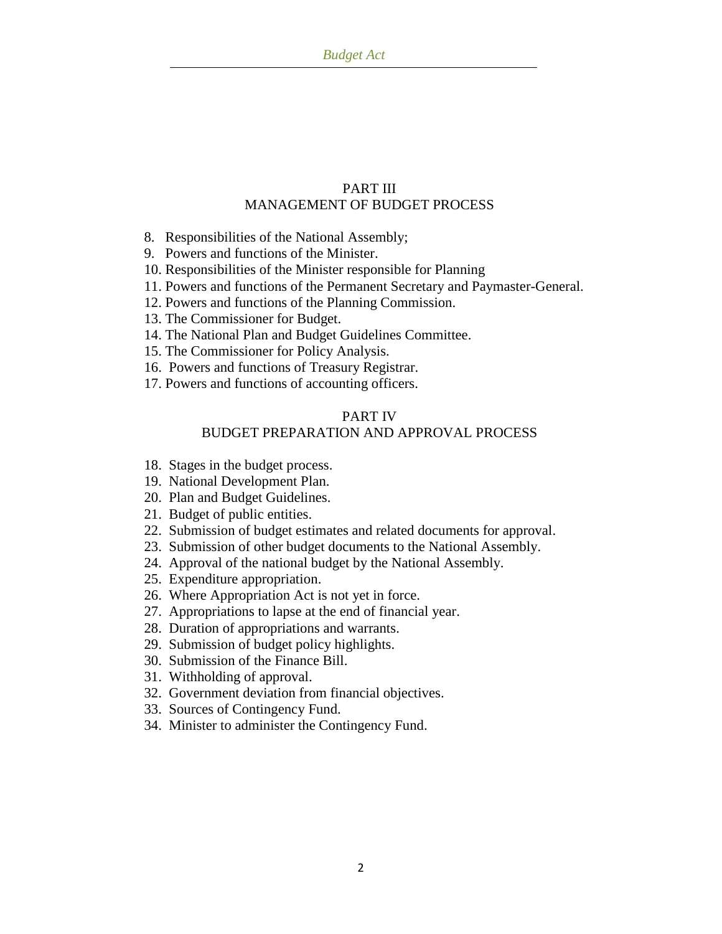# PART III MANAGEMENT OF BUDGET PROCESS

- 8. Responsibilities of the National Assembly;
- 9. Powers and functions of the Minister.
- 10. Responsibilities of the Minister responsible for Planning
- 11. Powers and functions of the Permanent Secretary and Paymaster-General.
- 12. Powers and functions of the Planning Commission.
- 13. The Commissioner for Budget.
- 14. The National Plan and Budget Guidelines Committee.
- 15. The Commissioner for Policy Analysis.
- 16. Powers and functions of Treasury Registrar.
- 17. Powers and functions of accounting officers.

## PART IV

## BUDGET PREPARATION AND APPROVAL PROCESS

- 18. Stages in the budget process.
- 19. National Development Plan.
- 20. Plan and Budget Guidelines.
- 21. Budget of public entities.
- 22. Submission of budget estimates and related documents for approval.
- 23. Submission of other budget documents to the National Assembly.
- 24. Approval of the national budget by the National Assembly.
- 25. Expenditure appropriation.
- 26. Where Appropriation Act is not yet in force.
- 27. Appropriations to lapse at the end of financial year.
- 28. Duration of appropriations and warrants.
- 29. Submission of budget policy highlights.
- 30. Submission of the Finance Bill.
- 31. Withholding of approval.
- 32. Government deviation from financial objectives.
- 33. Sources of Contingency Fund.
- 34. Minister to administer the Contingency Fund.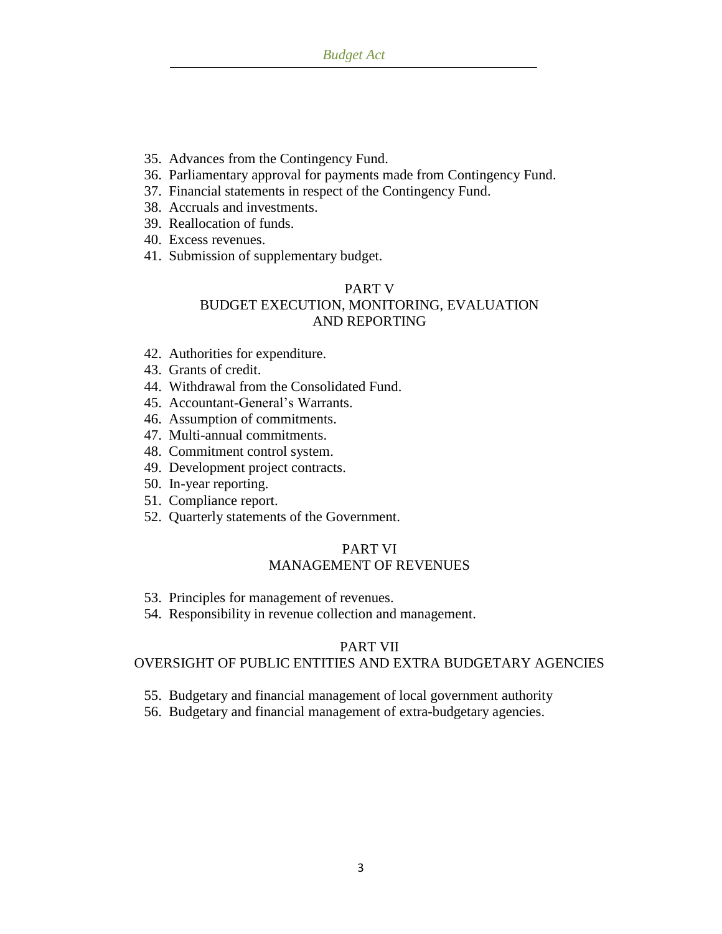- 35. Advances from the Contingency Fund.
- 36. Parliamentary approval for payments made from Contingency Fund.
- 37. Financial statements in respect of the Contingency Fund.
- 38. Accruals and investments.
- 39. Reallocation of funds.
- 40. Excess revenues.
- 41. Submission of supplementary budget.

# PART V BUDGET EXECUTION, MONITORING, EVALUATION AND REPORTING

- 42. Authorities for expenditure.
- 43. Grants of credit.
- 44. Withdrawal from the Consolidated Fund.
- 45. Accountant-General"s Warrants.
- 46. Assumption of commitments.
- 47. Multi-annual commitments.
- 48. Commitment control system.
- 49. Development project contracts.
- 50. In-year reporting.
- 51. Compliance report.
- 52. Quarterly statements of the Government.

## PART VI MANAGEMENT OF REVENUES

- 53. Principles for management of revenues.
- 54. Responsibility in revenue collection and management.

## PART VII

## OVERSIGHT OF PUBLIC ENTITIES AND EXTRA BUDGETARY AGENCIES

- 55. Budgetary and financial management of local government authority
- 56. Budgetary and financial management of extra-budgetary agencies.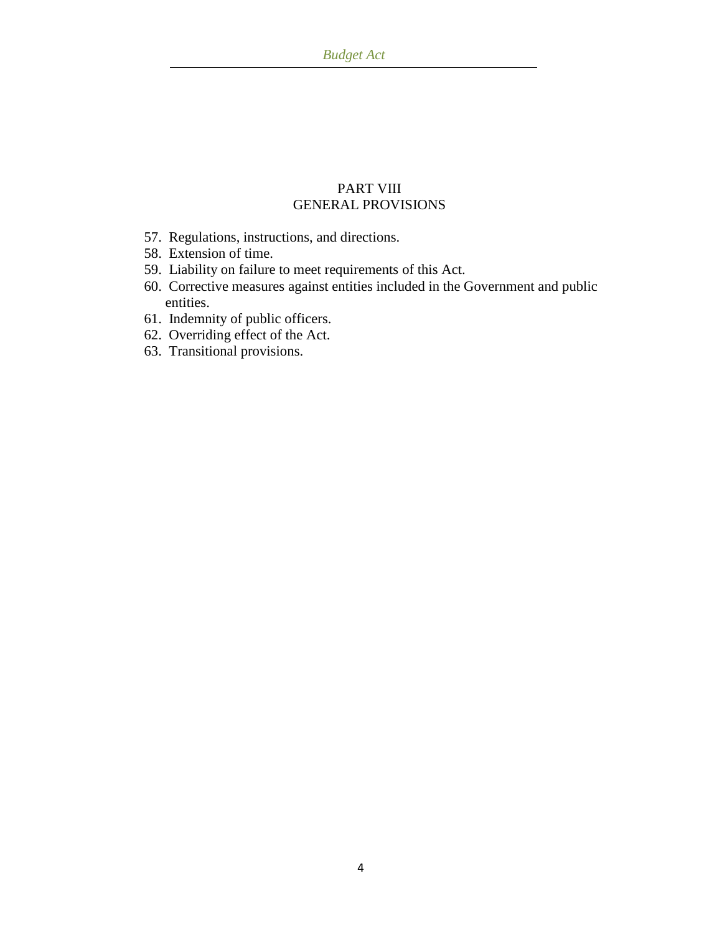# PART VIII GENERAL PROVISIONS

- 57. Regulations, instructions, and directions.
- 58. Extension of time.
- 59. Liability on failure to meet requirements of this Act.
- 60. Corrective measures against entities included in the Government and public entities.
- 61. Indemnity of public officers.
- 62. Overriding effect of the Act.
- 63. Transitional provisions.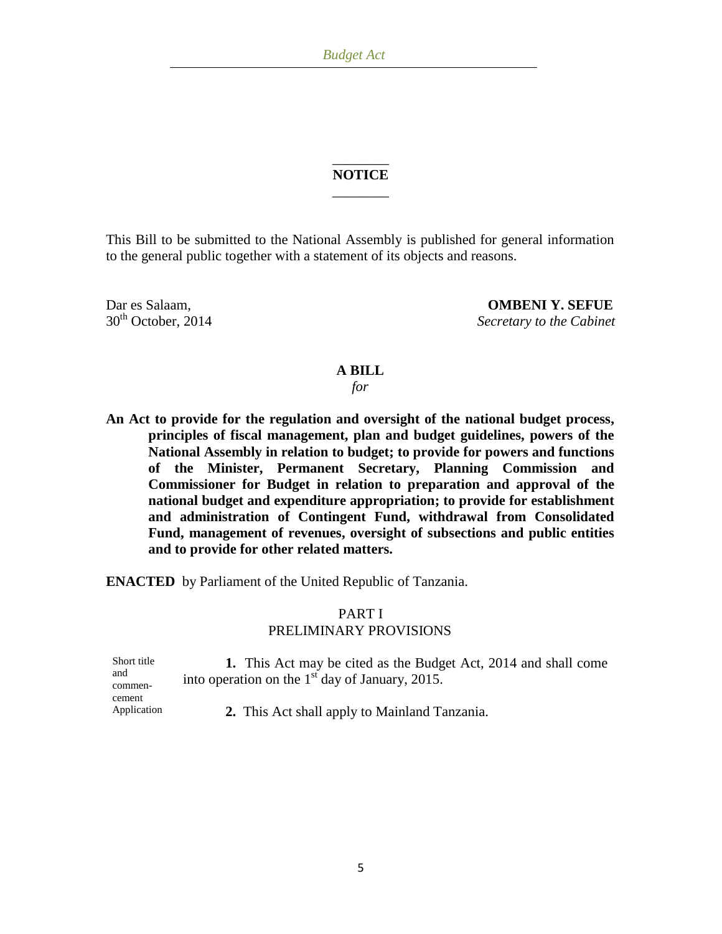## \_\_\_\_\_\_\_\_ **NOTICE**  $\overline{\phantom{a}}$  . The set of the set of the set of the set of the set of the set of the set of the set of the set of the set of the set of the set of the set of the set of the set of the set of the set of the set of the set o

This Bill to be submitted to the National Assembly is published for general information to the general public together with a statement of its objects and reasons.

Dar es Salaam, **OMBENI Y. SEFUE**<br>30<sup>th</sup> October, 2014 Secretary to the Cabinet  $S**ecretary** to the Cabinet$ 

## **A BILL**

*for*

**An Act to provide for the regulation and oversight of the national budget process, principles of fiscal management, plan and budget guidelines, powers of the National Assembly in relation to budget; to provide for powers and functions of the Minister, Permanent Secretary, Planning Commission and Commissioner for Budget in relation to preparation and approval of the national budget and expenditure appropriation; to provide for establishment and administration of Contingent Fund, withdrawal from Consolidated Fund, management of revenues, oversight of subsections and public entities and to provide for other related matters.**

**ENACTED** by Parliament of the United Republic of Tanzania.

## PART I PRELIMINARY PROVISIONS

| Short title<br>and | 1. This Act may be cited as the Budget Act, 2014 and shall come<br>into operation on the $1st$ day of January, 2015. |
|--------------------|----------------------------------------------------------------------------------------------------------------------|
| commen-<br>cement  |                                                                                                                      |
| Application        | 2. This Act shall apply to Mainland Tanzania.                                                                        |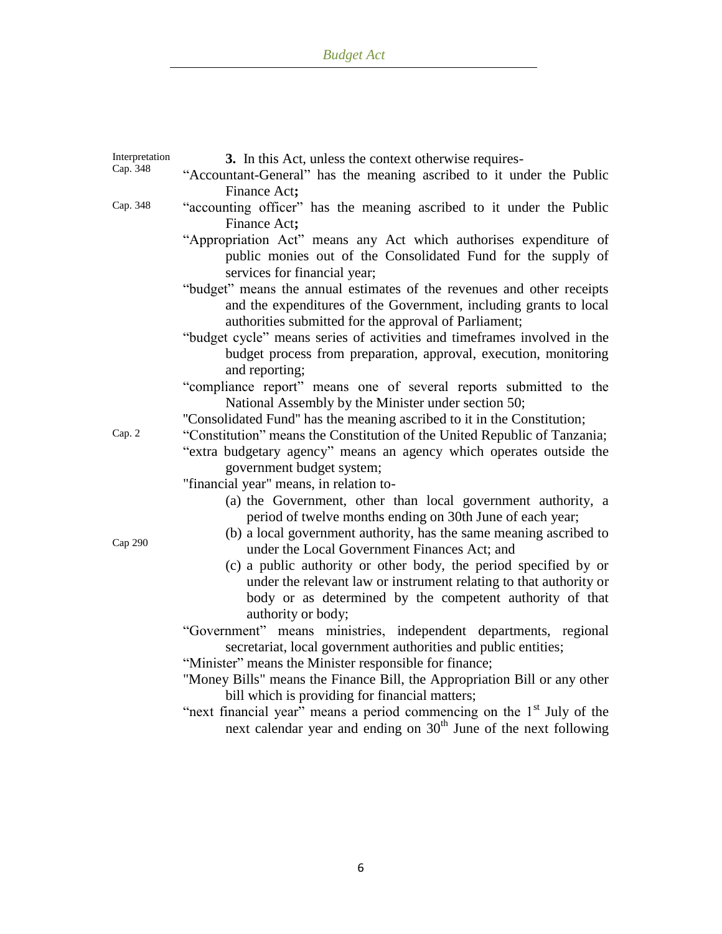| Interpretation | 3. In this Act, unless the context otherwise requires-                                 |
|----------------|----------------------------------------------------------------------------------------|
| Cap. 348       | "Accountant-General" has the meaning ascribed to it under the Public                   |
|                | Finance Act;                                                                           |
| Cap. 348       | "accounting officer" has the meaning ascribed to it under the Public                   |
|                | Finance Act;                                                                           |
|                | "Appropriation Act" means any Act which authorises expenditure of                      |
|                | public monies out of the Consolidated Fund for the supply of                           |
|                | services for financial year;                                                           |
|                | "budget" means the annual estimates of the revenues and other receipts                 |
|                | and the expenditures of the Government, including grants to local                      |
|                | authorities submitted for the approval of Parliament;                                  |
|                | "budget cycle" means series of activities and timeframes involved in the               |
|                | budget process from preparation, approval, execution, monitoring                       |
|                | and reporting;                                                                         |
|                | "compliance report" means one of several reports submitted to the                      |
|                | National Assembly by the Minister under section 50;                                    |
|                | "Consolidated Fund" has the meaning ascribed to it in the Constitution;                |
| Cap. 2         | "Constitution" means the Constitution of the United Republic of Tanzania;              |
|                | "extra budgetary agency" means an agency which operates outside the                    |
|                | government budget system;                                                              |
|                | "financial year" means, in relation to-                                                |
|                | (a) the Government, other than local government authority, a                           |
|                | period of twelve months ending on 30th June of each year;                              |
| Cap 290        | (b) a local government authority, has the same meaning ascribed to                     |
|                | under the Local Government Finances Act; and                                           |
|                | (c) a public authority or other body, the period specified by or                       |
|                | under the relevant law or instrument relating to that authority or                     |
|                | body or as determined by the competent authority of that                               |
|                | authority or body;<br>"Government" means ministries, independent departments, regional |
|                | secretariat, local government authorities and public entities;                         |
|                | "Minister" means the Minister responsible for finance;                                 |
|                | "Money Bills" means the Finance Bill, the Appropriation Bill or any other              |
|                | bill which is providing for financial matters;                                         |
|                | "next financial year" means a period commencing on the 1 <sup>st</sup> July of the     |
|                | next calendar year and ending on 30 <sup>th</sup> June of the next following           |
|                |                                                                                        |
|                |                                                                                        |
|                |                                                                                        |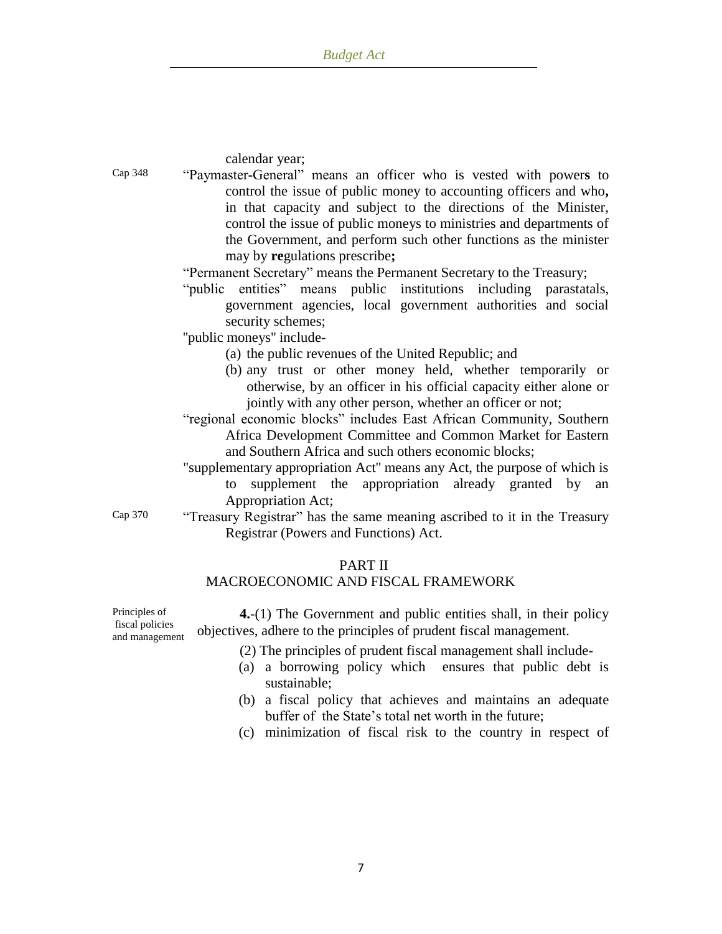calendar year;

- Cap 348 "Paymaster**-**General" means an officer who is vested with power**s** to control the issue of public money to accounting officers and who**,** in that capacity and subject to the directions of the Minister, control the issue of public moneys to ministries and departments of the Government, and perform such other functions as the minister may by **re**gulations prescribe**;**
	- "Permanent Secretary" means the Permanent Secretary to the Treasury;
	- "public entities" means public institutions including parastatals, government agencies, local government authorities and social security schemes;

''public moneys'' include-

- (a) the public revenues of the United Republic; and
- (b) any trust or other money held, whether temporarily or otherwise, by an officer in his official capacity either alone or jointly with any other person, whether an officer or not;
- "regional economic blocks" includes East African Community, Southern Africa Development Committee and Common Market for Eastern and Southern Africa and such others economic blocks;
- "supplementary appropriation Act'' means any Act, the purpose of which is to supplement the appropriation already granted by an Appropriation Act;
- Cap 370 "Treasury Registrar" has the same meaning ascribed to it in the Treasury Registrar (Powers and Functions) Act.

## PART II

## MACROECONOMIC AND FISCAL FRAMEWORK

Principles of fiscal policies and management

**4.**-(1) The Government and public entities shall, in their policy objectives, adhere to the principles of prudent fiscal management.

- (2) The principles of prudent fiscal management shall include-
- (a) a borrowing policy which ensures that public debt is sustainable;
- (b) a fiscal policy that achieves and maintains an adequate buffer of the State"s total net worth in the future;
- (c) minimization of fiscal risk to the country in respect of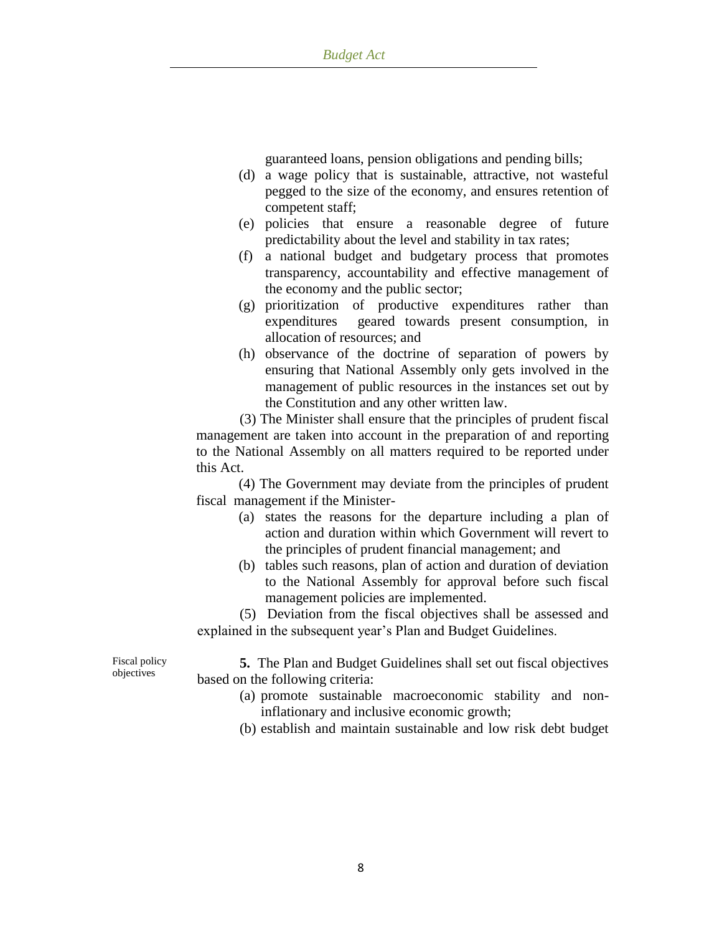guaranteed loans, pension obligations and pending bills;

- (d) a wage policy that is sustainable, attractive, not wasteful pegged to the size of the economy, and ensures retention of competent staff;
- (e) policies that ensure a reasonable degree of future predictability about the level and stability in tax rates;
- (f) a national budget and budgetary process that promotes transparency, accountability and effective management of the economy and the public sector;
- (g) prioritization of productive expenditures rather than expenditures geared towards present consumption, in allocation of resources; and
- (h) observance of the doctrine of separation of powers by ensuring that National Assembly only gets involved in the management of public resources in the instances set out by the Constitution and any other written law.

(3) The Minister shall ensure that the principles of prudent fiscal management are taken into account in the preparation of and reporting to the National Assembly on all matters required to be reported under this Act.

(4) The Government may deviate from the principles of prudent fiscal management if the Minister-

- (a) states the reasons for the departure including a plan of action and duration within which Government will revert to the principles of prudent financial management; and
- (b) tables such reasons, plan of action and duration of deviation to the National Assembly for approval before such fiscal management policies are implemented.

(5) Deviation from the fiscal objectives shall be assessed and explained in the subsequent year"s Plan and Budget Guidelines.

Fiscal policy objectives

**5.** The Plan and Budget Guidelines shall set out fiscal objectives based on the following criteria:

- (a) promote sustainable macroeconomic stability and noninflationary and inclusive economic growth;
- (b) establish and maintain sustainable and low risk debt budget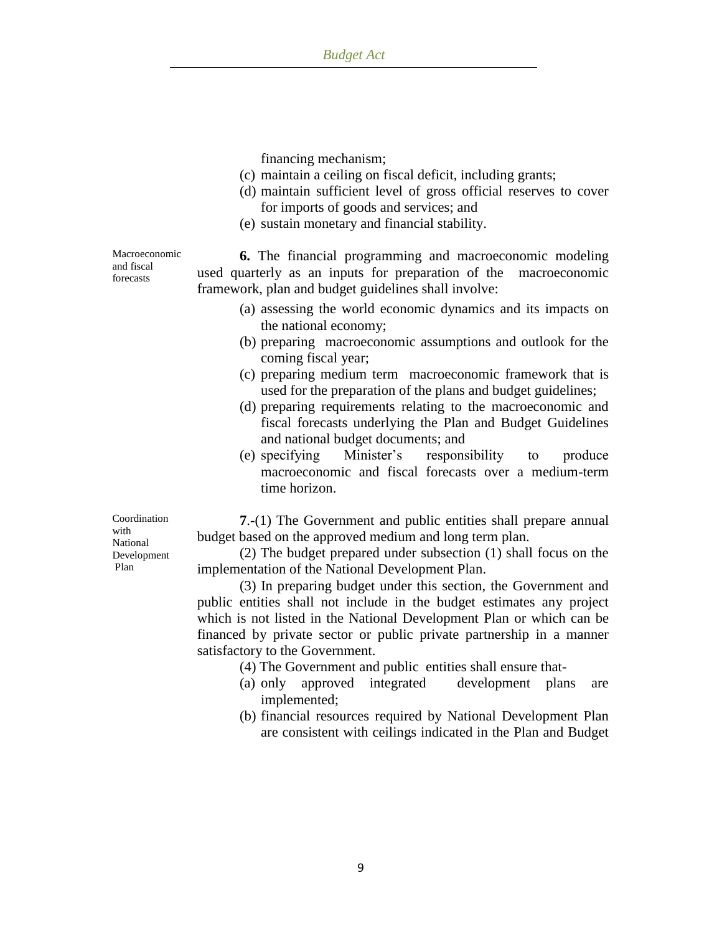financing mechanism;

- (c) maintain a ceiling on fiscal deficit, including grants;
- (d) maintain sufficient level of gross official reserves to cover for imports of goods and services; and
- (e) sustain monetary and financial stability.

Macroeconomic and fiscal forecasts

**6.** The financial programming and macroeconomic modeling used quarterly as an inputs for preparation of the macroeconomic framework, plan and budget guidelines shall involve:

- (a) assessing the world economic dynamics and its impacts on the national economy;
- (b) preparing macroeconomic assumptions and outlook for the coming fiscal year;
- (c) preparing medium term macroeconomic framework that is used for the preparation of the plans and budget guidelines;
- (d) preparing requirements relating to the macroeconomic and fiscal forecasts underlying the Plan and Budget Guidelines and national budget documents; and
- (e) specifying Minister"s responsibility to produce macroeconomic and fiscal forecasts over a medium-term time horizon.

**7**.-(1) The Government and public entities shall prepare annual budget based on the approved medium and long term plan.

(2) The budget prepared under subsection (1) shall focus on the implementation of the National Development Plan.

(3) In preparing budget under this section, the Government and public entities shall not include in the budget estimates any project which is not listed in the National Development Plan or which can be financed by private sector or public private partnership in a manner satisfactory to the Government.

(4) The Government and public entities shall ensure that-

- (a) only approved integrated development plans are implemented;
- (b) financial resources required by National Development Plan are consistent with ceilings indicated in the Plan and Budget

Coordination with National Development Plan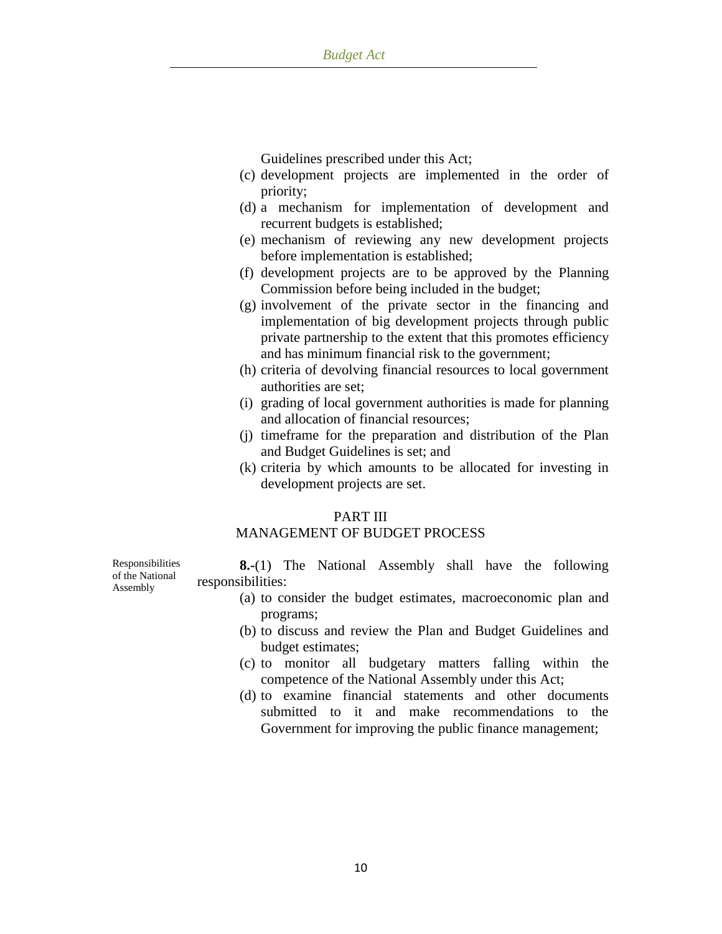Guidelines prescribed under this Act;

- (c) development projects are implemented in the order of priority;
- (d) a mechanism for implementation of development and recurrent budgets is established;
- (e) mechanism of reviewing any new development projects before implementation is established;
- (f) development projects are to be approved by the Planning Commission before being included in the budget;
- (g) involvement of the private sector in the financing and implementation of big development projects through public private partnership to the extent that this promotes efficiency and has minimum financial risk to the government;
- (h) criteria of devolving financial resources to local government authorities are set;
- (i) grading of local government authorities is made for planning and allocation of financial resources;
- (j) timeframe for the preparation and distribution of the Plan and Budget Guidelines is set; and
- (k) criteria by which amounts to be allocated for investing in development projects are set.

### PART III

## MANAGEMENT OF BUDGET PROCESS

Responsibilities of the National Assembly

**8.-**(1) The National Assembly shall have the following responsibilities:

- (a) to consider the budget estimates, macroeconomic plan and programs;
- (b) to discuss and review the Plan and Budget Guidelines and budget estimates;
- (c) to monitor all budgetary matters falling within the competence of the National Assembly under this Act;
- (d) to examine financial statements and other documents submitted to it and make recommendations to the Government for improving the public finance management;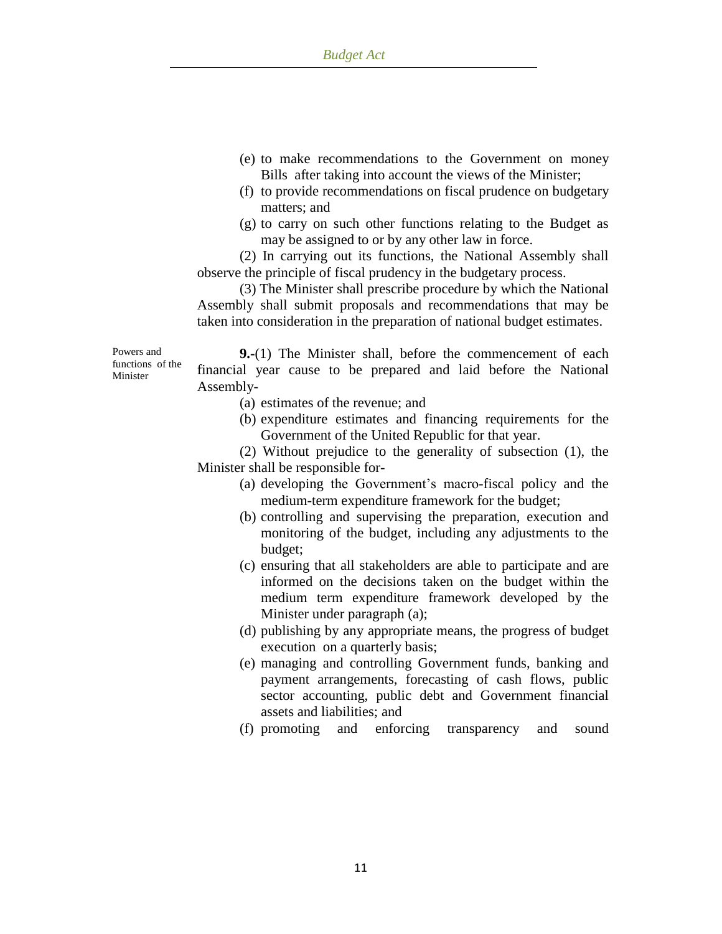- (e) to make recommendations to the Government on money Bills after taking into account the views of the Minister;
- (f) to provide recommendations on fiscal prudence on budgetary matters; and
- (g) to carry on such other functions relating to the Budget as may be assigned to or by any other law in force.

(2) In carrying out its functions, the National Assembly shall observe the principle of fiscal prudency in the budgetary process.

(3) The Minister shall prescribe procedure by which the National Assembly shall submit proposals and recommendations that may be taken into consideration in the preparation of national budget estimates.

Powers and functions of the Minister

**9.-**(1) The Minister shall, before the commencement of each financial year cause to be prepared and laid before the National Assembly-

- (a) estimates of the revenue; and
- (b) expenditure estimates and financing requirements for the Government of the United Republic for that year.

(2) Without prejudice to the generality of subsection (1), the Minister shall be responsible for-

- (a) developing the Government"s macro-fiscal policy and the medium-term expenditure framework for the budget;
- (b) controlling and supervising the preparation, execution and monitoring of the budget, including any adjustments to the budget;
- (c) ensuring that all stakeholders are able to participate and are informed on the decisions taken on the budget within the medium term expenditure framework developed by the Minister under paragraph (a);
- (d) publishing by any appropriate means, the progress of budget execution on a quarterly basis;
- (e) managing and controlling Government funds, banking and payment arrangements, forecasting of cash flows, public sector accounting, public debt and Government financial assets and liabilities; and
- (f) promoting and enforcing transparency and sound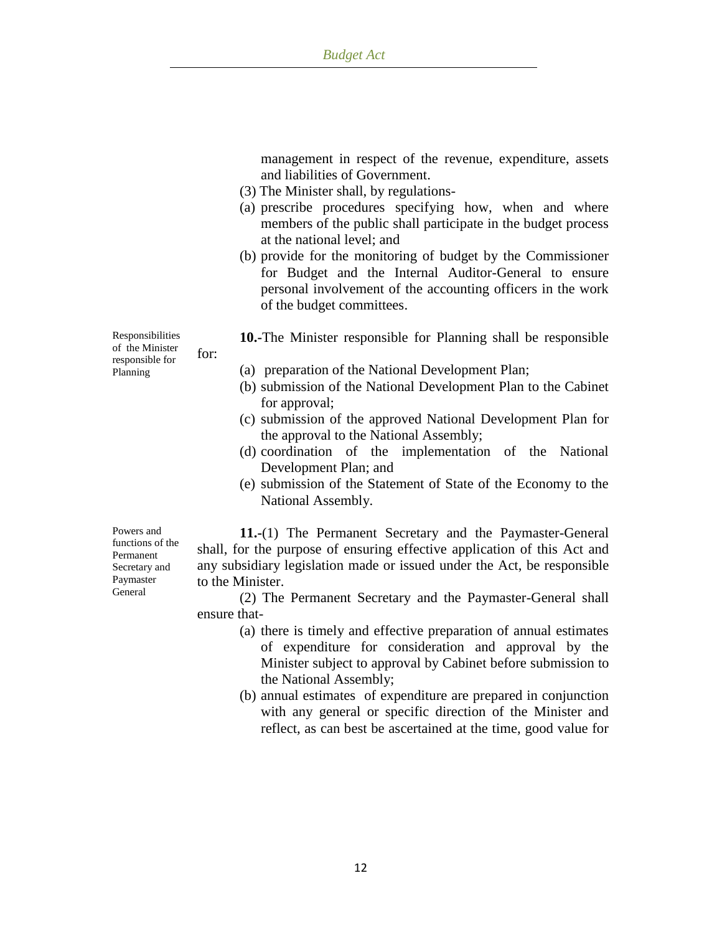management in respect of the revenue, expenditure, assets and liabilities of Government.

- (3) The Minister shall, by regulations-
- (a) prescribe procedures specifying how, when and where members of the public shall participate in the budget process at the national level; and
- (b) provide for the monitoring of budget by the Commissioner for Budget and the Internal Auditor-General to ensure personal involvement of the accounting officers in the work of the budget committees.

**10.-**The Minister responsible for Planning shall be responsible

- (a) preparation of the National Development Plan;
- (b) submission of the National Development Plan to the Cabinet for approval;
- (c) submission of the approved National Development Plan for the approval to the National Assembly;
- (d) coordination of the implementation of the National Development Plan; and
- (e) submission of the Statement of State of the Economy to the National Assembly.

Powers and functions of the Permanent Secretary and Paymaster General

**11.-**(1) The Permanent Secretary and the Paymaster-General shall, for the purpose of ensuring effective application of this Act and any subsidiary legislation made or issued under the Act, be responsible to the Minister.

(2) The Permanent Secretary and the Paymaster-General shall ensure that-

- (a) there is timely and effective preparation of annual estimates of expenditure for consideration and approval by the Minister subject to approval by Cabinet before submission to the National Assembly;
- (b) annual estimates of expenditure are prepared in conjunction with any general or specific direction of the Minister and reflect, as can best be ascertained at the time, good value for

Responsibilities of the Minister responsible for Planning for: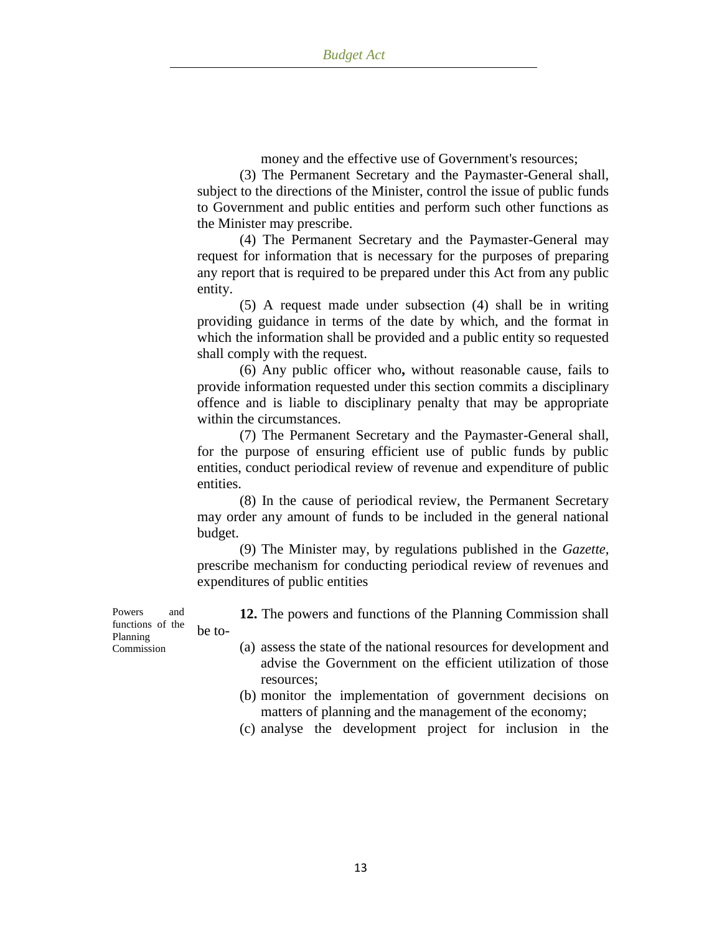money and the effective use of Government's resources;

(3) The Permanent Secretary and the Paymaster-General shall, subject to the directions of the Minister, control the issue of public funds to Government and public entities and perform such other functions as the Minister may prescribe.

(4) The Permanent Secretary and the Paymaster-General may request for information that is necessary for the purposes of preparing any report that is required to be prepared under this Act from any public entity.

(5) A request made under subsection (4) shall be in writing providing guidance in terms of the date by which, and the format in which the information shall be provided and a public entity so requested shall comply with the request.

(6) Any public officer who**,** without reasonable cause, fails to provide information requested under this section commits a disciplinary offence and is liable to disciplinary penalty that may be appropriate within the circumstances.

(7) The Permanent Secretary and the Paymaster-General shall, for the purpose of ensuring efficient use of public funds by public entities, conduct periodical review of revenue and expenditure of public entities.

(8) In the cause of periodical review, the Permanent Secretary may order any amount of funds to be included in the general national budget.

(9) The Minister may, by regulations published in the *Gazette,* prescribe mechanism for conducting periodical review of revenues and expenditures of public entities

Commission **12.** The powers and functions of the Planning Commission shall be to- (a) assess the state of the national resources for development and

- advise the Government on the efficient utilization of those resources;
- (b) monitor the implementation of government decisions on matters of planning and the management of the economy;
- (c) analyse the development project for inclusion in the

Powers and functions of the Planning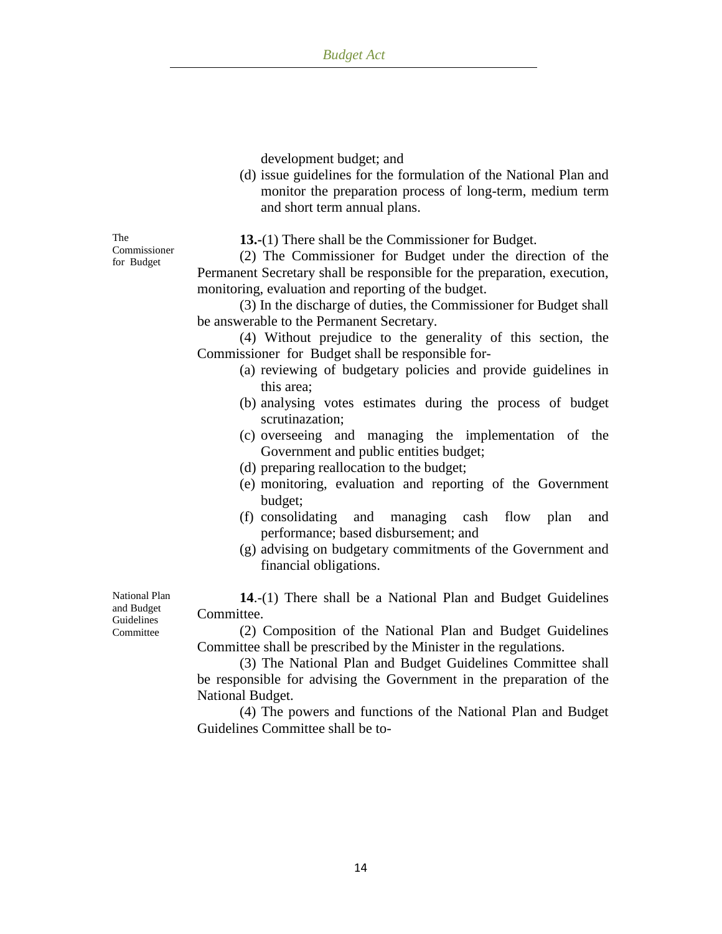development budget; and

(d) issue guidelines for the formulation of the National Plan and monitor the preparation process of long-term, medium term and short term annual plans.

The Commissioner for Budget

**13.-**(1) There shall be the Commissioner for Budget.

(2) The Commissioner for Budget under the direction of the Permanent Secretary shall be responsible for the preparation, execution, monitoring, evaluation and reporting of the budget.

(3) In the discharge of duties, the Commissioner for Budget shall be answerable to the Permanent Secretary.

(4) Without prejudice to the generality of this section, the Commissioner for Budget shall be responsible for-

- (a) reviewing of budgetary policies and provide guidelines in this area;
- (b) analysing votes estimates during the process of budget scrutinazation;
- (c) overseeing and managing the implementation of the Government and public entities budget;
- (d) preparing reallocation to the budget;
- (e) monitoring, evaluation and reporting of the Government budget;
- (f) consolidating and managing cash flow plan and performance; based disbursement; and
- (g) advising on budgetary commitments of the Government and financial obligations.

**14**.-(1) There shall be a National Plan and Budget Guidelines Committee.

(2) Composition of the National Plan and Budget Guidelines Committee shall be prescribed by the Minister in the regulations.

(3) The National Plan and Budget Guidelines Committee shall be responsible for advising the Government in the preparation of the National Budget.

(4) The powers and functions of the National Plan and Budget Guidelines Committee shall be to-

National Plan and Budget Guidelines Committee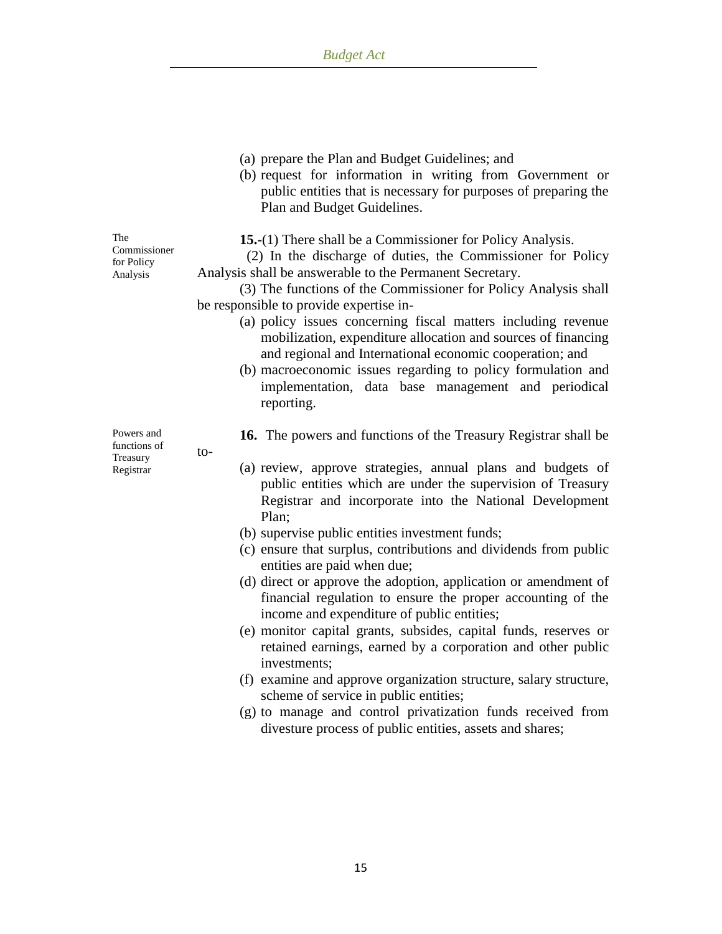- (a) prepare the Plan and Budget Guidelines; and
- (b) request for information in writing from Government or public entities that is necessary for purposes of preparing the Plan and Budget Guidelines.

**15.-**(1) There shall be a Commissioner for Policy Analysis.

 (2) In the discharge of duties, the Commissioner for Policy Analysis shall be answerable to the Permanent Secretary.

(3) The functions of the Commissioner for Policy Analysis shall be responsible to provide expertise in-

- (a) policy issues concerning fiscal matters including revenue mobilization, expenditure allocation and sources of financing and regional and International economic cooperation; and
- (b) macroeconomic issues regarding to policy formulation and implementation, data base management and periodical reporting.

**16.** The powers and functions of the Treasury Registrar shall be

- (a) review, approve strategies, annual plans and budgets of public entities which are under the supervision of Treasury Registrar and incorporate into the National Development Plan;
	- (b) supervise public entities investment funds;
	- (c) ensure that surplus, contributions and dividends from public entities are paid when due;
	- (d) direct or approve the adoption, application or amendment of financial regulation to ensure the proper accounting of the income and expenditure of public entities;
	- (e) monitor capital grants, subsides, capital funds, reserves or retained earnings, earned by a corporation and other public investments;
	- (f) examine and approve organization structure, salary structure, scheme of service in public entities;
	- (g) to manage and control privatization funds received from divesture process of public entities, assets and shares;

The Commissioner for Policy Analysis

Powers and functions of Treasury Registrar

to-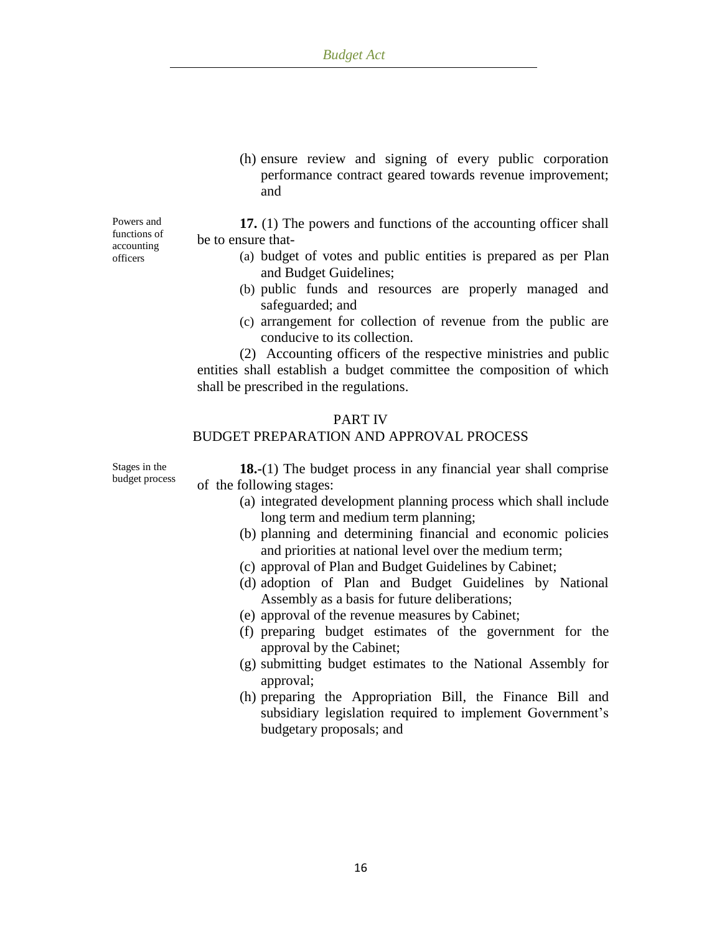(h) ensure review and signing of every public corporation performance contract geared towards revenue improvement; and

Powers and functions of accounting officers

**17.** (1) The powers and functions of the accounting officer shall be to ensure that-

- (a) budget of votes and public entities is prepared as per Plan and Budget Guidelines;
- (b) public funds and resources are properly managed and safeguarded; and
- (c) arrangement for collection of revenue from the public are conducive to its collection.

(2) Accounting officers of the respective ministries and public entities shall establish a budget committee the composition of which shall be prescribed in the regulations.

#### PART IV

## BUDGET PREPARATION AND APPROVAL PROCESS

Stages in the budget process

**18.-**(1) The budget process in any financial year shall comprise of the following stages:

- (a) integrated development planning process which shall include long term and medium term planning;
- (b) planning and determining financial and economic policies and priorities at national level over the medium term;
- (c) approval of Plan and Budget Guidelines by Cabinet;
- (d) adoption of Plan and Budget Guidelines by National Assembly as a basis for future deliberations;
- (e) approval of the revenue measures by Cabinet;
- (f) preparing budget estimates of the government for the approval by the Cabinet;
- (g) submitting budget estimates to the National Assembly for approval;
- (h) preparing the Appropriation Bill, the Finance Bill and subsidiary legislation required to implement Government's budgetary proposals; and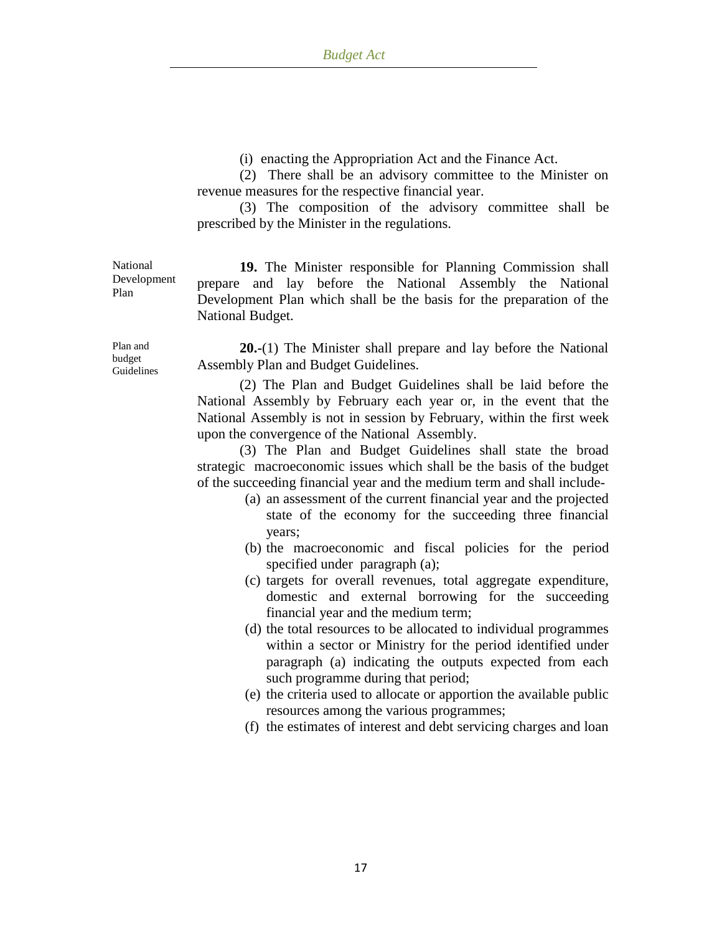(i) enacting the Appropriation Act and the Finance Act.

(2) There shall be an advisory committee to the Minister on revenue measures for the respective financial year.

(3) The composition of the advisory committee shall be prescribed by the Minister in the regulations.

**19.** The Minister responsible for Planning Commission shall prepare and lay before the National Assembly the National Development Plan which shall be the basis for the preparation of the National Budget.

**20.-**(1) The Minister shall prepare and lay before the National Assembly Plan and Budget Guidelines.

(2) The Plan and Budget Guidelines shall be laid before the National Assembly by February each year or, in the event that the National Assembly is not in session by February, within the first week upon the convergence of the National Assembly.

(3) The Plan and Budget Guidelines shall state the broad strategic macroeconomic issues which shall be the basis of the budget of the succeeding financial year and the medium term and shall include-

- (a) an assessment of the current financial year and the projected state of the economy for the succeeding three financial years;
- (b) the macroeconomic and fiscal policies for the period specified under paragraph (a);
- (c) targets for overall revenues, total aggregate expenditure, domestic and external borrowing for the succeeding financial year and the medium term;
- (d) the total resources to be allocated to individual programmes within a sector or Ministry for the period identified under paragraph (a) indicating the outputs expected from each such programme during that period;
- (e) the criteria used to allocate or apportion the available public resources among the various programmes;
- (f) the estimates of interest and debt servicing charges and loan

Plan and budget Guidelines

National Development

Plan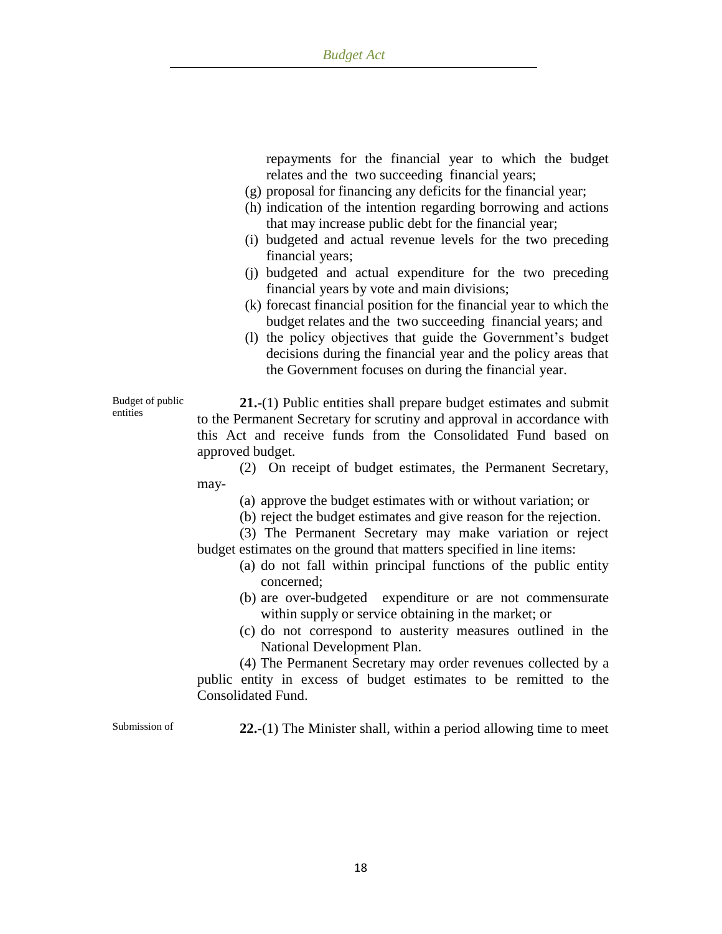repayments for the financial year to which the budget relates and the two succeeding financial years;

- (g) proposal for financing any deficits for the financial year;
- (h) indication of the intention regarding borrowing and actions that may increase public debt for the financial year;
- (i) budgeted and actual revenue levels for the two preceding financial years;
- (j) budgeted and actual expenditure for the two preceding financial years by vote and main divisions;
- (k) forecast financial position for the financial year to which the budget relates and the two succeeding financial years; and
- (l) the policy objectives that guide the Government"s budget decisions during the financial year and the policy areas that the Government focuses on during the financial year.

**21.-**(1) Public entities shall prepare budget estimates and submit to the Permanent Secretary for scrutiny and approval in accordance with this Act and receive funds from the Consolidated Fund based on approved budget.

(2) On receipt of budget estimates, the Permanent Secretary, may-

(a) approve the budget estimates with or without variation; or

(b) reject the budget estimates and give reason for the rejection.

(3) The Permanent Secretary may make variation or reject budget estimates on the ground that matters specified in line items:

- (a) do not fall within principal functions of the public entity concerned;
- (b) are over-budgeted expenditure or are not commensurate within supply or service obtaining in the market; or
- (c) do not correspond to austerity measures outlined in the National Development Plan.

(4) The Permanent Secretary may order revenues collected by a public entity in excess of budget estimates to be remitted to the Consolidated Fund.

Budget of public

entities

Submission of **22.**-(1) The Minister shall, within a period allowing time to meet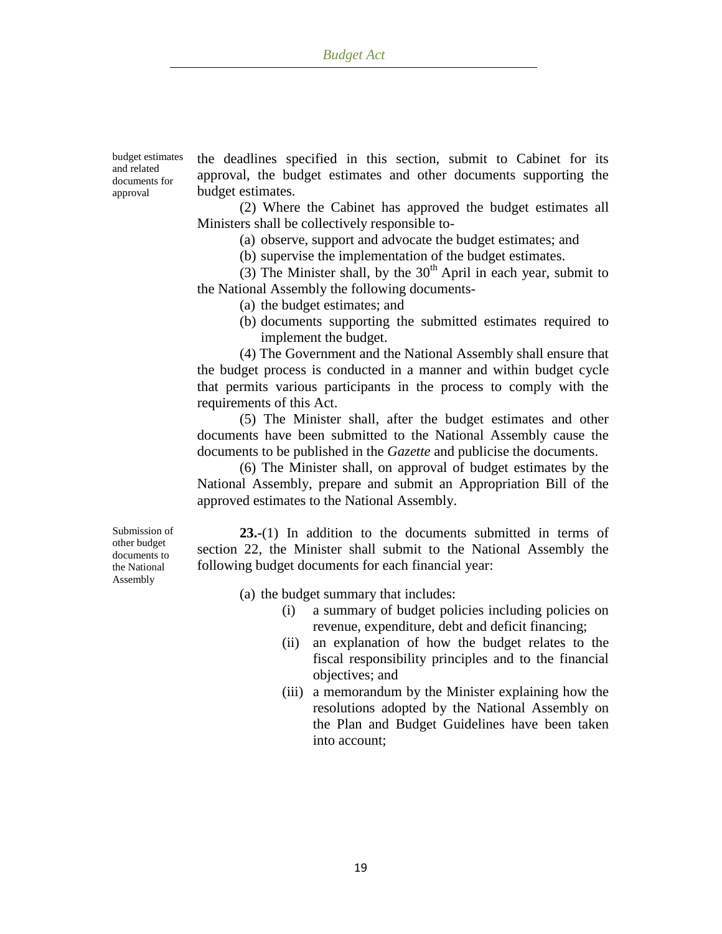budget estimates and related documents for approval

the deadlines specified in this section, submit to Cabinet for its approval, the budget estimates and other documents supporting the budget estimates.

(2) Where the Cabinet has approved the budget estimates all Ministers shall be collectively responsible to-

(a) observe, support and advocate the budget estimates; and

(b) supervise the implementation of the budget estimates.

(3) The Minister shall, by the  $30<sup>th</sup>$  April in each year, submit to the National Assembly the following documents-

(a) the budget estimates; and

(b) documents supporting the submitted estimates required to implement the budget.

(4) The Government and the National Assembly shall ensure that the budget process is conducted in a manner and within budget cycle that permits various participants in the process to comply with the requirements of this Act.

(5) The Minister shall, after the budget estimates and other documents have been submitted to the National Assembly cause the documents to be published in the *Gazette* and publicise the documents.

(6) The Minister shall, on approval of budget estimates by the National Assembly, prepare and submit an Appropriation Bill of the approved estimates to the National Assembly.

Submission of other budget documents to the National Assembly

**23.-**(1) In addition to the documents submitted in terms of section 22, the Minister shall submit to the National Assembly the following budget documents for each financial year:

- (a) the budget summary that includes:
	- (i) a summary of budget policies including policies on revenue, expenditure, debt and deficit financing;
	- (ii) an explanation of how the budget relates to the fiscal responsibility principles and to the financial objectives; and
	- (iii) a memorandum by the Minister explaining how the resolutions adopted by the National Assembly on the Plan and Budget Guidelines have been taken into account;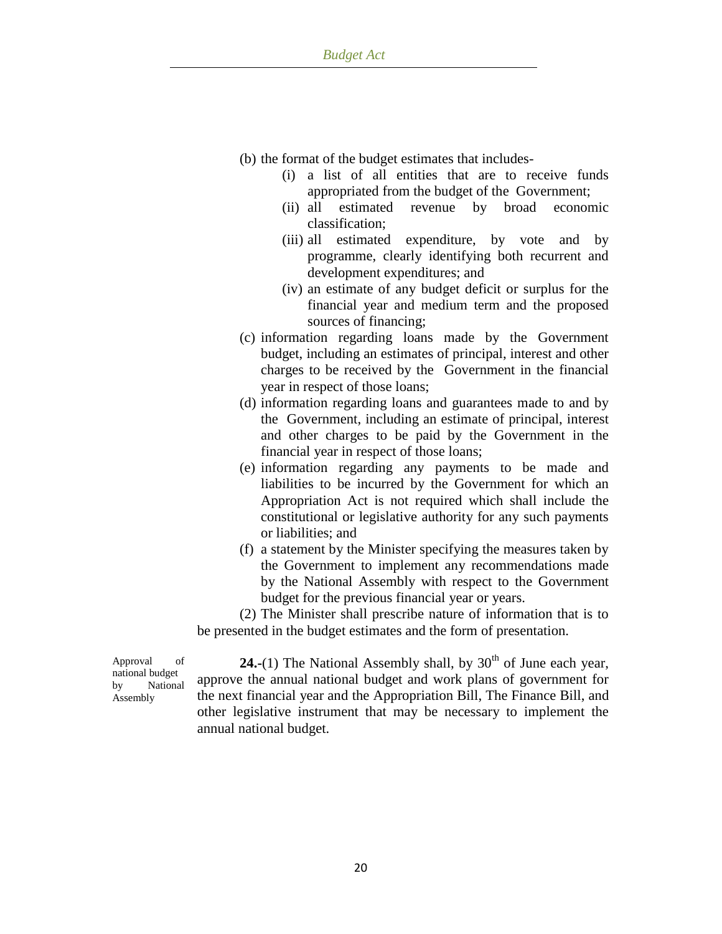- (b) the format of the budget estimates that includes-
	- (i) a list of all entities that are to receive funds appropriated from the budget of the Government;
	- (ii) all estimated revenue by broad economic classification;
	- (iii) all estimated expenditure, by vote and by programme, clearly identifying both recurrent and development expenditures; and
	- (iv) an estimate of any budget deficit or surplus for the financial year and medium term and the proposed sources of financing;
- (c) information regarding loans made by the Government budget, including an estimates of principal, interest and other charges to be received by the Government in the financial year in respect of those loans;
- (d) information regarding loans and guarantees made to and by the Government, including an estimate of principal, interest and other charges to be paid by the Government in the financial year in respect of those loans;
- (e) information regarding any payments to be made and liabilities to be incurred by the Government for which an Appropriation Act is not required which shall include the constitutional or legislative authority for any such payments or liabilities; and
- (f) a statement by the Minister specifying the measures taken by the Government to implement any recommendations made by the National Assembly with respect to the Government budget for the previous financial year or years.

(2) The Minister shall prescribe nature of information that is to be presented in the budget estimates and the form of presentation.

Approval of national budget by National Assembly

**24.-**(1) The National Assembly shall, by  $30<sup>th</sup>$  of June each year, approve the annual national budget and work plans of government for the next financial year and the Appropriation Bill, The Finance Bill, and other legislative instrument that may be necessary to implement the annual national budget.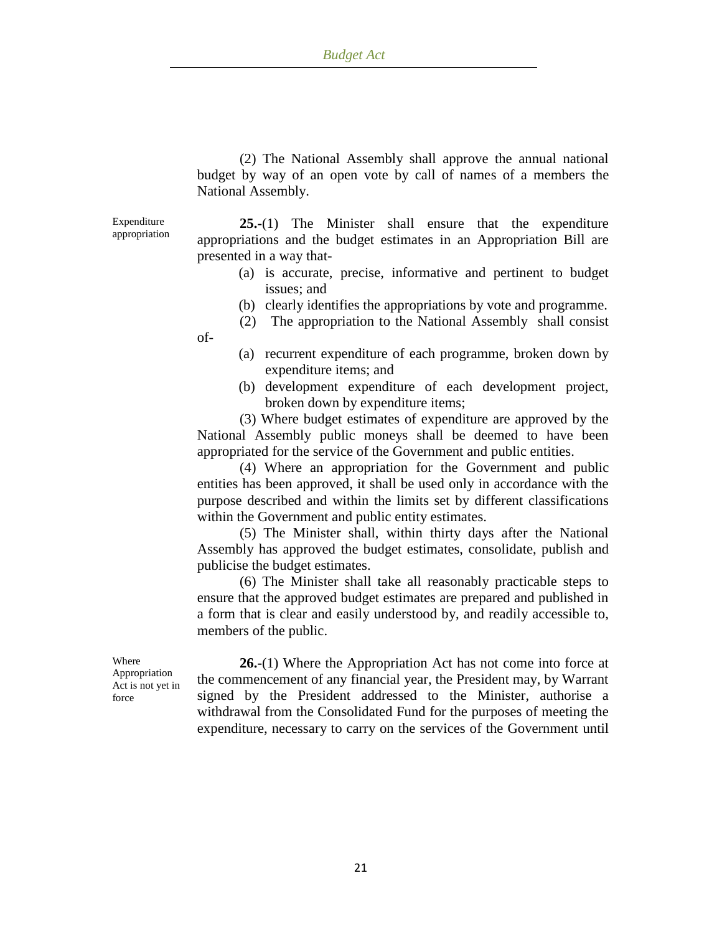(2) The National Assembly shall approve the annual national budget by way of an open vote by call of names of a members the National Assembly.

Expenditure appropriation

of-

**25.-**(1) The Minister shall ensure that the expenditure appropriations and the budget estimates in an Appropriation Bill are presented in a way that-

- (a) is accurate, precise, informative and pertinent to budget issues; and
- (b) clearly identifies the appropriations by vote and programme.
- (2) The appropriation to the National Assembly shall consist
- (a) recurrent expenditure of each programme, broken down by expenditure items; and
- (b) development expenditure of each development project, broken down by expenditure items;

(3) Where budget estimates of expenditure are approved by the National Assembly public moneys shall be deemed to have been appropriated for the service of the Government and public entities.

(4) Where an appropriation for the Government and public entities has been approved, it shall be used only in accordance with the purpose described and within the limits set by different classifications within the Government and public entity estimates.

(5) The Minister shall, within thirty days after the National Assembly has approved the budget estimates, consolidate, publish and publicise the budget estimates.

(6) The Minister shall take all reasonably practicable steps to ensure that the approved budget estimates are prepared and published in a form that is clear and easily understood by, and readily accessible to, members of the public.

Where Appropriation Act is not yet in force

**26.-**(1) Where the Appropriation Act has not come into force at the commencement of any financial year, the President may, by Warrant signed by the President addressed to the Minister, authorise a withdrawal from the Consolidated Fund for the purposes of meeting the expenditure, necessary to carry on the services of the Government until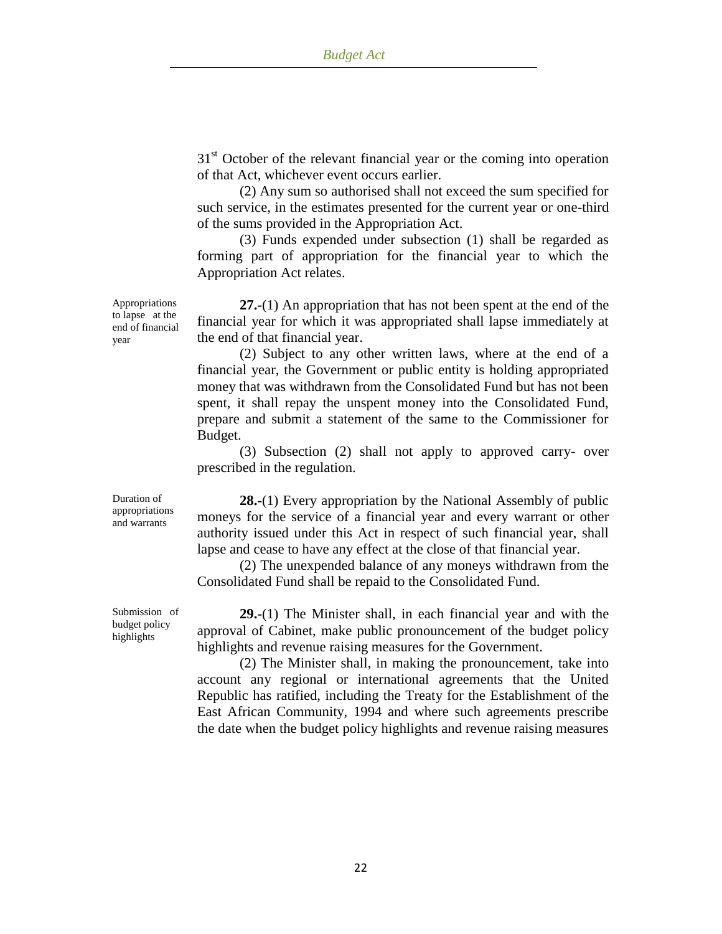$31<sup>st</sup>$  October of the relevant financial year or the coming into operation of that Act, whichever event occurs earlier.

(2) Any sum so authorised shall not exceed the sum specified for such service, in the estimates presented for the current year or one-third of the sums provided in the Appropriation Act.

(3) Funds expended under subsection (1) shall be regarded as forming part of appropriation for the financial year to which the Appropriation Act relates.

**27.-**(1) An appropriation that has not been spent at the end of the financial year for which it was appropriated shall lapse immediately at the end of that financial year.

(2) Subject to any other written laws, where at the end of a financial year, the Government or public entity is holding appropriated money that was withdrawn from the Consolidated Fund but has not been spent, it shall repay the unspent money into the Consolidated Fund, prepare and submit a statement of the same to the Commissioner for Budget.

(3) Subsection (2) shall not apply to approved carry- over prescribed in the regulation.

**28.-**(1) Every appropriation by the National Assembly of public moneys for the service of a financial year and every warrant or other authority issued under this Act in respect of such financial year, shall lapse and cease to have any effect at the close of that financial year.

(2) The unexpended balance of any moneys withdrawn from the Consolidated Fund shall be repaid to the Consolidated Fund.

**29.-**(1) The Minister shall, in each financial year and with the approval of Cabinet, make public pronouncement of the budget policy highlights and revenue raising measures for the Government.

(2) The Minister shall, in making the pronouncement, take into account any regional or international agreements that the United Republic has ratified, including the Treaty for the Establishment of the East African Community, 1994 and where such agreements prescribe the date when the budget policy highlights and revenue raising measures

Appropriations to lapse at the end of financial year

Submission of budget policy highlights

Duration of appropriations and warrants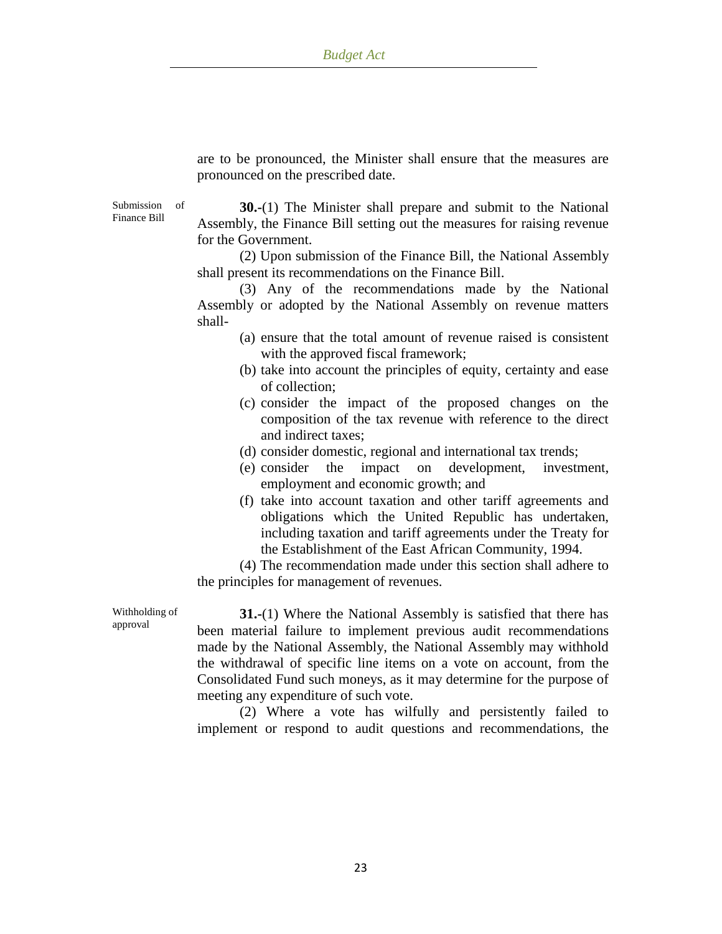are to be pronounced, the Minister shall ensure that the measures are pronounced on the prescribed date.

Submission of Finance Bill

**30.-**(1) The Minister shall prepare and submit to the National Assembly, the Finance Bill setting out the measures for raising revenue for the Government.

(2) Upon submission of the Finance Bill, the National Assembly shall present its recommendations on the Finance Bill.

(3) Any of the recommendations made by the National Assembly or adopted by the National Assembly on revenue matters shall-

- (a) ensure that the total amount of revenue raised is consistent with the approved fiscal framework;
- (b) take into account the principles of equity, certainty and ease of collection;
- (c) consider the impact of the proposed changes on the composition of the tax revenue with reference to the direct and indirect taxes;
- (d) consider domestic, regional and international tax trends;
- (e) consider the impact on development, investment, employment and economic growth; and
- (f) take into account taxation and other tariff agreements and obligations which the United Republic has undertaken, including taxation and tariff agreements under the Treaty for the Establishment of the East African Community, 1994.

(4) The recommendation made under this section shall adhere to the principles for management of revenues.

Withholding of approval

**31.-**(1) Where the National Assembly is satisfied that there has been material failure to implement previous audit recommendations made by the National Assembly, the National Assembly may withhold the withdrawal of specific line items on a vote on account, from the Consolidated Fund such moneys, as it may determine for the purpose of meeting any expenditure of such vote.

(2) Where a vote has wilfully and persistently failed to implement or respond to audit questions and recommendations, the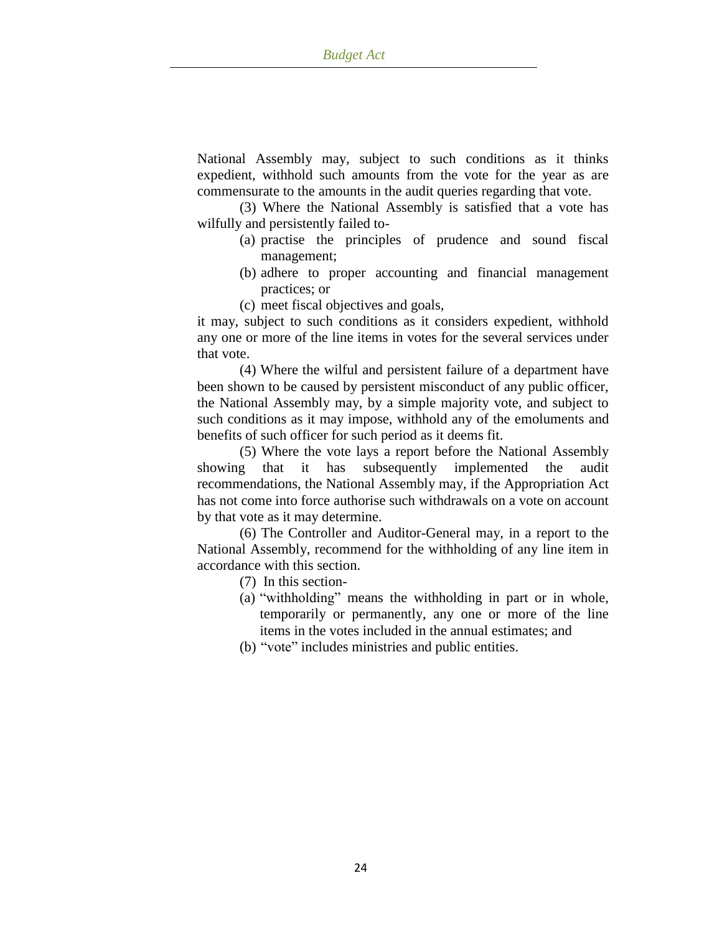National Assembly may, subject to such conditions as it thinks expedient, withhold such amounts from the vote for the year as are commensurate to the amounts in the audit queries regarding that vote.

(3) Where the National Assembly is satisfied that a vote has wilfully and persistently failed to-

- (a) practise the principles of prudence and sound fiscal management;
- (b) adhere to proper accounting and financial management practices; or
- (c) meet fiscal objectives and goals,

it may, subject to such conditions as it considers expedient, withhold any one or more of the line items in votes for the several services under that vote.

(4) Where the wilful and persistent failure of a department have been shown to be caused by persistent misconduct of any public officer, the National Assembly may, by a simple majority vote, and subject to such conditions as it may impose, withhold any of the emoluments and benefits of such officer for such period as it deems fit.

(5) Where the vote lays a report before the National Assembly showing that it has subsequently implemented the audit recommendations, the National Assembly may, if the Appropriation Act has not come into force authorise such withdrawals on a vote on account by that vote as it may determine.

(6) The Controller and Auditor-General may, in a report to the National Assembly, recommend for the withholding of any line item in accordance with this section.

- (7) In this section-
- (a) "withholding" means the withholding in part or in whole, temporarily or permanently, any one or more of the line items in the votes included in the annual estimates; and
- (b) "vote" includes ministries and public entities.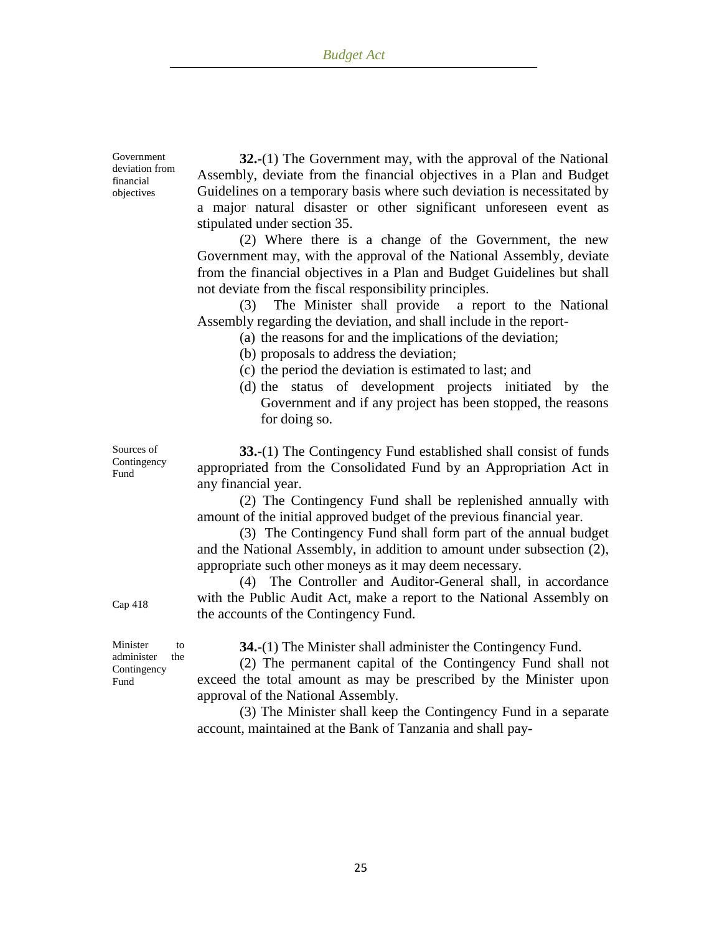Government deviation from financial objectives

**32.-**(1) The Government may, with the approval of the National Assembly, deviate from the financial objectives in a Plan and Budget Guidelines on a temporary basis where such deviation is necessitated by a major natural disaster or other significant unforeseen event as stipulated under section 35.

(2) Where there is a change of the Government, the new Government may, with the approval of the National Assembly, deviate from the financial objectives in a Plan and Budget Guidelines but shall not deviate from the fiscal responsibility principles.

(3) The Minister shall provide a report to the National Assembly regarding the deviation, and shall include in the report-

(a) the reasons for and the implications of the deviation;

- (b) proposals to address the deviation;
- (c) the period the deviation is estimated to last; and
- (d) the status of development projects initiated by the Government and if any project has been stopped, the reasons for doing so.

**33.-**(1) The Contingency Fund established shall consist of funds appropriated from the Consolidated Fund by an Appropriation Act in any financial year.

(2) The Contingency Fund shall be replenished annually with amount of the initial approved budget of the previous financial year.

(3) The Contingency Fund shall form part of the annual budget and the National Assembly, in addition to amount under subsection (2), appropriate such other moneys as it may deem necessary.

(4) The Controller and Auditor-General shall, in accordance with the Public Audit Act, make a report to the National Assembly on the accounts of the Contingency Fund.

Minister to administer the **Contingency** Fund

Cap 418

**34.-**(1) The Minister shall administer the Contingency Fund.

(2) The permanent capital of the Contingency Fund shall not exceed the total amount as may be prescribed by the Minister upon approval of the National Assembly.

(3) The Minister shall keep the Contingency Fund in a separate account, maintained at the Bank of Tanzania and shall pay-

Sources of Contingency Fund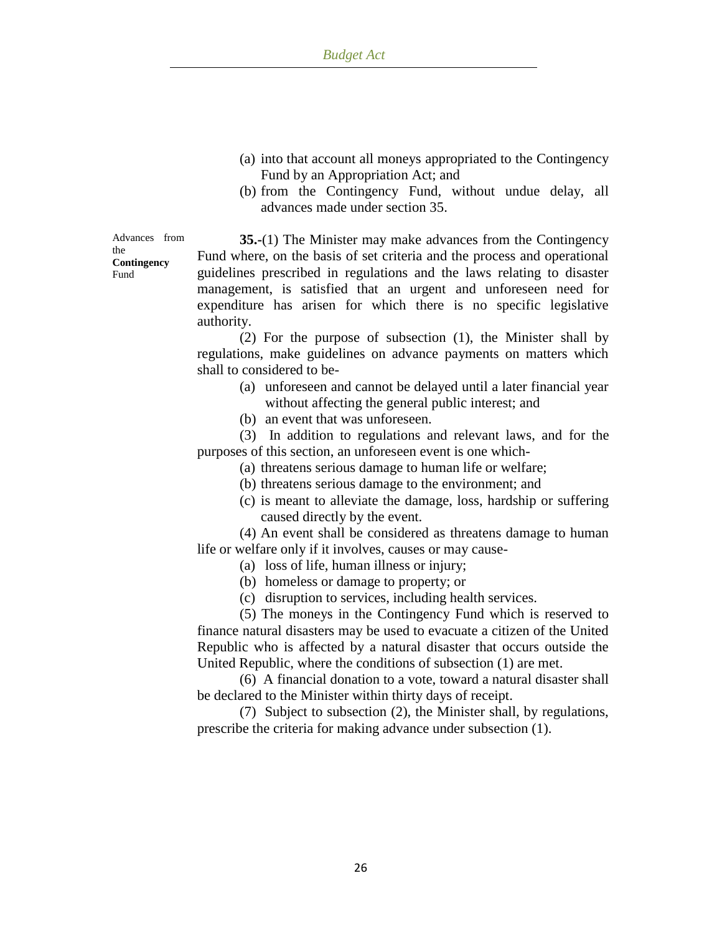- (a) into that account all moneys appropriated to the Contingency Fund by an Appropriation Act; and
- (b) from the Contingency Fund, without undue delay, all advances made under section 35.

Advances from the **Contingency** Fund

**35.-**(1) The Minister may make advances from the Contingency Fund where, on the basis of set criteria and the process and operational guidelines prescribed in regulations and the laws relating to disaster management, is satisfied that an urgent and unforeseen need for expenditure has arisen for which there is no specific legislative authority.

(2) For the purpose of subsection (1), the Minister shall by regulations, make guidelines on advance payments on matters which shall to considered to be-

- (a) unforeseen and cannot be delayed until a later financial year without affecting the general public interest; and
- (b) an event that was unforeseen.

(3) In addition to regulations and relevant laws, and for the purposes of this section, an unforeseen event is one which-

- (a) threatens serious damage to human life or welfare;
- (b) threatens serious damage to the environment; and
- (c) is meant to alleviate the damage, loss, hardship or suffering caused directly by the event.

(4) An event shall be considered as threatens damage to human life or welfare only if it involves, causes or may cause-

- (a) loss of life, human illness or injury;
- (b) homeless or damage to property; or
- (c) disruption to services, including health services.

(5) The moneys in the Contingency Fund which is reserved to finance natural disasters may be used to evacuate a citizen of the United Republic who is affected by a natural disaster that occurs outside the United Republic, where the conditions of subsection (1) are met.

(6) A financial donation to a vote, toward a natural disaster shall be declared to the Minister within thirty days of receipt.

(7) Subject to subsection (2), the Minister shall, by regulations, prescribe the criteria for making advance under subsection (1).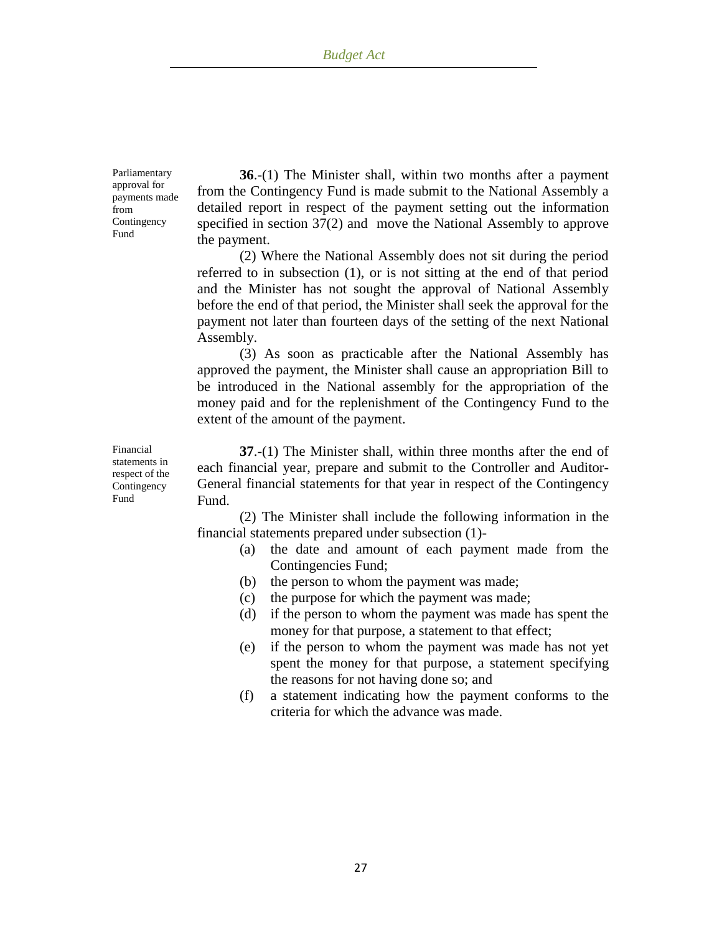Parliamentary approval for payments made from Contingency Fund

**36**.-(1) The Minister shall, within two months after a payment from the Contingency Fund is made submit to the National Assembly a detailed report in respect of the payment setting out the information specified in section 37(2) and move the National Assembly to approve the payment.

(2) Where the National Assembly does not sit during the period referred to in subsection (1), or is not sitting at the end of that period and the Minister has not sought the approval of National Assembly before the end of that period, the Minister shall seek the approval for the payment not later than fourteen days of the setting of the next National Assembly.

(3) As soon as practicable after the National Assembly has approved the payment, the Minister shall cause an appropriation Bill to be introduced in the National assembly for the appropriation of the money paid and for the replenishment of the Contingency Fund to the extent of the amount of the payment.

**37**.-(1) The Minister shall, within three months after the end of each financial year, prepare and submit to the Controller and Auditor-General financial statements for that year in respect of the Contingency Fund.

(2) The Minister shall include the following information in the financial statements prepared under subsection (1)-

- (a) the date and amount of each payment made from the Contingencies Fund;
- (b) the person to whom the payment was made;
- (c) the purpose for which the payment was made;
- (d) if the person to whom the payment was made has spent the money for that purpose, a statement to that effect;
- (e) if the person to whom the payment was made has not yet spent the money for that purpose, a statement specifying the reasons for not having done so; and
- (f) a statement indicating how the payment conforms to the criteria for which the advance was made.

Financial statements in respect of the Contingency Fund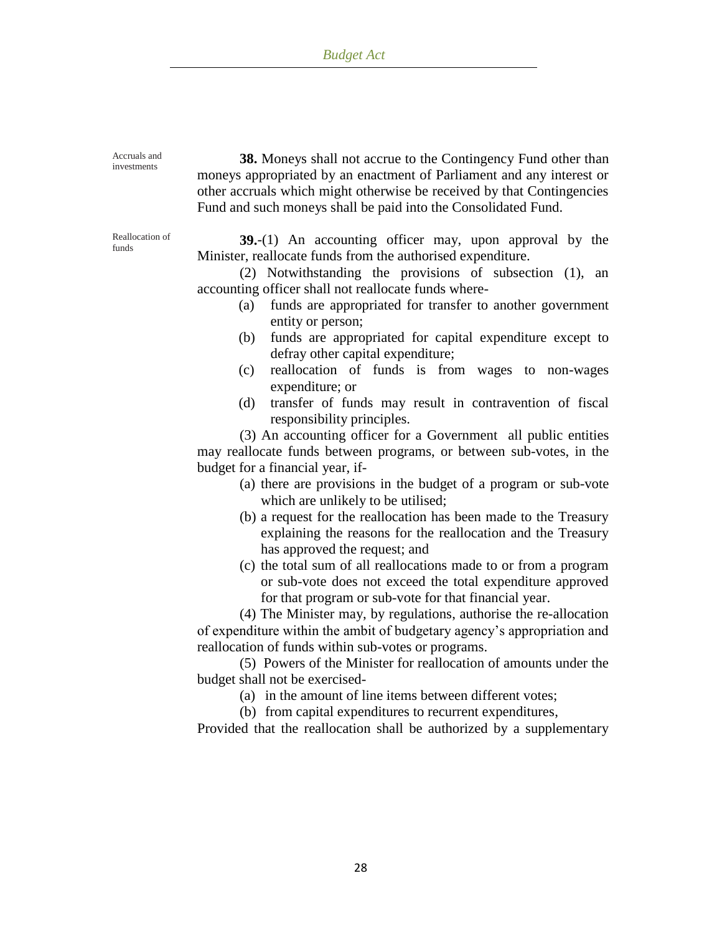| Accruals and<br>investments | 38. Moneys shall not accrue to the Contingency Fund other than<br>moneys appropriated by an enactment of Parliament and any interest or<br>other accruals which might otherwise be received by that Contingencies<br>Fund and such moneys shall be paid into the Consolidated Fund.                                                                                                                                                                                                                                                                                                                                                                                                                                                                                                                                                                                                                                                                                                                                                                                                                                                                                                                                                                                                                                                                  |
|-----------------------------|------------------------------------------------------------------------------------------------------------------------------------------------------------------------------------------------------------------------------------------------------------------------------------------------------------------------------------------------------------------------------------------------------------------------------------------------------------------------------------------------------------------------------------------------------------------------------------------------------------------------------------------------------------------------------------------------------------------------------------------------------------------------------------------------------------------------------------------------------------------------------------------------------------------------------------------------------------------------------------------------------------------------------------------------------------------------------------------------------------------------------------------------------------------------------------------------------------------------------------------------------------------------------------------------------------------------------------------------------|
| Reallocation of<br>funds    | $39-(1)$ An accounting officer may, upon approval by the<br>Minister, reallocate funds from the authorised expenditure.<br>(2) Notwithstanding the provisions of subsection (1), an<br>accounting officer shall not reallocate funds where-<br>funds are appropriated for transfer to another government<br>(a)<br>entity or person;<br>funds are appropriated for capital expenditure except to<br>(b)<br>defray other capital expenditure;<br>reallocation of funds is from wages to non-wages<br>(c)<br>expenditure; or<br>transfer of funds may result in contravention of fiscal<br>(d)<br>responsibility principles.<br>(3) An accounting officer for a Government all public entities<br>may reallocate funds between programs, or between sub-votes, in the<br>budget for a financial year, if-<br>(a) there are provisions in the budget of a program or sub-vote<br>which are unlikely to be utilised;<br>(b) a request for the reallocation has been made to the Treasury<br>explaining the reasons for the reallocation and the Treasury<br>has approved the request; and<br>(c) the total sum of all reallocations made to or from a program<br>or sub-vote does not exceed the total expenditure approved<br>for that program or sub-vote for that financial year.<br>$(4)$ The Minister may by regulations authorise the real ocation |

(4) The Minister may, by regulations, authorise the re-allocation of expenditure within the ambit of budgetary agency"s appropriation and reallocation of funds within sub-votes or programs.

(5) Powers of the Minister for reallocation of amounts under the budget shall not be exercised-

(a) in the amount of line items between different votes;

(b) from capital expenditures to recurrent expenditures,

Provided that the reallocation shall be authorized by a supplementary

28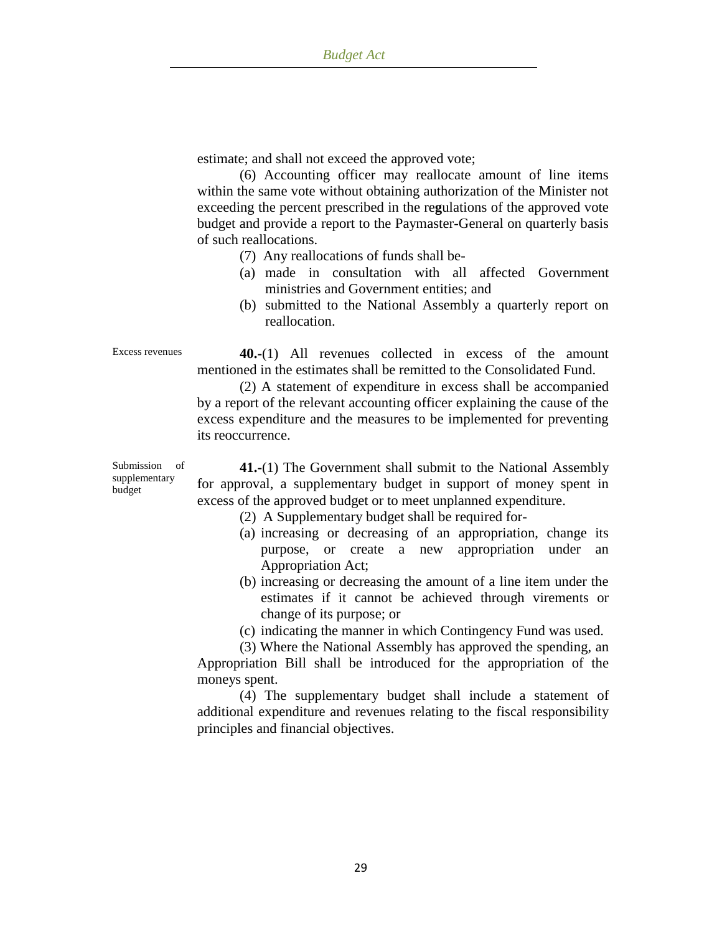estimate; and shall not exceed the approved vote;

(6) Accounting officer may reallocate amount of line items within the same vote without obtaining authorization of the Minister not exceeding the percent prescribed in the re**g**ulations of the approved vote budget and provide a report to the Paymaster-General on quarterly basis of such reallocations.

(7) Any reallocations of funds shall be-

- (a) made in consultation with all affected Government ministries and Government entities; and
- (b) submitted to the National Assembly a quarterly report on reallocation.

Excess revenues **40.-**(1) All revenues collected in excess of the amount mentioned in the estimates shall be remitted to the Consolidated Fund.

(2) A statement of expenditure in excess shall be accompanied by a report of the relevant accounting officer explaining the cause of the excess expenditure and the measures to be implemented for preventing its reoccurrence.

Submission of supplementary budget

**41.-**(1) The Government shall submit to the National Assembly for approval, a supplementary budget in support of money spent in excess of the approved budget or to meet unplanned expenditure.

- (2) A Supplementary budget shall be required for-
- (a) increasing or decreasing of an appropriation, change its purpose, or create a new appropriation under an Appropriation Act;
- (b) increasing or decreasing the amount of a line item under the estimates if it cannot be achieved through virements or change of its purpose; or

(c) indicating the manner in which Contingency Fund was used.

(3) Where the National Assembly has approved the spending, an Appropriation Bill shall be introduced for the appropriation of the moneys spent.

(4) The supplementary budget shall include a statement of additional expenditure and revenues relating to the fiscal responsibility principles and financial objectives.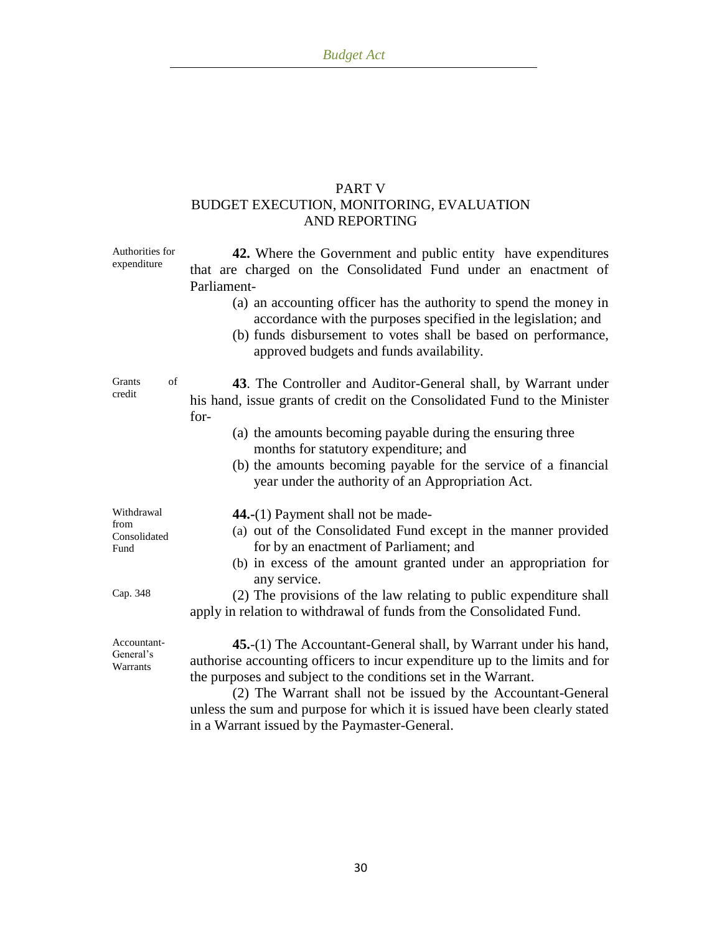# PART V BUDGET EXECUTION, MONITORING, EVALUATION AND REPORTING

| Authorities for<br>expenditure             | 42. Where the Government and public entity have expenditures<br>that are charged on the Consolidated Fund under an enactment of<br>Parliament-<br>(a) an accounting officer has the authority to spend the money in<br>accordance with the purposes specified in the legislation; and<br>(b) funds disbursement to votes shall be based on performance,<br>approved budgets and funds availability.               |
|--------------------------------------------|-------------------------------------------------------------------------------------------------------------------------------------------------------------------------------------------------------------------------------------------------------------------------------------------------------------------------------------------------------------------------------------------------------------------|
| Grants<br>of<br>credit                     | 43. The Controller and Auditor-General shall, by Warrant under<br>his hand, issue grants of credit on the Consolidated Fund to the Minister<br>for-                                                                                                                                                                                                                                                               |
|                                            | (a) the amounts becoming payable during the ensuring three<br>months for statutory expenditure; and<br>(b) the amounts becoming payable for the service of a financial<br>year under the authority of an Appropriation Act.                                                                                                                                                                                       |
| Withdrawal<br>from<br>Consolidated<br>Fund | 44.-(1) Payment shall not be made-<br>(a) out of the Consolidated Fund except in the manner provided<br>for by an enactment of Parliament; and<br>(b) in excess of the amount granted under an appropriation for                                                                                                                                                                                                  |
| Cap. 348                                   | any service.<br>(2) The provisions of the law relating to public expenditure shall<br>apply in relation to withdrawal of funds from the Consolidated Fund.                                                                                                                                                                                                                                                        |
| Accountant-<br>General's<br>Warrants       | 45.-(1) The Accountant-General shall, by Warrant under his hand,<br>authorise accounting officers to incur expenditure up to the limits and for<br>the purposes and subject to the conditions set in the Warrant.<br>(2) The Warrant shall not be issued by the Accountant-General<br>unless the sum and purpose for which it is issued have been clearly stated<br>in a Warrant issued by the Paymaster-General. |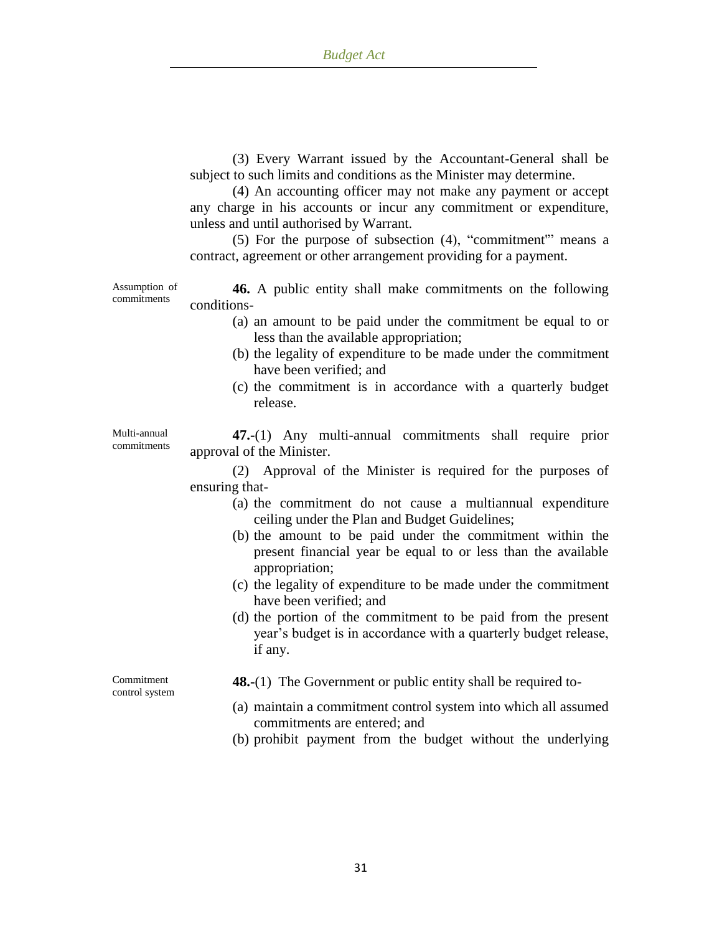(3) Every Warrant issued by the Accountant-General shall be subject to such limits and conditions as the Minister may determine.

(4) An accounting officer may not make any payment or accept any charge in his accounts or incur any commitment or expenditure, unless and until authorised by Warrant.

(5) For the purpose of subsection (4), "commitment'" means a contract, agreement or other arrangement providing for a payment.

Assumption of commitments

**46.** A public entity shall make commitments on the following conditions-

- (a) an amount to be paid under the commitment be equal to or less than the available appropriation;
- (b) the legality of expenditure to be made under the commitment have been verified; and
- (c) the commitment is in accordance with a quarterly budget release.

Multi-annual commitments

**47.-**(1) Any multi-annual commitments shall require prior approval of the Minister.

(2) Approval of the Minister is required for the purposes of ensuring that-

- (a) the commitment do not cause a multiannual expenditure ceiling under the Plan and Budget Guidelines;
- (b) the amount to be paid under the commitment within the present financial year be equal to or less than the available appropriation;
- (c) the legality of expenditure to be made under the commitment have been verified; and
- (d) the portion of the commitment to be paid from the present year"s budget is in accordance with a quarterly budget release, if any.

Commitment control system **48.-**(1) The Government or public entity shall be required to-

- (a) maintain a commitment control system into which all assumed commitments are entered; and
- (b) prohibit payment from the budget without the underlying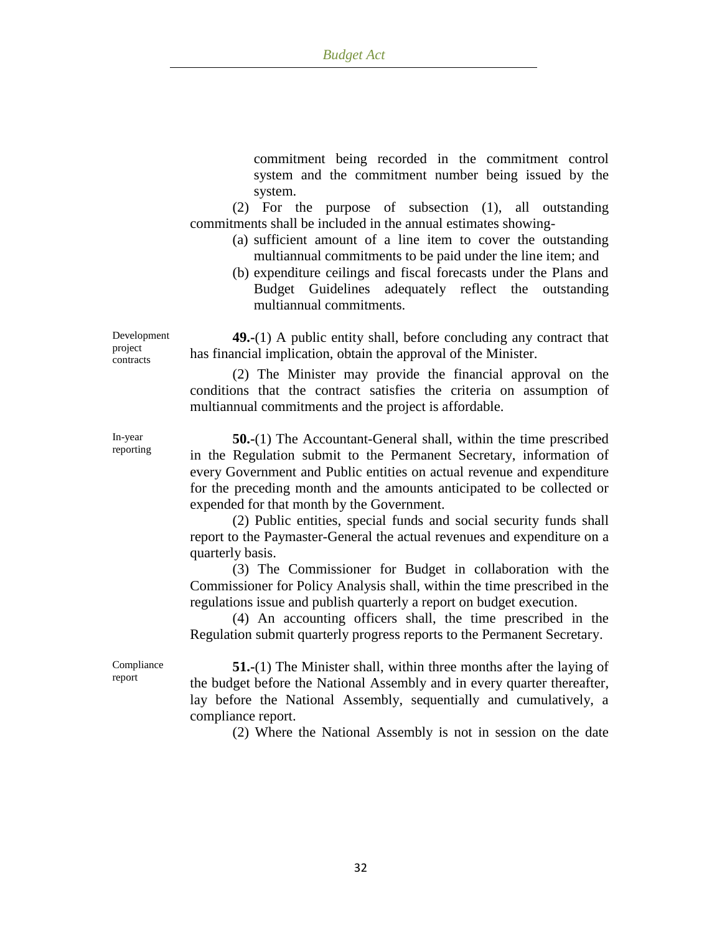commitment being recorded in the commitment control system and the commitment number being issued by the system.

(2) For the purpose of subsection (1), all outstanding commitments shall be included in the annual estimates showing-

- (a) sufficient amount of a line item to cover the outstanding multiannual commitments to be paid under the line item; and
- (b) expenditure ceilings and fiscal forecasts under the Plans and Budget Guidelines adequately reflect the outstanding multiannual commitments.

**49.-**(1) A public entity shall, before concluding any contract that has financial implication, obtain the approval of the Minister.

(2) The Minister may provide the financial approval on the conditions that the contract satisfies the criteria on assumption of multiannual commitments and the project is affordable.

**50.-**(1) The Accountant-General shall, within the time prescribed in the Regulation submit to the Permanent Secretary, information of every Government and Public entities on actual revenue and expenditure for the preceding month and the amounts anticipated to be collected or expended for that month by the Government.

(2) Public entities, special funds and social security funds shall report to the Paymaster-General the actual revenues and expenditure on a quarterly basis.

(3) The Commissioner for Budget in collaboration with the Commissioner for Policy Analysis shall, within the time prescribed in the regulations issue and publish quarterly a report on budget execution.

(4) An accounting officers shall, the time prescribed in the Regulation submit quarterly progress reports to the Permanent Secretary.

Compliance report

**51.-**(1) The Minister shall, within three months after the laying of the budget before the National Assembly and in every quarter thereafter, lay before the National Assembly, sequentially and cumulatively, a compliance report.

(2) Where the National Assembly is not in session on the date

Development project contracts

In-year reporting

32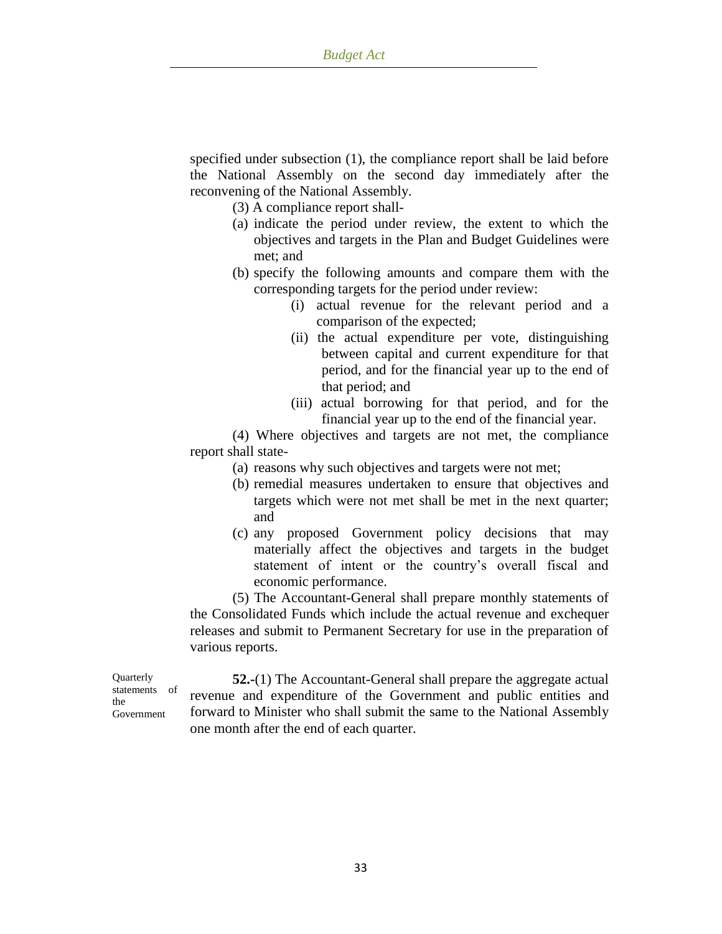specified under subsection (1), the compliance report shall be laid before the National Assembly on the second day immediately after the reconvening of the National Assembly.

(3) A compliance report shall-

- (a) indicate the period under review, the extent to which the objectives and targets in the Plan and Budget Guidelines were met; and
- (b) specify the following amounts and compare them with the corresponding targets for the period under review:
	- (i) actual revenue for the relevant period and a comparison of the expected;
	- (ii) the actual expenditure per vote, distinguishing between capital and current expenditure for that period, and for the financial year up to the end of that period; and
	- (iii) actual borrowing for that period, and for the financial year up to the end of the financial year.

(4) Where objectives and targets are not met, the compliance report shall state-

- (a) reasons why such objectives and targets were not met;
- (b) remedial measures undertaken to ensure that objectives and targets which were not met shall be met in the next quarter; and
- (c) any proposed Government policy decisions that may materially affect the objectives and targets in the budget statement of intent or the country"s overall fiscal and economic performance.

(5) The Accountant-General shall prepare monthly statements of the Consolidated Funds which include the actual revenue and exchequer releases and submit to Permanent Secretary for use in the preparation of various reports.

**Quarterly** statements of the Government

**52.-**(1) The Accountant-General shall prepare the aggregate actual revenue and expenditure of the Government and public entities and forward to Minister who shall submit the same to the National Assembly one month after the end of each quarter.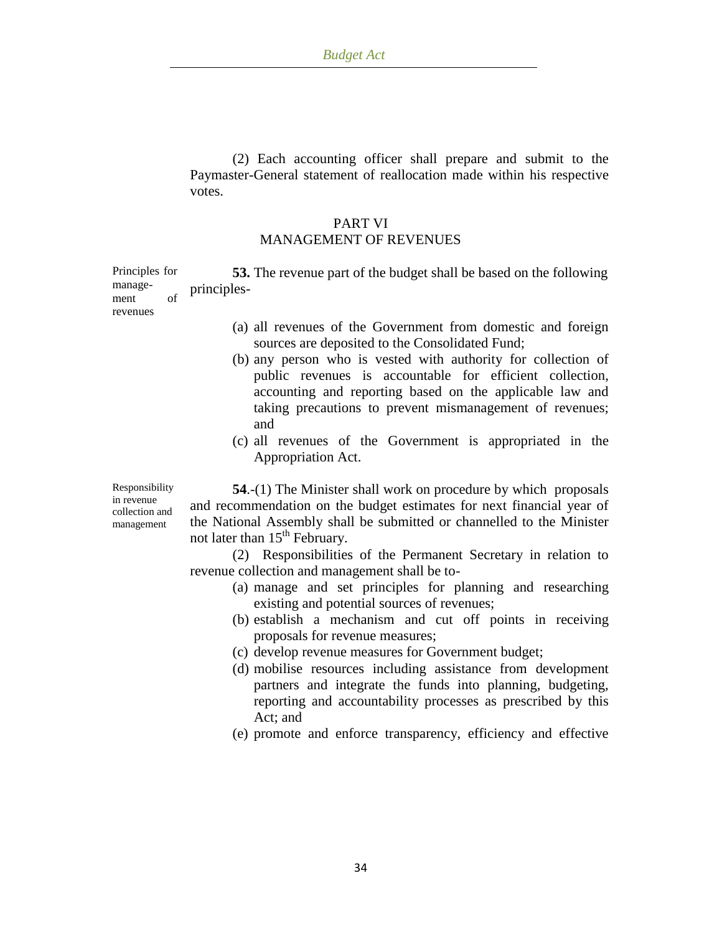(2) Each accounting officer shall prepare and submit to the Paymaster-General statement of reallocation made within his respective votes.

## PART VI MANAGEMENT OF REVENUES

Principles for management of **53.** The revenue part of the budget shall be based on the following principles-

revenues

- (a) all revenues of the Government from domestic and foreign sources are deposited to the Consolidated Fund;
- (b) any person who is vested with authority for collection of public revenues is accountable for efficient collection, accounting and reporting based on the applicable law and taking precautions to prevent mismanagement of revenues; and
- (c) all revenues of the Government is appropriated in the Appropriation Act.

Responsibility in revenue collection and management

**54**.-(1) The Minister shall work on procedure by which proposals and recommendation on the budget estimates for next financial year of the National Assembly shall be submitted or channelled to the Minister not later than  $15<sup>th</sup>$  February.

(2) Responsibilities of the Permanent Secretary in relation to revenue collection and management shall be to-

- (a) manage and set principles for planning and researching existing and potential sources of revenues;
- (b) establish a mechanism and cut off points in receiving proposals for revenue measures;
- (c) develop revenue measures for Government budget;
- (d) mobilise resources including assistance from development partners and integrate the funds into planning, budgeting, reporting and accountability processes as prescribed by this Act; and
- (e) promote and enforce transparency, efficiency and effective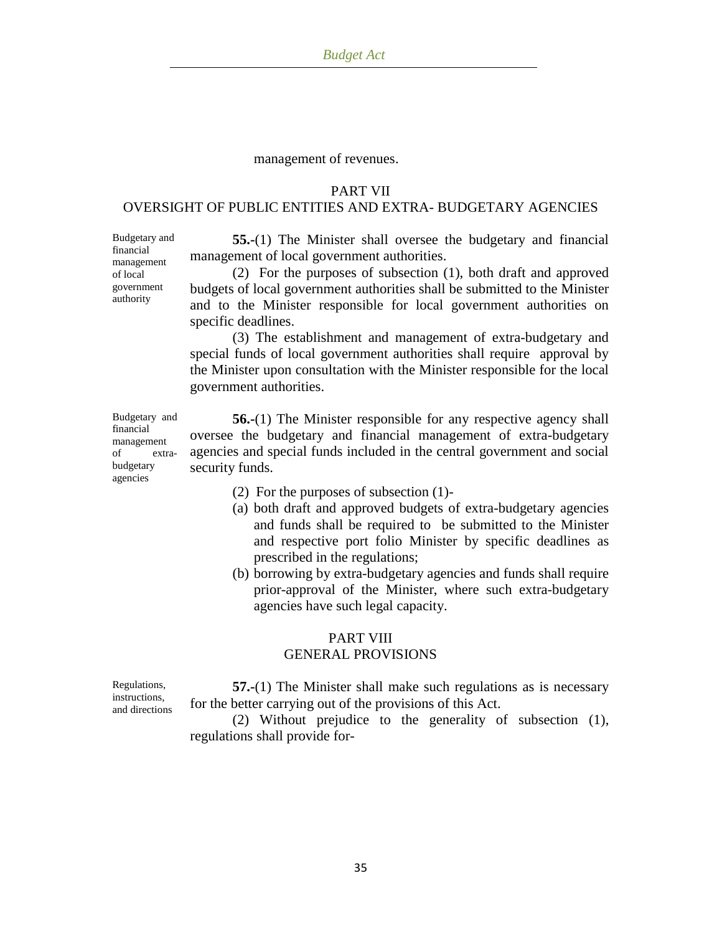#### management of revenues.

### PART VII

# OVERSIGHT OF PUBLIC ENTITIES AND EXTRA- BUDGETARY AGENCIES

**55.-**(1) The Minister shall oversee the budgetary and financial management of local government authorities.

(2) For the purposes of subsection (1), both draft and approved budgets of local government authorities shall be submitted to the Minister and to the Minister responsible for local government authorities on specific deadlines.

(3) The establishment and management of extra-budgetary and special funds of local government authorities shall require approval by the Minister upon consultation with the Minister responsible for the local government authorities.

**56.-**(1) The Minister responsible for any respective agency shall oversee the budgetary and financial management of extra-budgetary agencies and special funds included in the central government and social security funds.

- (2) For the purposes of subsection (1)-
- (a) both draft and approved budgets of extra-budgetary agencies and funds shall be required to be submitted to the Minister and respective port folio Minister by specific deadlines as prescribed in the regulations;
- (b) borrowing by extra-budgetary agencies and funds shall require prior-approval of the Minister, where such extra-budgetary agencies have such legal capacity.

## PART VIII GENERAL PROVISIONS

Regulations, instructions, and directions

**57.-**(1) The Minister shall make such regulations as is necessary for the better carrying out of the provisions of this Act.

(2) Without prejudice to the generality of subsection (1), regulations shall provide for-

Budgetary and financial management of extrabudgetary agencies

Budgetary and financial management of local government authority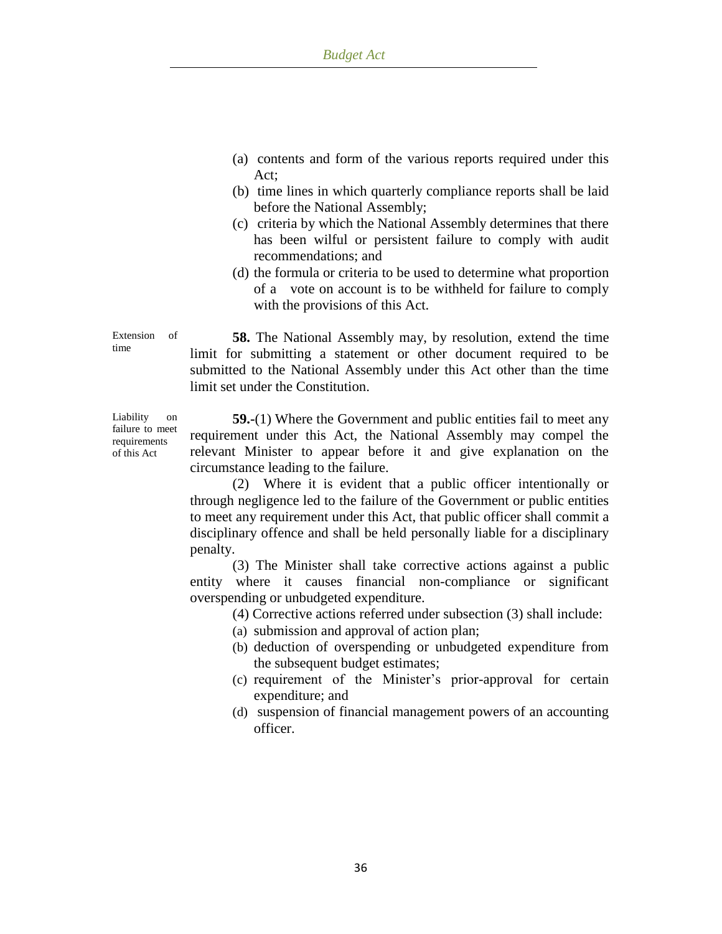- (a) contents and form of the various reports required under this Act;
- (b) time lines in which quarterly compliance reports shall be laid before the National Assembly;
- (c) criteria by which the National Assembly determines that there has been wilful or persistent failure to comply with audit recommendations; and
- (d) the formula or criteria to be used to determine what proportion of a vote on account is to be withheld for failure to comply with the provisions of this Act.

Extension of time

**58.** The National Assembly may, by resolution, extend the time limit for submitting a statement or other document required to be submitted to the National Assembly under this Act other than the time limit set under the Constitution.

Liability on failure to meet requirements of this Act

**59.-**(1) Where the Government and public entities fail to meet any requirement under this Act, the National Assembly may compel the relevant Minister to appear before it and give explanation on the circumstance leading to the failure.

(2) Where it is evident that a public officer intentionally or through negligence led to the failure of the Government or public entities to meet any requirement under this Act, that public officer shall commit a disciplinary offence and shall be held personally liable for a disciplinary penalty.

(3) The Minister shall take corrective actions against a public entity where it causes financial non-compliance or significant overspending or unbudgeted expenditure.

(4) Corrective actions referred under subsection (3) shall include:

- (a) submission and approval of action plan;
- (b) deduction of overspending or unbudgeted expenditure from the subsequent budget estimates;
- (c) requirement of the Minister"s prior-approval for certain expenditure; and
- (d) suspension of financial management powers of an accounting officer.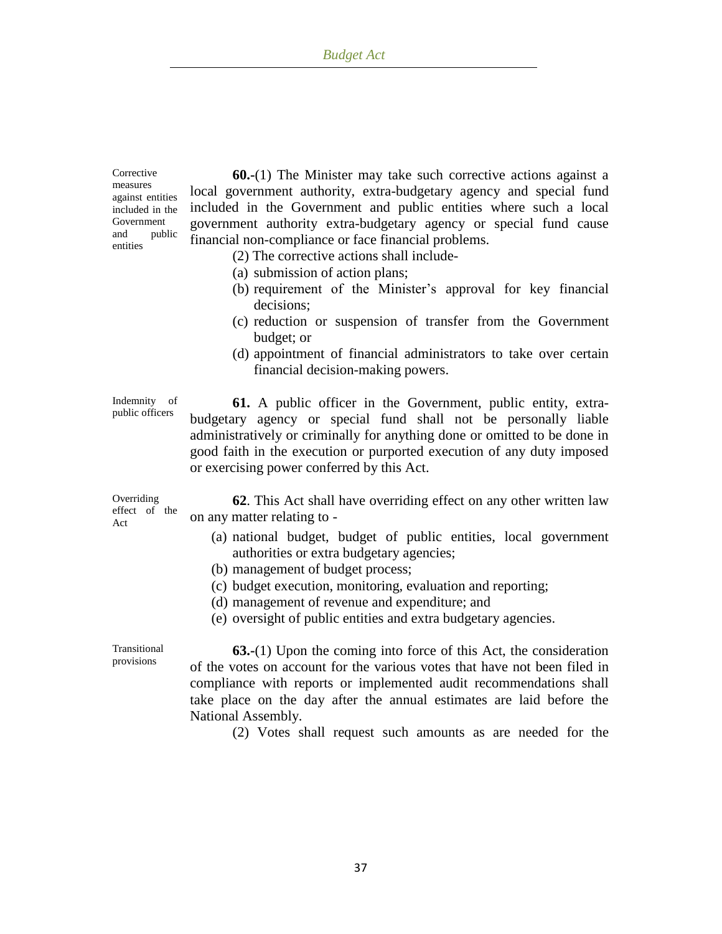**Corrective** measures against entities included in the Government and public entities

**60.-**(1) The Minister may take such corrective actions against a local government authority, extra-budgetary agency and special fund included in the Government and public entities where such a local government authority extra-budgetary agency or special fund cause financial non-compliance or face financial problems.

- (2) The corrective actions shall include-
- (a) submission of action plans;
- (b) requirement of the Minister"s approval for key financial decisions;
- (c) reduction or suspension of transfer from the Government budget; or
- (d) appointment of financial administrators to take over certain financial decision-making powers.

Indemnity of public officers

**61.** A public officer in the Government, public entity, extrabudgetary agency or special fund shall not be personally liable administratively or criminally for anything done or omitted to be done in good faith in the execution or purported execution of any duty imposed or exercising power conferred by this Act.

Overriding effect of the Act **62**. This Act shall have overriding effect on any other written law on any matter relating to -

- (a) national budget, budget of public entities, local government authorities or extra budgetary agencies;
- (b) management of budget process;
- (c) budget execution, monitoring, evaluation and reporting;
- (d) management of revenue and expenditure; and
- (e) oversight of public entities and extra budgetary agencies.

Transitional provisions

**63.-**(1) Upon the coming into force of this Act, the consideration of the votes on account for the various votes that have not been filed in compliance with reports or implemented audit recommendations shall take place on the day after the annual estimates are laid before the National Assembly.

(2) Votes shall request such amounts as are needed for the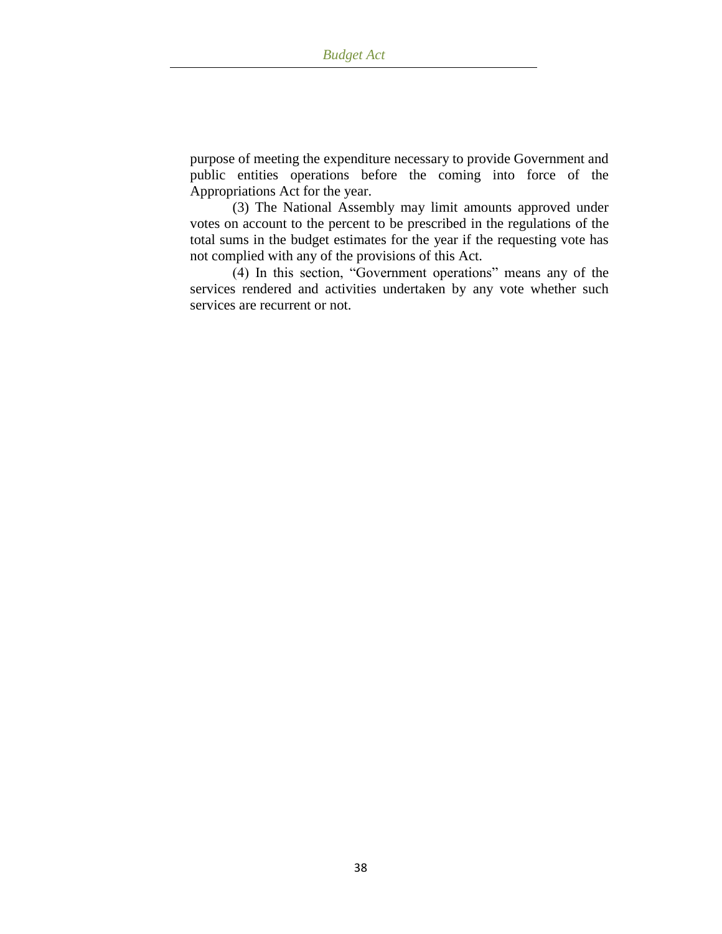purpose of meeting the expenditure necessary to provide Government and public entities operations before the coming into force of the Appropriations Act for the year.

(3) The National Assembly may limit amounts approved under votes on account to the percent to be prescribed in the regulations of the total sums in the budget estimates for the year if the requesting vote has not complied with any of the provisions of this Act.

(4) In this section, "Government operations" means any of the services rendered and activities undertaken by any vote whether such services are recurrent or not.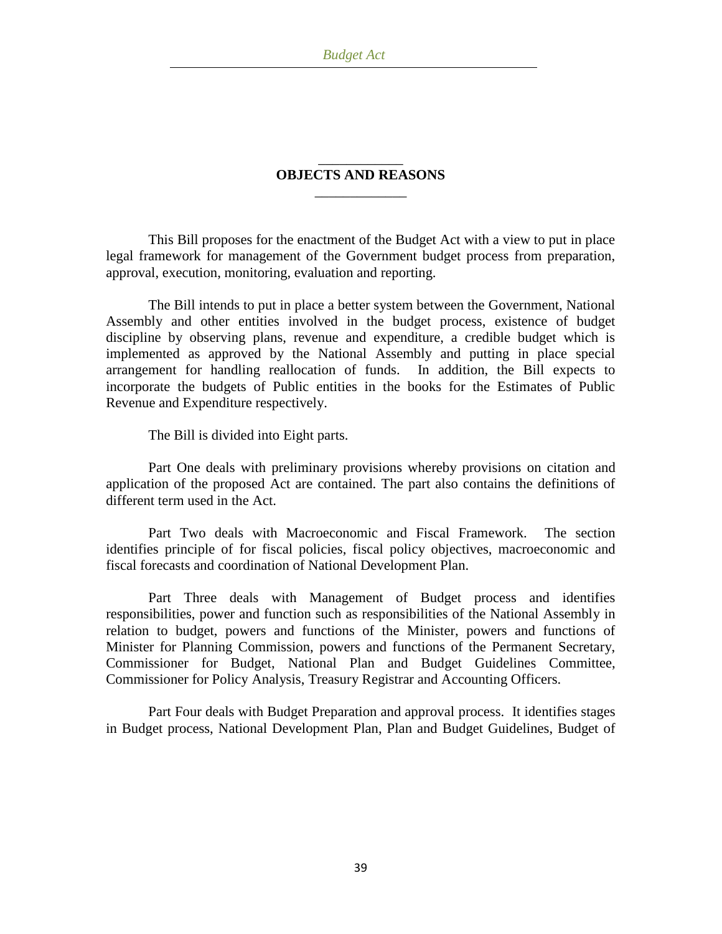### \_\_\_\_\_\_\_\_\_\_\_\_ **OBJECTS AND REASONS**  $\overline{\phantom{a}}$

This Bill proposes for the enactment of the Budget Act with a view to put in place legal framework for management of the Government budget process from preparation, approval, execution, monitoring, evaluation and reporting.

The Bill intends to put in place a better system between the Government, National Assembly and other entities involved in the budget process, existence of budget discipline by observing plans, revenue and expenditure, a credible budget which is implemented as approved by the National Assembly and putting in place special arrangement for handling reallocation of funds. In addition, the Bill expects to incorporate the budgets of Public entities in the books for the Estimates of Public Revenue and Expenditure respectively.

The Bill is divided into Eight parts.

Part One deals with preliminary provisions whereby provisions on citation and application of the proposed Act are contained. The part also contains the definitions of different term used in the Act.

Part Two deals with Macroeconomic and Fiscal Framework. The section identifies principle of for fiscal policies, fiscal policy objectives, macroeconomic and fiscal forecasts and coordination of National Development Plan.

Part Three deals with Management of Budget process and identifies responsibilities, power and function such as responsibilities of the National Assembly in relation to budget, powers and functions of the Minister, powers and functions of Minister for Planning Commission, powers and functions of the Permanent Secretary, Commissioner for Budget, National Plan and Budget Guidelines Committee, Commissioner for Policy Analysis, Treasury Registrar and Accounting Officers.

Part Four deals with Budget Preparation and approval process. It identifies stages in Budget process, National Development Plan, Plan and Budget Guidelines, Budget of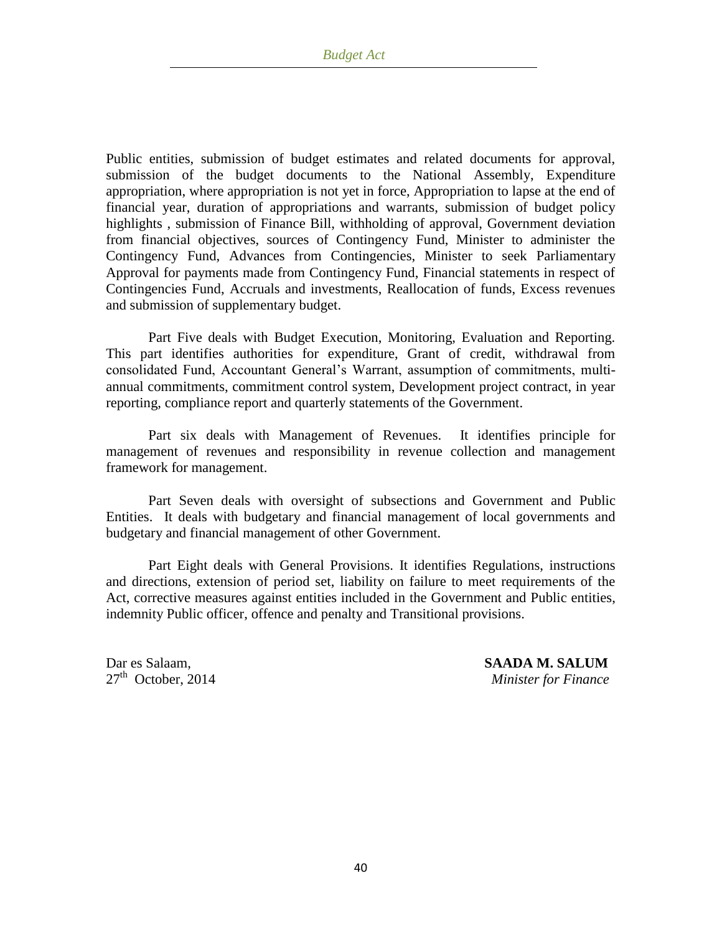Public entities, submission of budget estimates and related documents for approval, submission of the budget documents to the National Assembly, Expenditure appropriation, where appropriation is not yet in force, Appropriation to lapse at the end of financial year, duration of appropriations and warrants, submission of budget policy highlights , submission of Finance Bill, withholding of approval, Government deviation from financial objectives, sources of Contingency Fund, Minister to administer the Contingency Fund, Advances from Contingencies, Minister to seek Parliamentary Approval for payments made from Contingency Fund, Financial statements in respect of Contingencies Fund, Accruals and investments, Reallocation of funds, Excess revenues and submission of supplementary budget.

Part Five deals with Budget Execution, Monitoring, Evaluation and Reporting. This part identifies authorities for expenditure, Grant of credit, withdrawal from consolidated Fund, Accountant General"s Warrant, assumption of commitments, multiannual commitments, commitment control system, Development project contract, in year reporting, compliance report and quarterly statements of the Government.

Part six deals with Management of Revenues. It identifies principle for management of revenues and responsibility in revenue collection and management framework for management.

Part Seven deals with oversight of subsections and Government and Public Entities. It deals with budgetary and financial management of local governments and budgetary and financial management of other Government.

Part Eight deals with General Provisions. It identifies Regulations, instructions and directions, extension of period set, liability on failure to meet requirements of the Act, corrective measures against entities included in the Government and Public entities, indemnity Public officer, offence and penalty and Transitional provisions.

Dar es Salaam, **SAADA M. SALUM** 27th October, 2014 *Minister for Finance*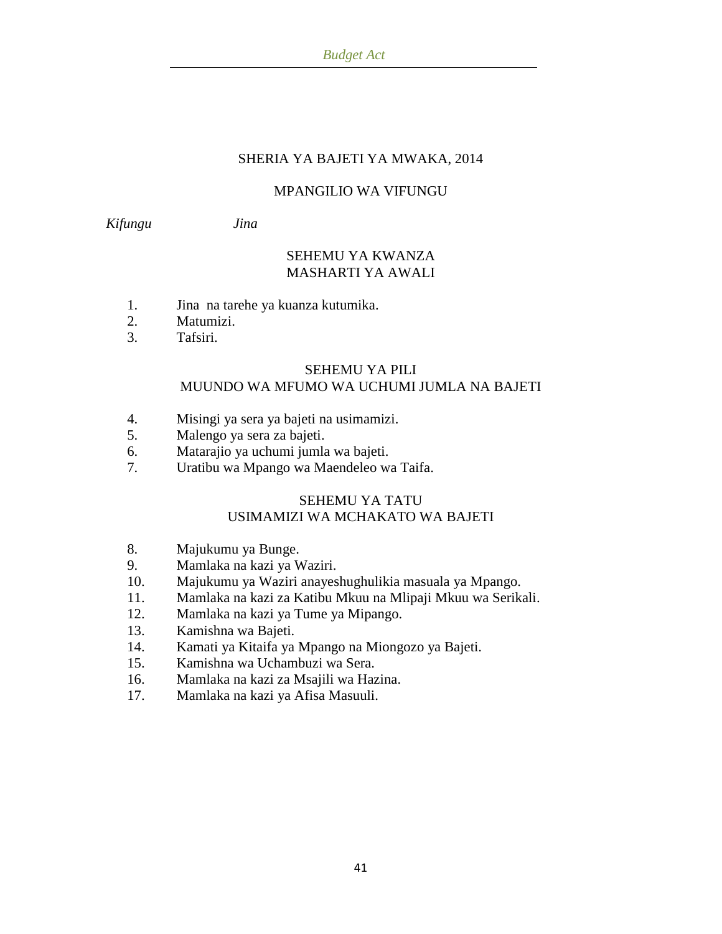## SHERIA YA BAJETI YA MWAKA, 2014

## MPANGILIO WA VIFUNGU

*Kifungu Jina*

## SEHEMU YA KWANZA MASHARTI YA AWALI

- 1. Jina na tarehe ya kuanza kutumika.
- 2. Matumizi.
- 3. Tafsiri.

#### SEHEMU YA PILI MUUNDO WA MFUMO WA UCHUMI JUMLA NA BAJETI

- 4. Misingi ya sera ya bajeti na usimamizi.
- 5. Malengo ya sera za bajeti.
- 6. Matarajio ya uchumi jumla wa bajeti.
- 7. Uratibu wa Mpango wa Maendeleo wa Taifa.

## SEHEMU YA TATU USIMAMIZI WA MCHAKATO WA BAJETI

- 8. Majukumu ya Bunge.
- 9. Mamlaka na kazi ya Waziri.
- 10. Majukumu ya Waziri anayeshughulikia masuala ya Mpango.
- 11. Mamlaka na kazi za Katibu Mkuu na Mlipaji Mkuu wa Serikali.
- 12. Mamlaka na kazi ya Tume ya Mipango.
- 13. Kamishna wa Bajeti.
- 14. Kamati ya Kitaifa ya Mpango na Miongozo ya Bajeti.
- 15. Kamishna wa Uchambuzi wa Sera.
- 16. Mamlaka na kazi za Msajili wa Hazina.
- 17. Mamlaka na kazi ya Afisa Masuuli.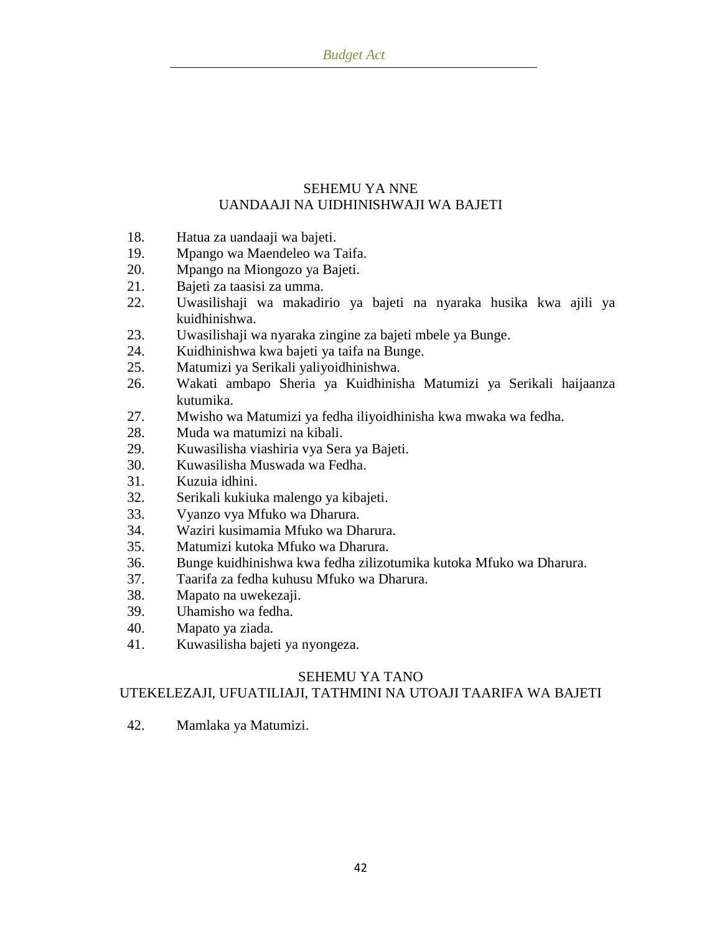## SEHEMU YA NNE UANDAAJI NA UIDHINISHWAJI WA BAJETI

- 18. Hatua za uandaaji wa bajeti.
- 19. Mpango wa Maendeleo wa Taifa.
- 20. Mpango na Miongozo ya Bajeti.
- 21. Bajeti za taasisi za umma.
- 22. Uwasilishaji wa makadirio ya bajeti na nyaraka husika kwa ajili ya kuidhinishwa.
- 23. Uwasilishaji wa nyaraka zingine za bajeti mbele ya Bunge.
- 24. Kuidhinishwa kwa bajeti ya taifa na Bunge.
- 25. Matumizi ya Serikali yaliyoidhinishwa.
- 26. Wakati ambapo Sheria ya Kuidhinisha Matumizi ya Serikali haijaanza kutumika.
- 27. Mwisho wa Matumizi ya fedha iliyoidhinisha kwa mwaka wa fedha.
- 28. Muda wa matumizi na kibali.
- 29. Kuwasilisha viashiria vya Sera ya Bajeti.
- 30. Kuwasilisha Muswada wa Fedha.
- 31. Kuzuia idhini.
- 32. Serikali kukiuka malengo ya kibajeti.
- 33. Vyanzo vya Mfuko wa Dharura.
- 34. Waziri kusimamia Mfuko wa Dharura.
- 35. Matumizi kutoka Mfuko wa Dharura.
- 36. Bunge kuidhinishwa kwa fedha zilizotumika kutoka Mfuko wa Dharura.
- 37. Taarifa za fedha kuhusu Mfuko wa Dharura.
- 38. Mapato na uwekezaji.
- 39. Uhamisho wa fedha.
- 40. Mapato ya ziada.
- 41. Kuwasilisha bajeti ya nyongeza.

## SEHEMU YA TANO

## UTEKELEZAJI, UFUATILIAJI, TATHMINI NA UTOAJI TAARIFA WA BAJETI

42. Mamlaka ya Matumizi.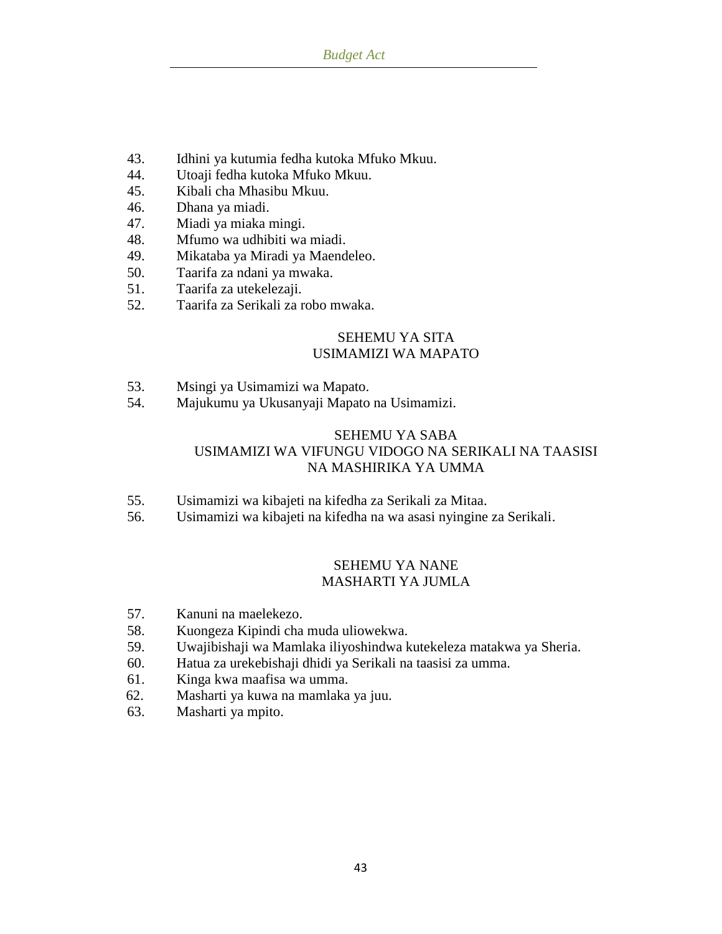- 43. Idhini ya kutumia fedha kutoka Mfuko Mkuu.
- 44. Utoaji fedha kutoka Mfuko Mkuu.
- 45. Kibali cha Mhasibu Mkuu.
- 46. Dhana ya miadi.
- 47. Miadi ya miaka mingi.
- 48. Mfumo wa udhibiti wa miadi.
- 49. Mikataba ya Miradi ya Maendeleo.
- 50. Taarifa za ndani ya mwaka.
- 51. Taarifa za utekelezaji.
- 52. Taarifa za Serikali za robo mwaka.

## SEHEMU YA SITA USIMAMIZI WA MAPATO

- 53. Msingi ya Usimamizi wa Mapato.
- 54. Majukumu ya Ukusanyaji Mapato na Usimamizi.

## SEHEMU YA SABA USIMAMIZI WA VIFUNGU VIDOGO NA SERIKALI NA TAASISI NA MASHIRIKA YA UMMA

- 55. Usimamizi wa kibajeti na kifedha za Serikali za Mitaa.
- 56. Usimamizi wa kibajeti na kifedha na wa asasi nyingine za Serikali.

### SEHEMU YA NANE MASHARTI YA JUMLA

- 57. Kanuni na maelekezo.
- 58. Kuongeza Kipindi cha muda uliowekwa.
- 59. Uwajibishaji wa Mamlaka iliyoshindwa kutekeleza matakwa ya Sheria.
- 60. Hatua za urekebishaji dhidi ya Serikali na taasisi za umma.
- 61. Kinga kwa maafisa wa umma.
- 62. Masharti ya kuwa na mamlaka ya juu.
- 63. Masharti ya mpito.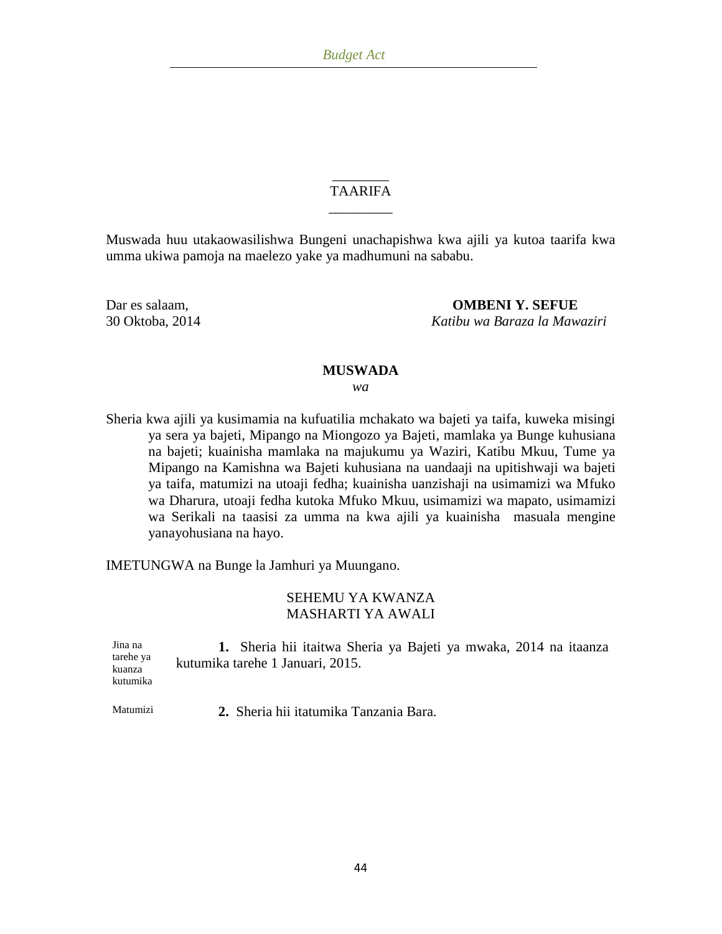### \_\_\_\_\_\_\_\_ TAARIFA \_\_\_\_\_\_\_\_\_

Muswada huu utakaowasilishwa Bungeni unachapishwa kwa ajili ya kutoa taarifa kwa umma ukiwa pamoja na maelezo yake ya madhumuni na sababu.

Dar es salaam, **OMBENI Y. SEFUE** 30 Oktoba, 2014 *Katibu wa Baraza la Mawaziri*

#### **MUSWADA**

*wa*

Sheria kwa ajili ya kusimamia na kufuatilia mchakato wa bajeti ya taifa, kuweka misingi ya sera ya bajeti, Mipango na Miongozo ya Bajeti, mamlaka ya Bunge kuhusiana na bajeti; kuainisha mamlaka na majukumu ya Waziri, Katibu Mkuu, Tume ya Mipango na Kamishna wa Bajeti kuhusiana na uandaaji na upitishwaji wa bajeti ya taifa, matumizi na utoaji fedha; kuainisha uanzishaji na usimamizi wa Mfuko wa Dharura, utoaji fedha kutoka Mfuko Mkuu, usimamizi wa mapato, usimamizi wa Serikali na taasisi za umma na kwa ajili ya kuainisha masuala mengine yanayohusiana na hayo.

IMETUNGWA na Bunge la Jamhuri ya Muungano.

## SEHEMU YA KWANZA MASHARTI YA AWALI

Jina na tarehe ya kuanza kutumika **1.** Sheria hii itaitwa Sheria ya Bajeti ya mwaka, 2014 na itaanza kutumika tarehe 1 Januari, 2015.

Matumizi **2.** Sheria hii itatumika Tanzania Bara.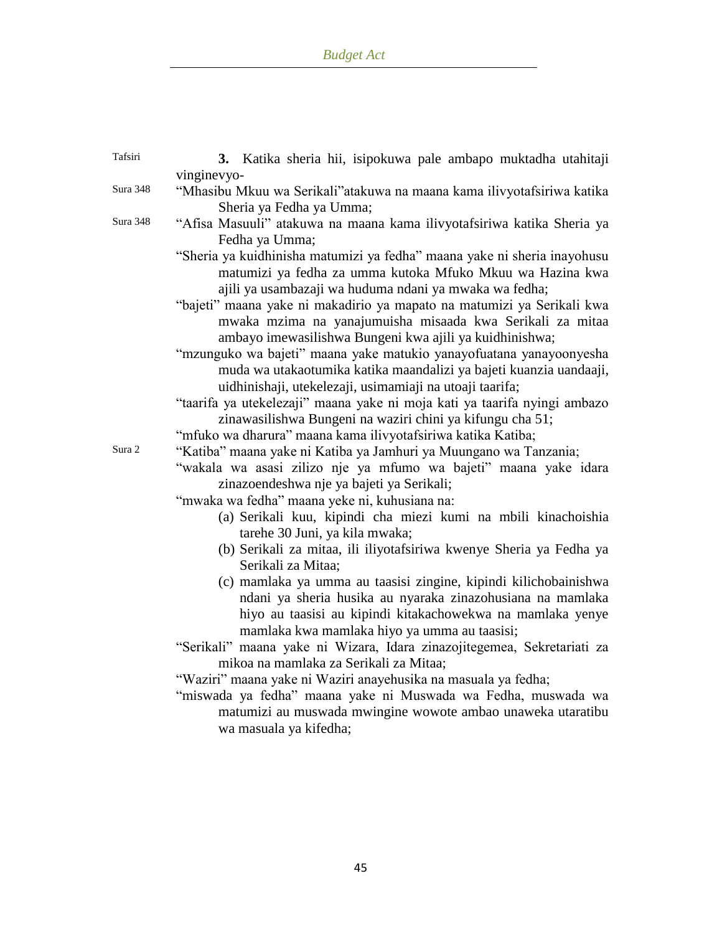| Tafsiri  | 3. Katika sheria hii, isipokuwa pale ambapo muktadha utahitaji                                                                                                                                                                               |
|----------|----------------------------------------------------------------------------------------------------------------------------------------------------------------------------------------------------------------------------------------------|
|          | vinginevyo-                                                                                                                                                                                                                                  |
| Sura 348 | "Mhasibu Mkuu wa Serikali"atakuwa na maana kama ilivyotafsiriwa katika<br>Sheria ya Fedha ya Umma;                                                                                                                                           |
| Sura 348 | "Afisa Masuuli" atakuwa na maana kama ilivyotafsiriwa katika Sheria ya<br>Fedha ya Umma;                                                                                                                                                     |
|          | "Sheria ya kuidhinisha matumizi ya fedha" maana yake ni sheria inayohusu<br>matumizi ya fedha za umma kutoka Mfuko Mkuu wa Hazina kwa<br>ajili ya usambazaji wa huduma ndani ya mwaka wa fedha;                                              |
|          | "bajeti" maana yake ni makadirio ya mapato na matumizi ya Serikali kwa<br>mwaka mzima na yanajumuisha misaada kwa Serikali za mitaa<br>ambayo imewasilishwa Bungeni kwa ajili ya kuidhinishwa;                                               |
|          | "mzunguko wa bajeti" maana yake matukio yanayofuatana yanayoonyesha<br>muda wa utakaotumika katika maandalizi ya bajeti kuanzia uandaaji,<br>uidhinishaji, utekelezaji, usimamiaji na utoaji taarifa;                                        |
|          | "taarifa ya utekelezaji" maana yake ni moja kati ya taarifa nyingi ambazo<br>zinawasilishwa Bungeni na waziri chini ya kifungu cha 51;                                                                                                       |
|          | "mfuko wa dharura" maana kama ilivyotafsiriwa katika Katiba;                                                                                                                                                                                 |
| Sura 2   | "Katiba" maana yake ni Katiba ya Jamhuri ya Muungano wa Tanzania;<br>"wakala wa asasi zilizo nje ya mfumo wa bajeti" maana yake idara<br>zinazoendeshwa nje ya bajeti ya Serikali;                                                           |
|          | "mwaka wa fedha" maana yeke ni, kuhusiana na:                                                                                                                                                                                                |
|          | (a) Serikali kuu, kipindi cha miezi kumi na mbili kinachoishia<br>tarehe 30 Juni, ya kila mwaka;                                                                                                                                             |
|          | (b) Serikali za mitaa, ili iliyotafsiriwa kwenye Sheria ya Fedha ya<br>Serikali za Mitaa;                                                                                                                                                    |
|          | (c) mamlaka ya umma au taasisi zingine, kipindi kilichobainishwa<br>ndani ya sheria husika au nyaraka zinazohusiana na mamlaka<br>hiyo au taasisi au kipindi kitakachowekwa na mamlaka yenye<br>mamlaka kwa mamlaka hiyo ya umma au taasisi; |
|          | "Serikali" maana yake ni Wizara, Idara zinazojitegemea, Sekretariati za<br>mikoa na mamlaka za Serikali za Mitaa;                                                                                                                            |
|          | "Waziri" maana yake ni Waziri anayehusika na masuala ya fedha;                                                                                                                                                                               |
|          | "miswada ya fedha" maana yake ni Muswada wa Fedha, muswada wa<br>matumizi au muswada mwingine wowote ambao unaweka utaratibu<br>wa masuala ya kifedha;                                                                                       |
|          |                                                                                                                                                                                                                                              |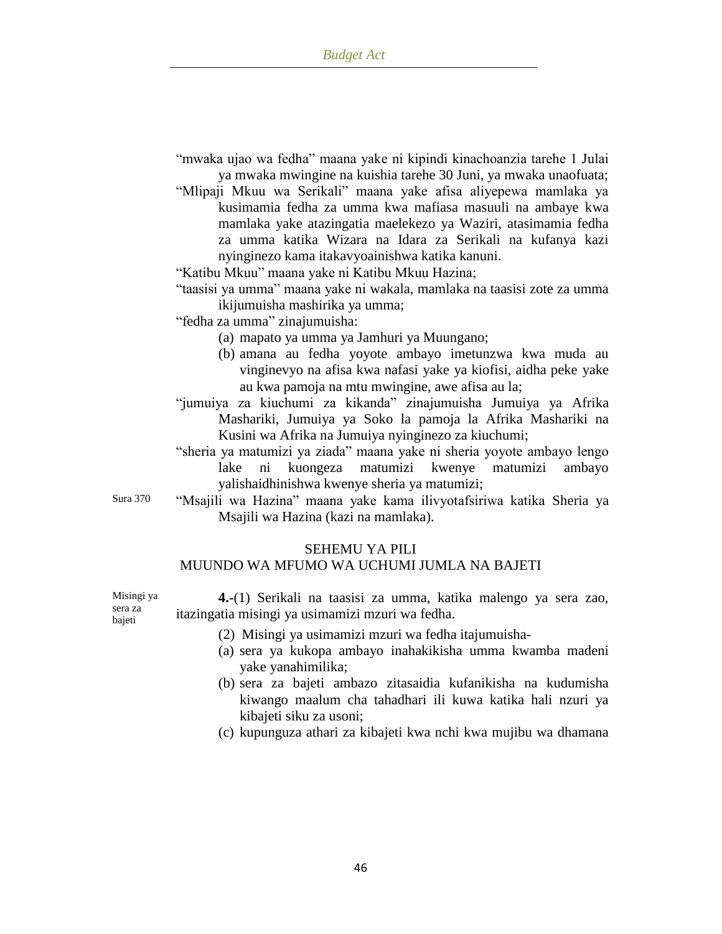- "mwaka ujao wa fedha" maana yake ni kipindi kinachoanzia tarehe 1 Julai ya mwaka mwingine na kuishia tarehe 30 Juni, ya mwaka unaofuata;
- "Mlipaji Mkuu wa Serikali" maana yake afisa aliyepewa mamlaka ya kusimamia fedha za umma kwa mafiasa masuuli na ambaye kwa mamlaka yake atazingatia maelekezo ya Waziri, atasimamia fedha za umma katika Wizara na Idara za Serikali na kufanya kazi nyinginezo kama itakavyoainishwa katika kanuni.

"Katibu Mkuu" maana yake ni Katibu Mkuu Hazina;

- "taasisi ya umma" maana yake ni wakala, mamlaka na taasisi zote za umma ikijumuisha mashirika ya umma;
- "fedha za umma" zinajumuisha:
	- (a) mapato ya umma ya Jamhuri ya Muungano;
	- (b) amana au fedha yoyote ambayo imetunzwa kwa muda au vinginevyo na afisa kwa nafasi yake ya kiofisi, aidha peke yake au kwa pamoja na mtu mwingine, awe afisa au la;
- "jumuiya za kiuchumi za kikanda" zinajumuisha Jumuiya ya Afrika Mashariki, Jumuiya ya Soko la pamoja la Afrika Mashariki na Kusini wa Afrika na Jumuiya nyinginezo za kiuchumi;
- "sheria ya matumizi ya ziada" maana yake ni sheria yoyote ambayo lengo lake ni kuongeza matumizi kwenye matumizi ambayo yalishaidhinishwa kwenye sheria ya matumizi;
- Sura 370 "Msajili wa Hazina" maana yake kama ilivyotafsiriwa katika Sheria ya Msajili wa Hazina (kazi na mamlaka).

#### SEHEMU YA PILI

### MUUNDO WA MFUMO WA UCHUMI JUMLA NA BAJETI

**4.-**(1) Serikali na taasisi za umma, katika malengo ya sera zao, itazingatia misingi ya usimamizi mzuri wa fedha.

- (2) Misingi ya usimamizi mzuri wa fedha itajumuisha-
- (a) sera ya kukopa ambayo inahakikisha umma kwamba madeni yake yanahimilika;
- (b) sera za bajeti ambazo zitasaidia kufanikisha na kudumisha kiwango maalum cha tahadhari ili kuwa katika hali nzuri ya kibajeti siku za usoni;
- (c) kupunguza athari za kibajeti kwa nchi kwa mujibu wa dhamana

Misingi ya sera za bajeti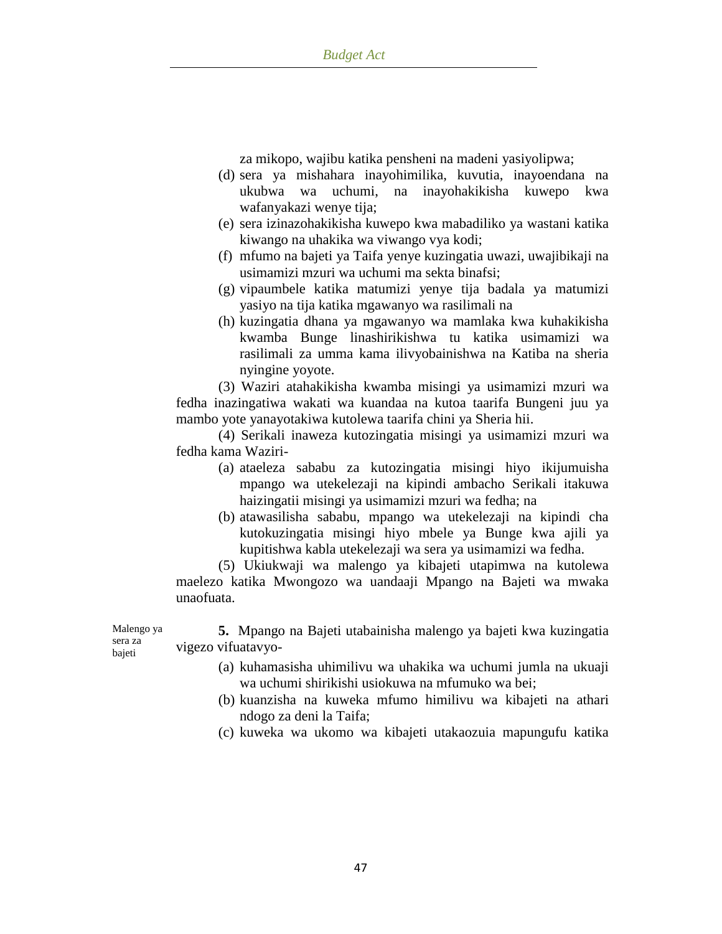za mikopo, wajibu katika pensheni na madeni yasiyolipwa;

- (d) sera ya mishahara inayohimilika, kuvutia, inayoendana na ukubwa wa uchumi, na inayohakikisha kuwepo kwa wafanyakazi wenye tija;
- (e) sera izinazohakikisha kuwepo kwa mabadiliko ya wastani katika kiwango na uhakika wa viwango vya kodi;
- (f) mfumo na bajeti ya Taifa yenye kuzingatia uwazi, uwajibikaji na usimamizi mzuri wa uchumi ma sekta binafsi;
- (g) vipaumbele katika matumizi yenye tija badala ya matumizi yasiyo na tija katika mgawanyo wa rasilimali na
- (h) kuzingatia dhana ya mgawanyo wa mamlaka kwa kuhakikisha kwamba Bunge linashirikishwa tu katika usimamizi wa rasilimali za umma kama ilivyobainishwa na Katiba na sheria nyingine yoyote.

(3) Waziri atahakikisha kwamba misingi ya usimamizi mzuri wa fedha inazingatiwa wakati wa kuandaa na kutoa taarifa Bungeni juu ya mambo yote yanayotakiwa kutolewa taarifa chini ya Sheria hii.

(4) Serikali inaweza kutozingatia misingi ya usimamizi mzuri wa fedha kama Waziri-

- (a) ataeleza sababu za kutozingatia misingi hiyo ikijumuisha mpango wa utekelezaji na kipindi ambacho Serikali itakuwa haizingatii misingi ya usimamizi mzuri wa fedha; na
- (b) atawasilisha sababu, mpango wa utekelezaji na kipindi cha kutokuzingatia misingi hiyo mbele ya Bunge kwa ajili ya kupitishwa kabla utekelezaji wa sera ya usimamizi wa fedha.

(5) Ukiukwaji wa malengo ya kibajeti utapimwa na kutolewa maelezo katika Mwongozo wa uandaaji Mpango na Bajeti wa mwaka unaofuata.

**5.** Mpango na Bajeti utabainisha malengo ya bajeti kwa kuzingatia vigezo vifuatavyo-

- (a) kuhamasisha uhimilivu wa uhakika wa uchumi jumla na ukuaji wa uchumi shirikishi usiokuwa na mfumuko wa bei;
- (b) kuanzisha na kuweka mfumo himilivu wa kibajeti na athari ndogo za deni la Taifa;
- (c) kuweka wa ukomo wa kibajeti utakaozuia mapungufu katika

Malengo ya sera za bajeti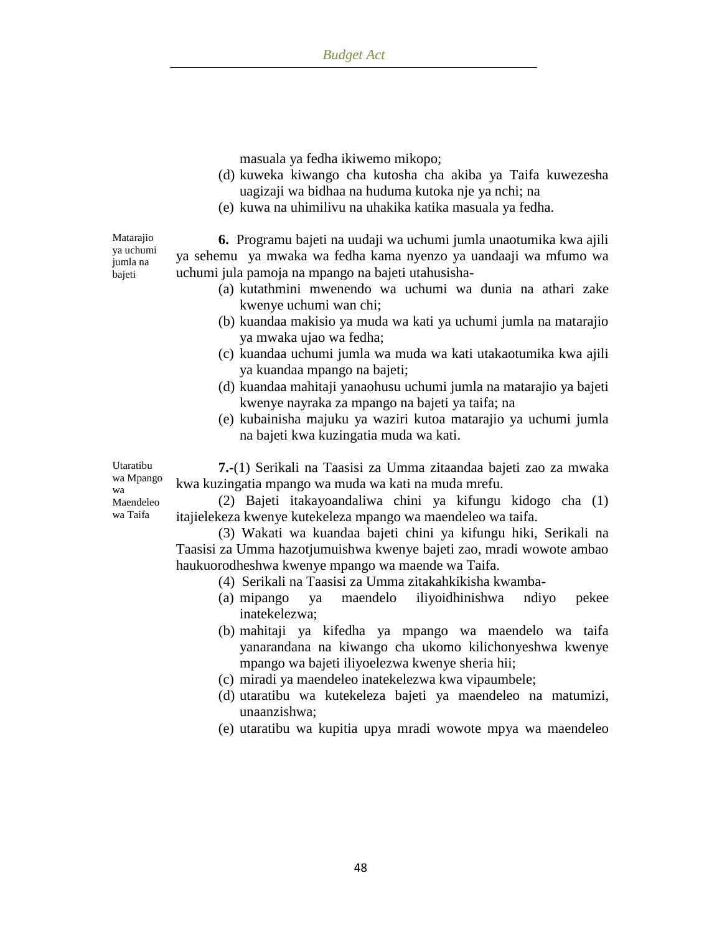masuala ya fedha ikiwemo mikopo;

- (d) kuweka kiwango cha kutosha cha akiba ya Taifa kuwezesha uagizaji wa bidhaa na huduma kutoka nje ya nchi; na
- (e) kuwa na uhimilivu na uhakika katika masuala ya fedha.

Matarajio ya uchumi jumla na bajeti

**6.** Programu bajeti na uudaji wa uchumi jumla unaotumika kwa ajili ya sehemu ya mwaka wa fedha kama nyenzo ya uandaaji wa mfumo wa uchumi jula pamoja na mpango na bajeti utahusisha-

- (a) kutathmini mwenendo wa uchumi wa dunia na athari zake kwenye uchumi wan chi;
- (b) kuandaa makisio ya muda wa kati ya uchumi jumla na matarajio ya mwaka ujao wa fedha;
- (c) kuandaa uchumi jumla wa muda wa kati utakaotumika kwa ajili ya kuandaa mpango na bajeti;
- (d) kuandaa mahitaji yanaohusu uchumi jumla na matarajio ya bajeti kwenye nayraka za mpango na bajeti ya taifa; na
- (e) kubainisha majuku ya waziri kutoa matarajio ya uchumi jumla na bajeti kwa kuzingatia muda wa kati.

**7.-**(1) Serikali na Taasisi za Umma zitaandaa bajeti zao za mwaka kwa kuzingatia mpango wa muda wa kati na muda mrefu.

(2) Bajeti itakayoandaliwa chini ya kifungu kidogo cha (1) itajielekeza kwenye kutekeleza mpango wa maendeleo wa taifa.

(3) Wakati wa kuandaa bajeti chini ya kifungu hiki, Serikali na Taasisi za Umma hazotjumuishwa kwenye bajeti zao, mradi wowote ambao haukuorodheshwa kwenye mpango wa maende wa Taifa.

- (4) Serikali na Taasisi za Umma zitakahkikisha kwamba-
- (a) mipango ya maendelo iliyoidhinishwa ndiyo pekee inatekelezwa;
- (b) mahitaji ya kifedha ya mpango wa maendelo wa taifa yanarandana na kiwango cha ukomo kilichonyeshwa kwenye mpango wa bajeti iliyoelezwa kwenye sheria hii;
- (c) miradi ya maendeleo inatekelezwa kwa vipaumbele;
- (d) utaratibu wa kutekeleza bajeti ya maendeleo na matumizi, unaanzishwa;
- (e) utaratibu wa kupitia upya mradi wowote mpya wa maendeleo

Utaratibu wa Mpango wa Maendeleo wa Taifa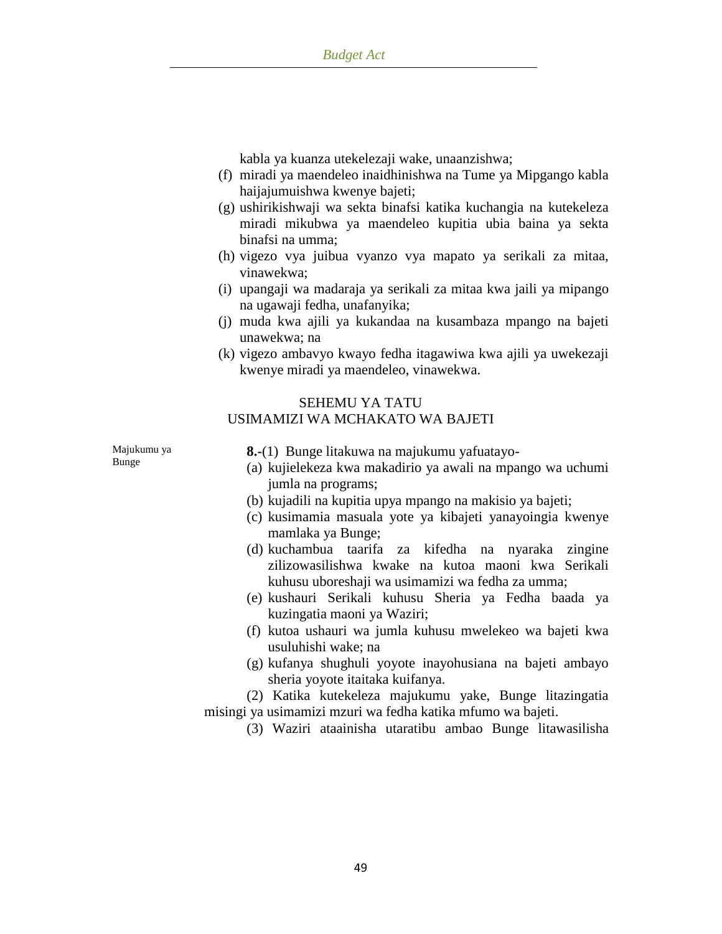kabla ya kuanza utekelezaji wake, unaanzishwa;

- (f) miradi ya maendeleo inaidhinishwa na Tume ya Mipgango kabla haijajumuishwa kwenye bajeti;
- (g) ushirikishwaji wa sekta binafsi katika kuchangia na kutekeleza miradi mikubwa ya maendeleo kupitia ubia baina ya sekta binafsi na umma;
- (h) vigezo vya juibua vyanzo vya mapato ya serikali za mitaa, vinawekwa;
- (i) upangaji wa madaraja ya serikali za mitaa kwa jaili ya mipango na ugawaji fedha, unafanyika;
- (j) muda kwa ajili ya kukandaa na kusambaza mpango na bajeti unawekwa; na
- (k) vigezo ambavyo kwayo fedha itagawiwa kwa ajili ya uwekezaji kwenye miradi ya maendeleo, vinawekwa.

# SEHEMU YA TATU

USIMAMIZI WA MCHAKATO WA BAJETI

Majukumu ya Bunge

**8.-**(1) Bunge litakuwa na majukumu yafuatayo-

- (a) kujielekeza kwa makadirio ya awali na mpango wa uchumi jumla na programs;
- (b) kujadili na kupitia upya mpango na makisio ya bajeti;
- (c) kusimamia masuala yote ya kibajeti yanayoingia kwenye mamlaka ya Bunge;
- (d) kuchambua taarifa za kifedha na nyaraka zingine zilizowasilishwa kwake na kutoa maoni kwa Serikali kuhusu uboreshaji wa usimamizi wa fedha za umma;
- (e) kushauri Serikali kuhusu Sheria ya Fedha baada ya kuzingatia maoni ya Waziri;
- (f) kutoa ushauri wa jumla kuhusu mwelekeo wa bajeti kwa usuluhishi wake; na
- (g) kufanya shughuli yoyote inayohusiana na bajeti ambayo sheria yoyote itaitaka kuifanya.

(2) Katika kutekeleza majukumu yake, Bunge litazingatia misingi ya usimamizi mzuri wa fedha katika mfumo wa bajeti.

(3) Waziri ataainisha utaratibu ambao Bunge litawasilisha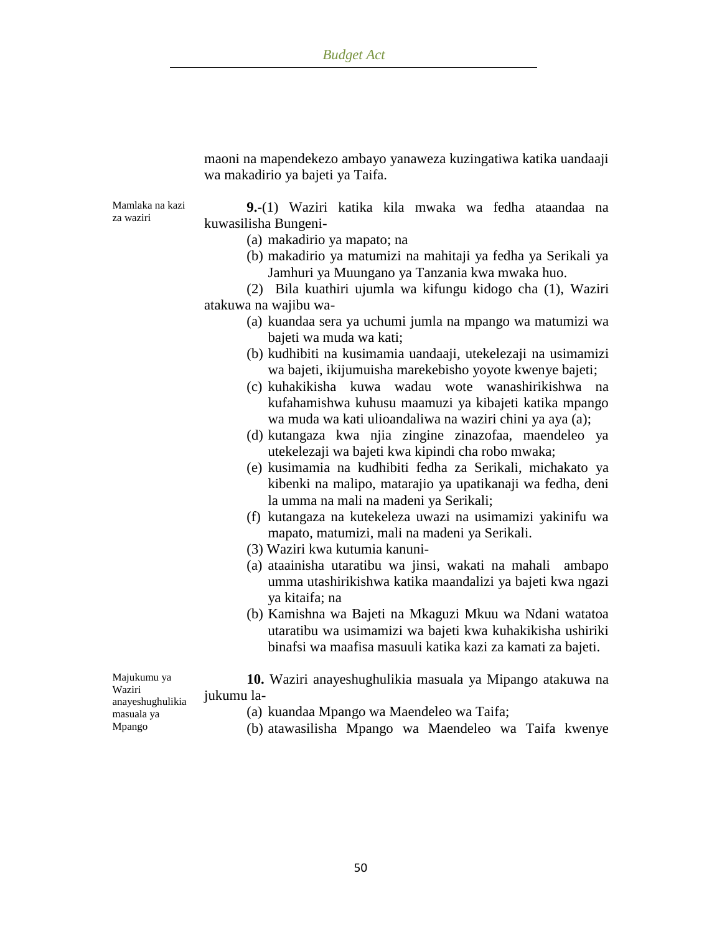maoni na mapendekezo ambayo yanaweza kuzingatiwa katika uandaaji wa makadirio ya bajeti ya Taifa.

Mamlaka na kazi za waziri

**9.-**(1) Waziri katika kila mwaka wa fedha ataandaa na kuwasilisha Bungeni-

- (a) makadirio ya mapato; na
- (b) makadirio ya matumizi na mahitaji ya fedha ya Serikali ya Jamhuri ya Muungano ya Tanzania kwa mwaka huo.

(2) Bila kuathiri ujumla wa kifungu kidogo cha (1), Waziri atakuwa na wajibu wa-

- (a) kuandaa sera ya uchumi jumla na mpango wa matumizi wa bajeti wa muda wa kati;
- (b) kudhibiti na kusimamia uandaaji, utekelezaji na usimamizi wa bajeti, ikijumuisha marekebisho yoyote kwenye bajeti;
- (c) kuhakikisha kuwa wadau wote wanashirikishwa na kufahamishwa kuhusu maamuzi ya kibajeti katika mpango wa muda wa kati ulioandaliwa na waziri chini ya aya (a);
- (d) kutangaza kwa njia zingine zinazofaa, maendeleo ya utekelezaji wa bajeti kwa kipindi cha robo mwaka;
- (e) kusimamia na kudhibiti fedha za Serikali, michakato ya kibenki na malipo, matarajio ya upatikanaji wa fedha, deni la umma na mali na madeni ya Serikali;
- (f) kutangaza na kutekeleza uwazi na usimamizi yakinifu wa mapato, matumizi, mali na madeni ya Serikali.
- (3) Waziri kwa kutumia kanuni-
- (a) ataainisha utaratibu wa jinsi, wakati na mahali ambapo umma utashirikishwa katika maandalizi ya bajeti kwa ngazi ya kitaifa; na
- (b) Kamishna wa Bajeti na Mkaguzi Mkuu wa Ndani watatoa utaratibu wa usimamizi wa bajeti kwa kuhakikisha ushiriki binafsi wa maafisa masuuli katika kazi za kamati za bajeti.

Majukumu ya Waziri anayeshughulikia masuala ya Mpango

- **10.** Waziri anayeshughulikia masuala ya Mipango atakuwa na jukumu la-
	- (a) kuandaa Mpango wa Maendeleo wa Taifa;
	- (b) atawasilisha Mpango wa Maendeleo wa Taifa kwenye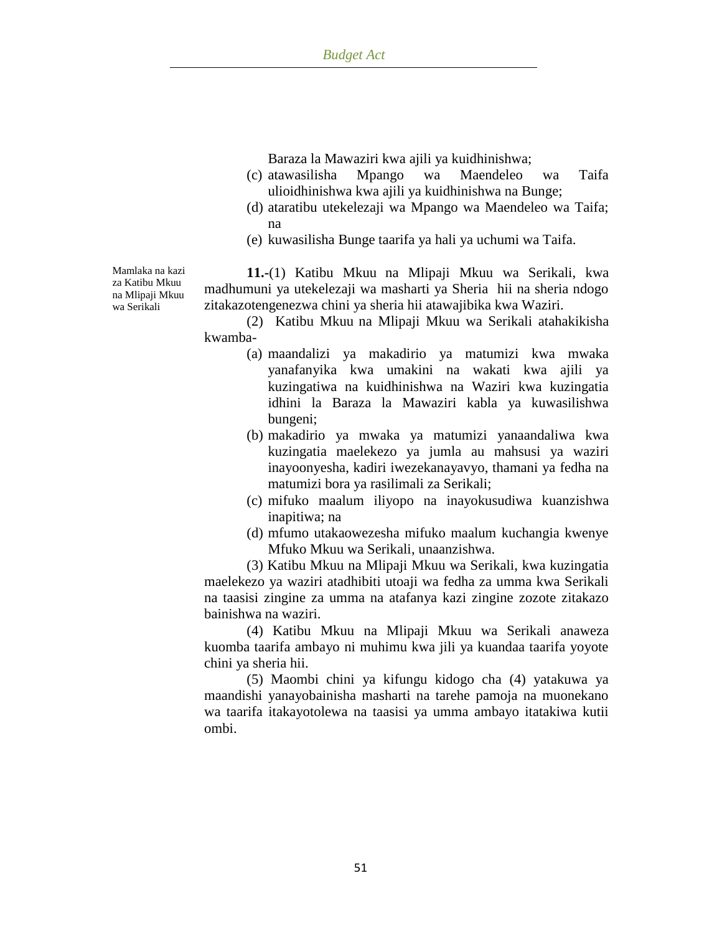Baraza la Mawaziri kwa ajili ya kuidhinishwa;

- (c) atawasilisha Mpango wa Maendeleo wa Taifa ulioidhinishwa kwa ajili ya kuidhinishwa na Bunge;
- (d) ataratibu utekelezaji wa Mpango wa Maendeleo wa Taifa; na
- (e) kuwasilisha Bunge taarifa ya hali ya uchumi wa Taifa.

Mamlaka na kazi za Katibu Mkuu na Mlipaji Mkuu wa Serikali

**11.-**(1) Katibu Mkuu na Mlipaji Mkuu wa Serikali, kwa madhumuni ya utekelezaji wa masharti ya Sheria hii na sheria ndogo zitakazotengenezwa chini ya sheria hii atawajibika kwa Waziri.

(2) Katibu Mkuu na Mlipaji Mkuu wa Serikali atahakikisha kwamba-

- (a) maandalizi ya makadirio ya matumizi kwa mwaka yanafanyika kwa umakini na wakati kwa ajili ya kuzingatiwa na kuidhinishwa na Waziri kwa kuzingatia idhini la Baraza la Mawaziri kabla ya kuwasilishwa bungeni;
- (b) makadirio ya mwaka ya matumizi yanaandaliwa kwa kuzingatia maelekezo ya jumla au mahsusi ya waziri inayoonyesha, kadiri iwezekanayavyo, thamani ya fedha na matumizi bora ya rasilimali za Serikali;
- (c) mifuko maalum iliyopo na inayokusudiwa kuanzishwa inapitiwa; na
- (d) mfumo utakaowezesha mifuko maalum kuchangia kwenye Mfuko Mkuu wa Serikali, unaanzishwa.

(3) Katibu Mkuu na Mlipaji Mkuu wa Serikali, kwa kuzingatia maelekezo ya waziri atadhibiti utoaji wa fedha za umma kwa Serikali na taasisi zingine za umma na atafanya kazi zingine zozote zitakazo bainishwa na waziri.

(4) Katibu Mkuu na Mlipaji Mkuu wa Serikali anaweza kuomba taarifa ambayo ni muhimu kwa jili ya kuandaa taarifa yoyote chini ya sheria hii.

(5) Maombi chini ya kifungu kidogo cha (4) yatakuwa ya maandishi yanayobainisha masharti na tarehe pamoja na muonekano wa taarifa itakayotolewa na taasisi ya umma ambayo itatakiwa kutii ombi.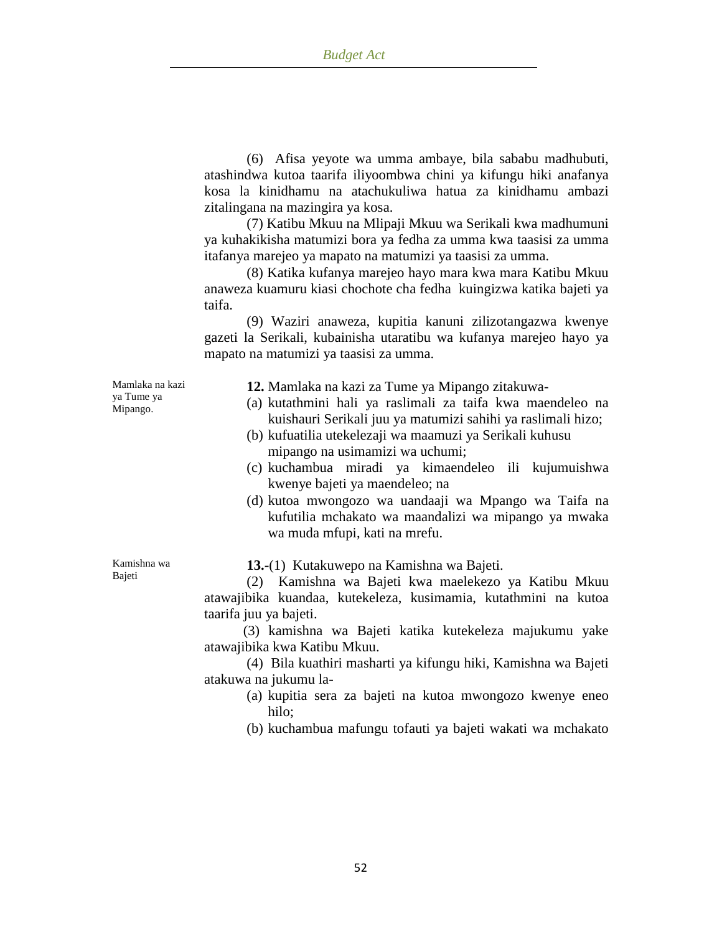(6) Afisa yeyote wa umma ambaye, bila sababu madhubuti, atashindwa kutoa taarifa iliyoombwa chini ya kifungu hiki anafanya kosa la kinidhamu na atachukuliwa hatua za kinidhamu ambazi zitalingana na mazingira ya kosa.

(7) Katibu Mkuu na Mlipaji Mkuu wa Serikali kwa madhumuni ya kuhakikisha matumizi bora ya fedha za umma kwa taasisi za umma itafanya marejeo ya mapato na matumizi ya taasisi za umma.

(8) Katika kufanya marejeo hayo mara kwa mara Katibu Mkuu anaweza kuamuru kiasi chochote cha fedha kuingizwa katika bajeti ya taifa.

(9) Waziri anaweza, kupitia kanuni zilizotangazwa kwenye gazeti la Serikali, kubainisha utaratibu wa kufanya marejeo hayo ya mapato na matumizi ya taasisi za umma.

Mamlaka na kazi ya Tume ya Mipango.

**12.** Mamlaka na kazi za Tume ya Mipango zitakuwa-

- (a) kutathmini hali ya raslimali za taifa kwa maendeleo na kuishauri Serikali juu ya matumizi sahihi ya raslimali hizo;
- (b) kufuatilia utekelezaji wa maamuzi ya Serikali kuhusu mipango na usimamizi wa uchumi;
- (c) kuchambua miradi ya kimaendeleo ili kujumuishwa kwenye bajeti ya maendeleo; na
- (d) kutoa mwongozo wa uandaaji wa Mpango wa Taifa na kufutilia mchakato wa maandalizi wa mipango ya mwaka wa muda mfupi, kati na mrefu.

Kamishna wa Bajeti

**13.-**(1) Kutakuwepo na Kamishna wa Bajeti.

(2) Kamishna wa Bajeti kwa maelekezo ya Katibu Mkuu atawajibika kuandaa, kutekeleza, kusimamia, kutathmini na kutoa taarifa juu ya bajeti.

 (3) kamishna wa Bajeti katika kutekeleza majukumu yake atawajibika kwa Katibu Mkuu.

(4) Bila kuathiri masharti ya kifungu hiki, Kamishna wa Bajeti atakuwa na jukumu la-

> (a) kupitia sera za bajeti na kutoa mwongozo kwenye eneo hilo;

> (b) kuchambua mafungu tofauti ya bajeti wakati wa mchakato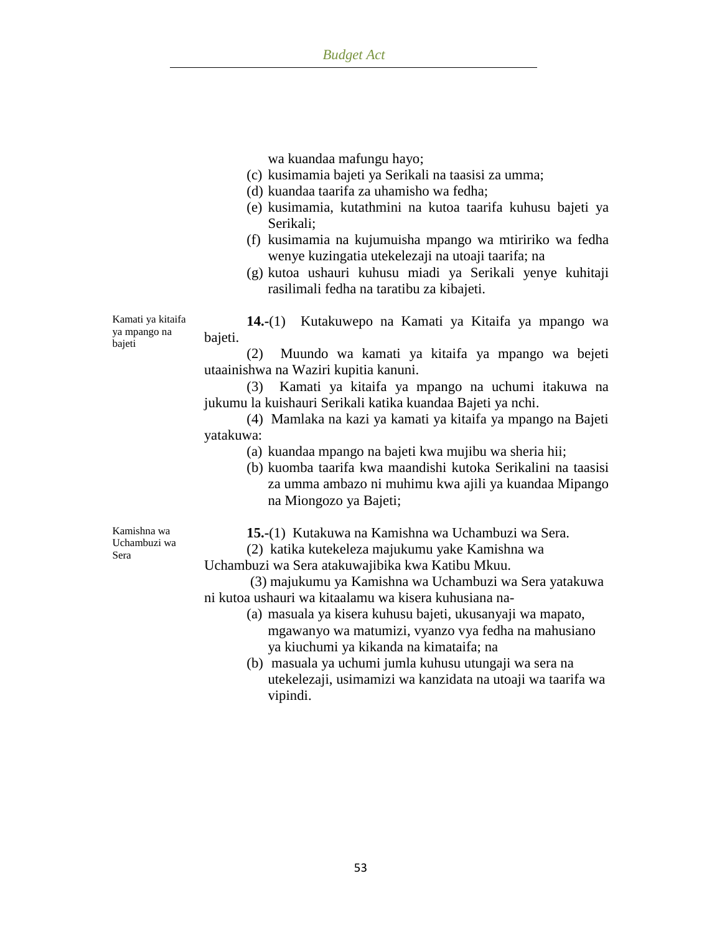wa kuandaa mafungu hayo;

- (c) kusimamia bajeti ya Serikali na taasisi za umma;
- (d) kuandaa taarifa za uhamisho wa fedha;
- (e) kusimamia, kutathmini na kutoa taarifa kuhusu bajeti ya Serikali;
- (f) kusimamia na kujumuisha mpango wa mtiririko wa fedha wenye kuzingatia utekelezaji na utoaji taarifa; na
- (g) kutoa ushauri kuhusu miadi ya Serikali yenye kuhitaji rasilimali fedha na taratibu za kibajeti.

Kamati ya kitaifa ya mpango na bajeti

**14.-**(1) Kutakuwepo na Kamati ya Kitaifa ya mpango wa bajeti.

(2) Muundo wa kamati ya kitaifa ya mpango wa bejeti utaainishwa na Waziri kupitia kanuni.

(3) Kamati ya kitaifa ya mpango na uchumi itakuwa na jukumu la kuishauri Serikali katika kuandaa Bajeti ya nchi.

(4) Mamlaka na kazi ya kamati ya kitaifa ya mpango na Bajeti yatakuwa:

- (a) kuandaa mpango na bajeti kwa mujibu wa sheria hii;
- (b) kuomba taarifa kwa maandishi kutoka Serikalini na taasisi za umma ambazo ni muhimu kwa ajili ya kuandaa Mipango na Miongozo ya Bajeti;

Kamishna wa Uchambuzi wa Sera

**15.-**(1) Kutakuwa na Kamishna wa Uchambuzi wa Sera.

(2) katika kutekeleza majukumu yake Kamishna wa

Uchambuzi wa Sera atakuwajibika kwa Katibu Mkuu.

 (3) majukumu ya Kamishna wa Uchambuzi wa Sera yatakuwa ni kutoa ushauri wa kitaalamu wa kisera kuhusiana na-

- (a) masuala ya kisera kuhusu bajeti, ukusanyaji wa mapato, mgawanyo wa matumizi, vyanzo vya fedha na mahusiano ya kiuchumi ya kikanda na kimataifa; na
- (b) masuala ya uchumi jumla kuhusu utungaji wa sera na utekelezaji, usimamizi wa kanzidata na utoaji wa taarifa wa vipindi.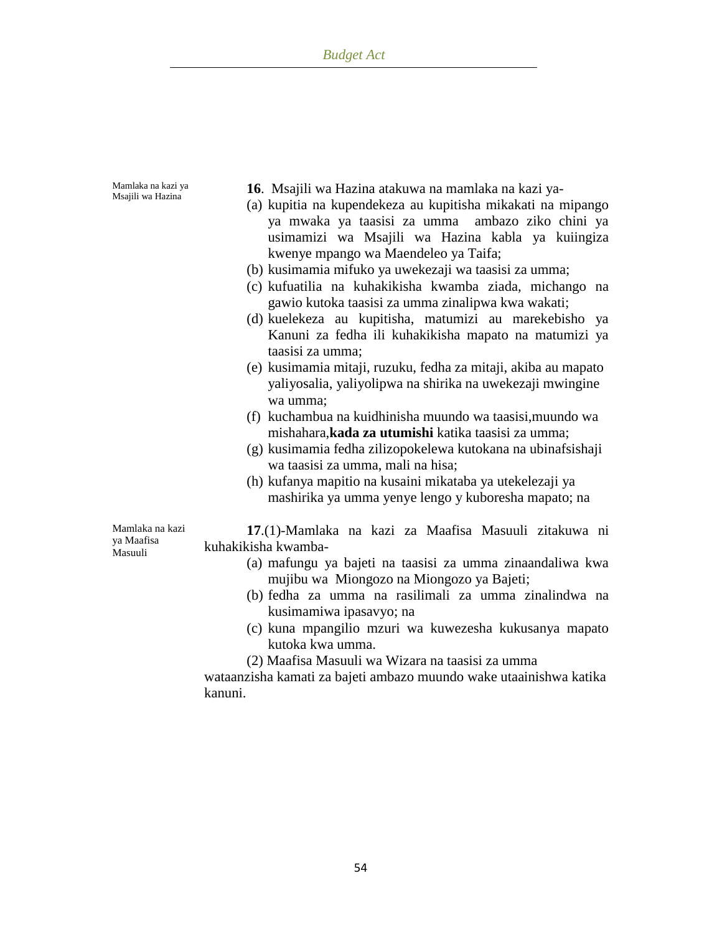| Mamlaka na kazi ya | 16. Msajili wa Hazina atakuwa na mamlaka na kazi ya-           |
|--------------------|----------------------------------------------------------------|
| Msajili wa Hazina  | (a) kupitia na kupendekeza au kupitisha mikakati na mipango    |
|                    | ya mwaka ya taasisi za umma ambazo ziko chini ya               |
|                    | usimamizi wa Msajili wa Hazina kabla ya kuiingiza              |
|                    | kwenye mpango wa Maendeleo ya Taifa;                           |
|                    | (b) kusimamia mifuko ya uwekezaji wa taasisi za umma;          |
|                    | (c) kufuatilia na kuhakikisha kwamba ziada, michango na        |
|                    | gawio kutoka taasisi za umma zinalipwa kwa wakati;             |
|                    | (d) kuelekeza au kupitisha, matumizi au marekebisho ya         |
|                    | Kanuni za fedha ili kuhakikisha mapato na matumizi ya          |
|                    | taasisi za umma;                                               |
|                    | (e) kusimamia mitaji, ruzuku, fedha za mitaji, akiba au mapato |
|                    | yaliyosalia, yaliyolipwa na shirika na uwekezaji mwingine      |
|                    | wa umma;                                                       |
|                    | (f) kuchambua na kuidhinisha muundo wa taasisi, muundo wa      |
|                    | mishahara, kada za utumishi katika taasisi za umma;            |
|                    | (g) kusimamia fedha zilizopokelewa kutokana na ubinafsishaji   |
|                    | wa taasisi za umma, mali na hisa;                              |
|                    | (h) kufanya mapitio na kusaini mikataba ya utekelezaji ya      |
|                    | mashirika ya umma yenye lengo y kuboresha mapato; na           |
| Mamlaka na kazi    | 17.(1)-Mamlaka na kazi za Maafisa Masuuli zitakuwa ni          |
| ya Maafisa         | kuhakikisha kwamba-                                            |
| Masuuli            | (a) mafungu ya bajeti na taasisi za umma zinaandaliwa kwa      |
|                    | mujibu wa Miongozo na Miongozo ya Bajeti;                      |
|                    | (b) fedha za umma na rasilimali za umma zinalindwa na          |

- kusimamiwa ipasavyo; na
- (c) kuna mpangilio mzuri wa kuwezesha kukusanya mapato kutoka kwa umma.
- (2) Maafisa Masuuli wa Wizara na taasisi za umma

wataanzisha kamati za bajeti ambazo muundo wake utaainishwa katika kanuni.

54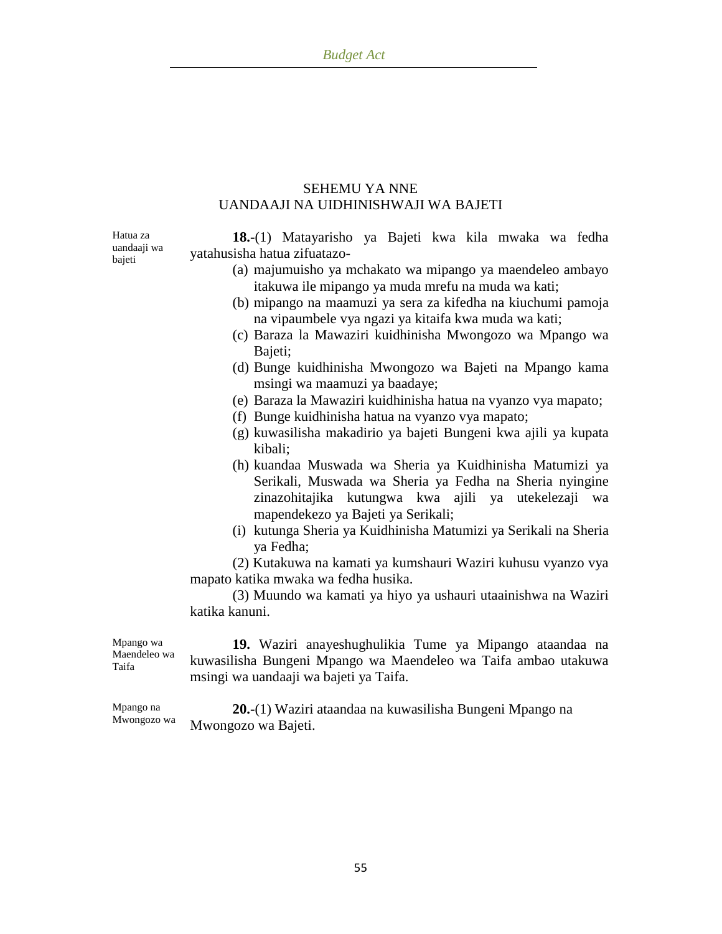### SEHEMU YA NNE UANDAAJI NA UIDHINISHWAJI WA BAJETI

Hatua za uandaaji wa bajeti

**18.-**(1) Matayarisho ya Bajeti kwa kila mwaka wa fedha yatahusisha hatua zifuatazo-

- (a) majumuisho ya mchakato wa mipango ya maendeleo ambayo itakuwa ile mipango ya muda mrefu na muda wa kati;
- (b) mipango na maamuzi ya sera za kifedha na kiuchumi pamoja na vipaumbele vya ngazi ya kitaifa kwa muda wa kati;
- (c) Baraza la Mawaziri kuidhinisha Mwongozo wa Mpango wa Bajeti;
- (d) Bunge kuidhinisha Mwongozo wa Bajeti na Mpango kama msingi wa maamuzi ya baadaye;
- (e) Baraza la Mawaziri kuidhinisha hatua na vyanzo vya mapato;
- (f) Bunge kuidhinisha hatua na vyanzo vya mapato;
- (g) kuwasilisha makadirio ya bajeti Bungeni kwa ajili ya kupata kibali;
- (h) kuandaa Muswada wa Sheria ya Kuidhinisha Matumizi ya Serikali, Muswada wa Sheria ya Fedha na Sheria nyingine zinazohitajika kutungwa kwa ajili ya utekelezaji wa mapendekezo ya Bajeti ya Serikali;
- (i) kutunga Sheria ya Kuidhinisha Matumizi ya Serikali na Sheria ya Fedha;

(2) Kutakuwa na kamati ya kumshauri Waziri kuhusu vyanzo vya mapato katika mwaka wa fedha husika.

(3) Muundo wa kamati ya hiyo ya ushauri utaainishwa na Waziri katika kanuni.

Mpango wa Maendeleo wa Taifa **19.** Waziri anayeshughulikia Tume ya Mipango ataandaa na kuwasilisha Bungeni Mpango wa Maendeleo wa Taifa ambao utakuwa msingi wa uandaaji wa bajeti ya Taifa.

Mpango na Mwongozo wa **20.-**(1) Waziri ataandaa na kuwasilisha Bungeni Mpango na Mwongozo wa Bajeti.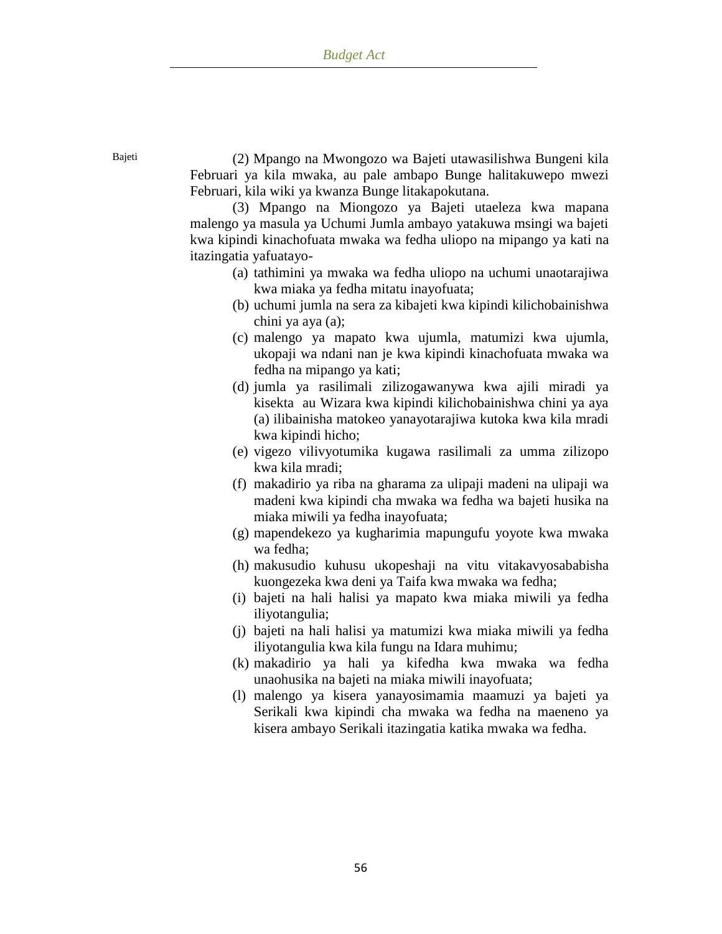Bajeti (2) Mpango na Mwongozo wa Bajeti utawasilishwa Bungeni kila Februari ya kila mwaka, au pale ambapo Bunge halitakuwepo mwezi Februari, kila wiki ya kwanza Bunge litakapokutana.

> (3) Mpango na Miongozo ya Bajeti utaeleza kwa mapana malengo ya masula ya Uchumi Jumla ambayo yatakuwa msingi wa bajeti kwa kipindi kinachofuata mwaka wa fedha uliopo na mipango ya kati na itazingatia yafuatayo-

- (a) tathimini ya mwaka wa fedha uliopo na uchumi unaotarajiwa kwa miaka ya fedha mitatu inayofuata;
- (b) uchumi jumla na sera za kibajeti kwa kipindi kilichobainishwa chini ya aya (a);
- (c) malengo ya mapato kwa ujumla, matumizi kwa ujumla, ukopaji wa ndani nan je kwa kipindi kinachofuata mwaka wa fedha na mipango ya kati;
- (d) jumla ya rasilimali zilizogawanywa kwa ajili miradi ya kisekta au Wizara kwa kipindi kilichobainishwa chini ya aya (a) ilibainisha matokeo yanayotarajiwa kutoka kwa kila mradi kwa kipindi hicho;
- (e) vigezo vilivyotumika kugawa rasilimali za umma zilizopo kwa kila mradi;
- (f) makadirio ya riba na gharama za ulipaji madeni na ulipaji wa madeni kwa kipindi cha mwaka wa fedha wa bajeti husika na miaka miwili ya fedha inayofuata;
- (g) mapendekezo ya kugharimia mapungufu yoyote kwa mwaka wa fedha;
- (h) makusudio kuhusu ukopeshaji na vitu vitakavyosababisha kuongezeka kwa deni ya Taifa kwa mwaka wa fedha;
- (i) bajeti na hali halisi ya mapato kwa miaka miwili ya fedha iliyotangulia;
- (j) bajeti na hali halisi ya matumizi kwa miaka miwili ya fedha iliyotangulia kwa kila fungu na Idara muhimu;
- (k) makadirio ya hali ya kifedha kwa mwaka wa fedha unaohusika na bajeti na miaka miwili inayofuata;
- (l) malengo ya kisera yanayosimamia maamuzi ya bajeti ya Serikali kwa kipindi cha mwaka wa fedha na maeneno ya kisera ambayo Serikali itazingatia katika mwaka wa fedha.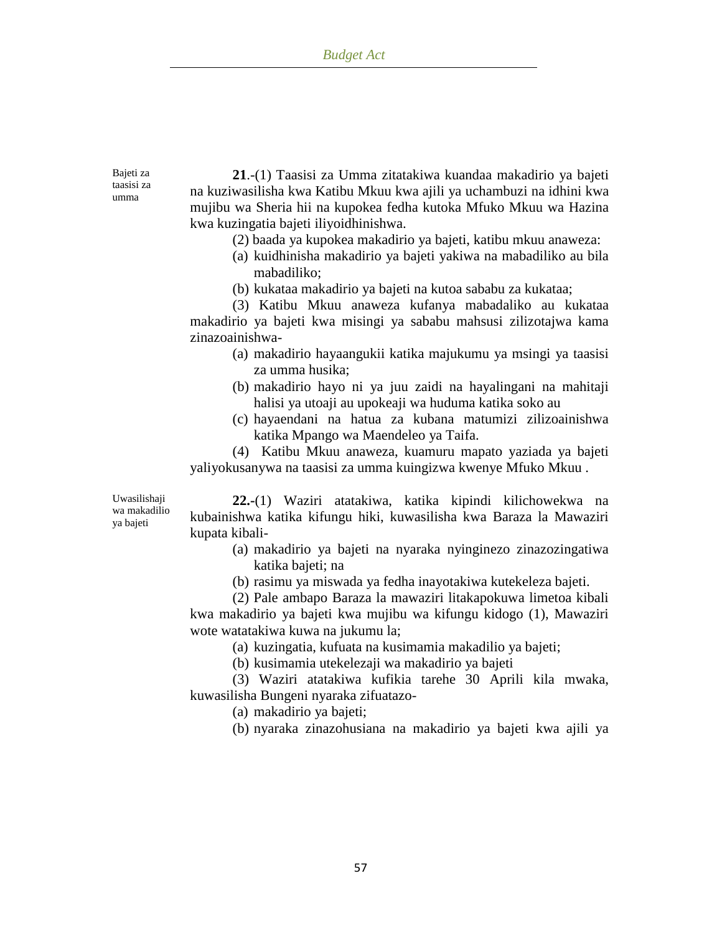Bajeti za taasisi za umma

**21**.-(1) Taasisi za Umma zitatakiwa kuandaa makadirio ya bajeti na kuziwasilisha kwa Katibu Mkuu kwa ajili ya uchambuzi na idhini kwa mujibu wa Sheria hii na kupokea fedha kutoka Mfuko Mkuu wa Hazina kwa kuzingatia bajeti iliyoidhinishwa.

- (2) baada ya kupokea makadirio ya bajeti, katibu mkuu anaweza:
- (a) kuidhinisha makadirio ya bajeti yakiwa na mabadiliko au bila mabadiliko;
- (b) kukataa makadirio ya bajeti na kutoa sababu za kukataa;
- (3) Katibu Mkuu anaweza kufanya mabadaliko au kukataa

makadirio ya bajeti kwa misingi ya sababu mahsusi zilizotajwa kama zinazoainishwa-

- (a) makadirio hayaangukii katika majukumu ya msingi ya taasisi za umma husika;
- (b) makadirio hayo ni ya juu zaidi na hayalingani na mahitaji halisi ya utoaji au upokeaji wa huduma katika soko au
- (c) hayaendani na hatua za kubana matumizi zilizoainishwa katika Mpango wa Maendeleo ya Taifa.

(4) Katibu Mkuu anaweza, kuamuru mapato yaziada ya bajeti yaliyokusanywa na taasisi za umma kuingizwa kwenye Mfuko Mkuu .

Uwasilishaji wa makadilio ya bajeti

**22.-**(1) Waziri atatakiwa, katika kipindi kilichowekwa na kubainishwa katika kifungu hiki, kuwasilisha kwa Baraza la Mawaziri kupata kibali-

- (a) makadirio ya bajeti na nyaraka nyinginezo zinazozingatiwa katika bajeti; na
- (b) rasimu ya miswada ya fedha inayotakiwa kutekeleza bajeti.

(2) Pale ambapo Baraza la mawaziri litakapokuwa limetoa kibali kwa makadirio ya bajeti kwa mujibu wa kifungu kidogo (1), Mawaziri wote watatakiwa kuwa na jukumu la;

(a) kuzingatia, kufuata na kusimamia makadilio ya bajeti;

(b) kusimamia utekelezaji wa makadirio ya bajeti

(3) Waziri atatakiwa kufikia tarehe 30 Aprili kila mwaka, kuwasilisha Bungeni nyaraka zifuatazo-

(a) makadirio ya bajeti;

(b) nyaraka zinazohusiana na makadirio ya bajeti kwa ajili ya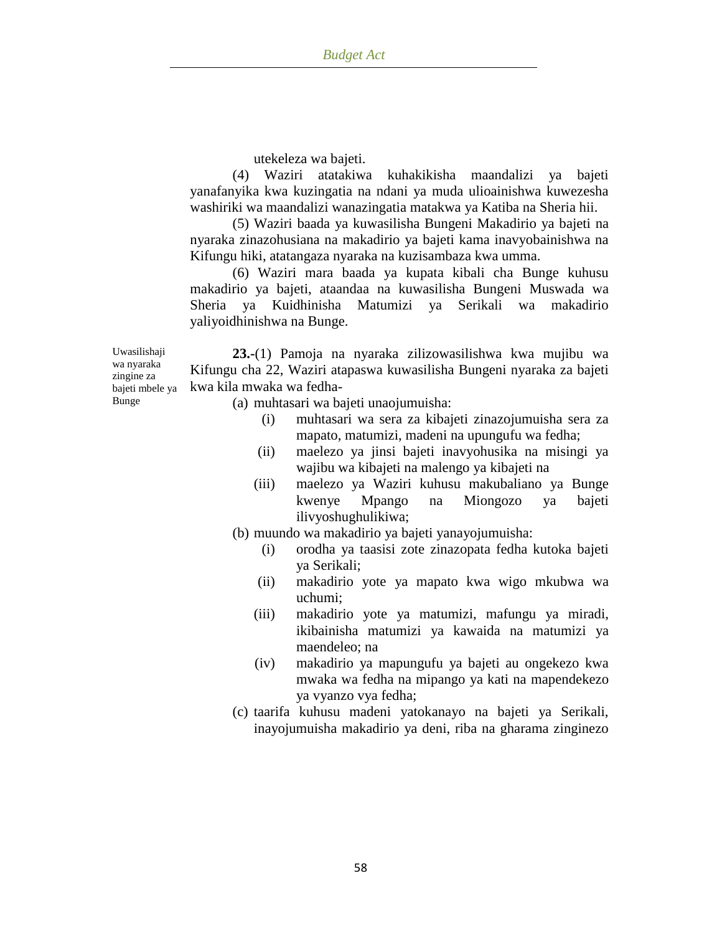utekeleza wa bajeti.

(4) Waziri atatakiwa kuhakikisha maandalizi ya bajeti yanafanyika kwa kuzingatia na ndani ya muda ulioainishwa kuwezesha washiriki wa maandalizi wanazingatia matakwa ya Katiba na Sheria hii.

(5) Waziri baada ya kuwasilisha Bungeni Makadirio ya bajeti na nyaraka zinazohusiana na makadirio ya bajeti kama inavyobainishwa na Kifungu hiki, atatangaza nyaraka na kuzisambaza kwa umma.

(6) Waziri mara baada ya kupata kibali cha Bunge kuhusu makadirio ya bajeti, ataandaa na kuwasilisha Bungeni Muswada wa Sheria ya Kuidhinisha Matumizi ya Serikali wa makadirio yaliyoidhinishwa na Bunge.

Uwasilishaji wa nyaraka zingine za bajeti mbele ya Bunge

**23.-**(1) Pamoja na nyaraka zilizowasilishwa kwa mujibu wa Kifungu cha 22, Waziri atapaswa kuwasilisha Bungeni nyaraka za bajeti kwa kila mwaka wa fedha-

- (a) muhtasari wa bajeti unaojumuisha:
	- (i) muhtasari wa sera za kibajeti zinazojumuisha sera za mapato, matumizi, madeni na upungufu wa fedha;
	- (ii) maelezo ya jinsi bajeti inavyohusika na misingi ya wajibu wa kibajeti na malengo ya kibajeti na
	- (iii) maelezo ya Waziri kuhusu makubaliano ya Bunge kwenye Mpango na Miongozo ya bajeti ilivyoshughulikiwa;
- (b) muundo wa makadirio ya bajeti yanayojumuisha:
	- (i) orodha ya taasisi zote zinazopata fedha kutoka bajeti ya Serikali;
	- (ii) makadirio yote ya mapato kwa wigo mkubwa wa uchumi;
	- (iii) makadirio yote ya matumizi, mafungu ya miradi, ikibainisha matumizi ya kawaida na matumizi ya maendeleo; na
	- (iv) makadirio ya mapungufu ya bajeti au ongekezo kwa mwaka wa fedha na mipango ya kati na mapendekezo ya vyanzo vya fedha;
- (c) taarifa kuhusu madeni yatokanayo na bajeti ya Serikali, inayojumuisha makadirio ya deni, riba na gharama zinginezo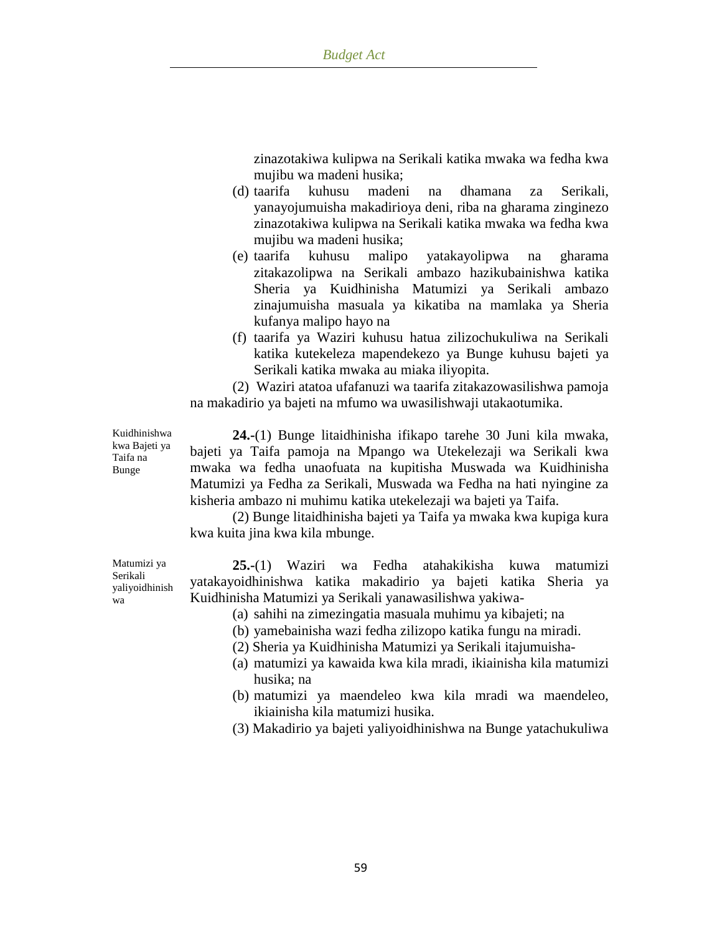zinazotakiwa kulipwa na Serikali katika mwaka wa fedha kwa mujibu wa madeni husika;

- (d) taarifa kuhusu madeni na dhamana za Serikali, yanayojumuisha makadirioya deni, riba na gharama zinginezo zinazotakiwa kulipwa na Serikali katika mwaka wa fedha kwa mujibu wa madeni husika;
- (e) taarifa kuhusu malipo yatakayolipwa na gharama zitakazolipwa na Serikali ambazo hazikubainishwa katika Sheria ya Kuidhinisha Matumizi ya Serikali ambazo zinajumuisha masuala ya kikatiba na mamlaka ya Sheria kufanya malipo hayo na
- (f) taarifa ya Waziri kuhusu hatua zilizochukuliwa na Serikali katika kutekeleza mapendekezo ya Bunge kuhusu bajeti ya Serikali katika mwaka au miaka iliyopita.

(2) Waziri atatoa ufafanuzi wa taarifa zitakazowasilishwa pamoja na makadirio ya bajeti na mfumo wa uwasilishwaji utakaotumika.

Kuidhinishwa kwa Bajeti ya Taifa na

**24.-**(1) Bunge litaidhinisha ifikapo tarehe 30 Juni kila mwaka, bajeti ya Taifa pamoja na Mpango wa Utekelezaji wa Serikali kwa mwaka wa fedha unaofuata na kupitisha Muswada wa Kuidhinisha Matumizi ya Fedha za Serikali, Muswada wa Fedha na hati nyingine za kisheria ambazo ni muhimu katika utekelezaji wa bajeti ya Taifa.

(2) Bunge litaidhinisha bajeti ya Taifa ya mwaka kwa kupiga kura kwa kuita jina kwa kila mbunge.

**25.-**(1) Waziri wa Fedha atahakikisha kuwa matumizi yatakayoidhinishwa katika makadirio ya bajeti katika Sheria ya Kuidhinisha Matumizi ya Serikali yanawasilishwa yakiwa-

- (a) sahihi na zimezingatia masuala muhimu ya kibajeti; na
- (b) yamebainisha wazi fedha zilizopo katika fungu na miradi.
- (2) Sheria ya Kuidhinisha Matumizi ya Serikali itajumuisha-
- (a) matumizi ya kawaida kwa kila mradi, ikiainisha kila matumizi husika; na
- (b) matumizi ya maendeleo kwa kila mradi wa maendeleo, ikiainisha kila matumizi husika.
- (3) Makadirio ya bajeti yaliyoidhinishwa na Bunge yatachukuliwa

Bunge

Matumizi ya Serikali yaliyoidhinish

wa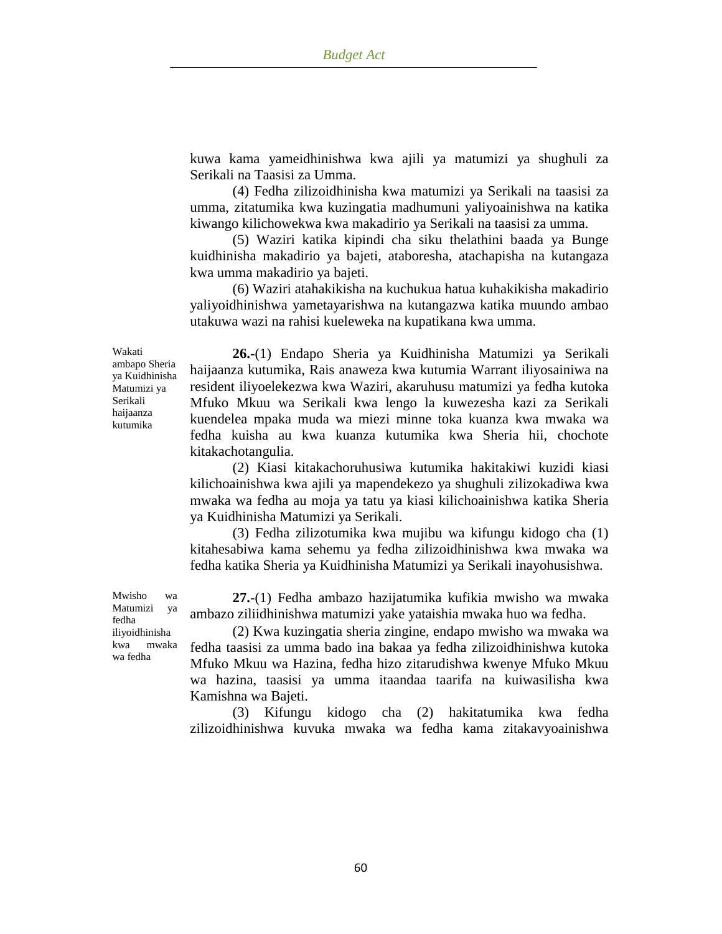kuwa kama yameidhinishwa kwa ajili ya matumizi ya shughuli za Serikali na Taasisi za Umma.

(4) Fedha zilizoidhinisha kwa matumizi ya Serikali na taasisi za umma, zitatumika kwa kuzingatia madhumuni yaliyoainishwa na katika kiwango kilichowekwa kwa makadirio ya Serikali na taasisi za umma.

(5) Waziri katika kipindi cha siku thelathini baada ya Bunge kuidhinisha makadirio ya bajeti, ataboresha, atachapisha na kutangaza kwa umma makadirio ya bajeti.

(6) Waziri atahakikisha na kuchukua hatua kuhakikisha makadirio yaliyoidhinishwa yametayarishwa na kutangazwa katika muundo ambao utakuwa wazi na rahisi kueleweka na kupatikana kwa umma.

Wakati ambapo Sheria ya Kuidhinisha Matumizi ya Serikali haijaanza kutumika

**26.-**(1) Endapo Sheria ya Kuidhinisha Matumizi ya Serikali haijaanza kutumika, Rais anaweza kwa kutumia Warrant iliyosainiwa na resident iliyoelekezwa kwa Waziri, akaruhusu matumizi ya fedha kutoka Mfuko Mkuu wa Serikali kwa lengo la kuwezesha kazi za Serikali kuendelea mpaka muda wa miezi minne toka kuanza kwa mwaka wa fedha kuisha au kwa kuanza kutumika kwa Sheria hii, chochote kitakachotangulia.

(2) Kiasi kitakachoruhusiwa kutumika hakitakiwi kuzidi kiasi kilichoainishwa kwa ajili ya mapendekezo ya shughuli zilizokadiwa kwa mwaka wa fedha au moja ya tatu ya kiasi kilichoainishwa katika Sheria ya Kuidhinisha Matumizi ya Serikali.

(3) Fedha zilizotumika kwa mujibu wa kifungu kidogo cha (1) kitahesabiwa kama sehemu ya fedha zilizoidhinishwa kwa mwaka wa fedha katika Sheria ya Kuidhinisha Matumizi ya Serikali inayohusishwa.

**27.**-(1) Fedha ambazo hazijatumika kufikia mwisho wa mwaka ambazo ziliidhinishwa matumizi yake yataishia mwaka huo wa fedha.

(2) Kwa kuzingatia sheria zingine, endapo mwisho wa mwaka wa fedha taasisi za umma bado ina bakaa ya fedha zilizoidhinishwa kutoka Mfuko Mkuu wa Hazina, fedha hizo zitarudishwa kwenye Mfuko Mkuu wa hazina, taasisi ya umma itaandaa taarifa na kuiwasilisha kwa Kamishna wa Bajeti.

(3) Kifungu kidogo cha (2) hakitatumika kwa fedha zilizoidhinishwa kuvuka mwaka wa fedha kama zitakavyoainishwa

Mwisho wa Matumizi ya fedha iliyoidhinisha kwa mwaka wa fedha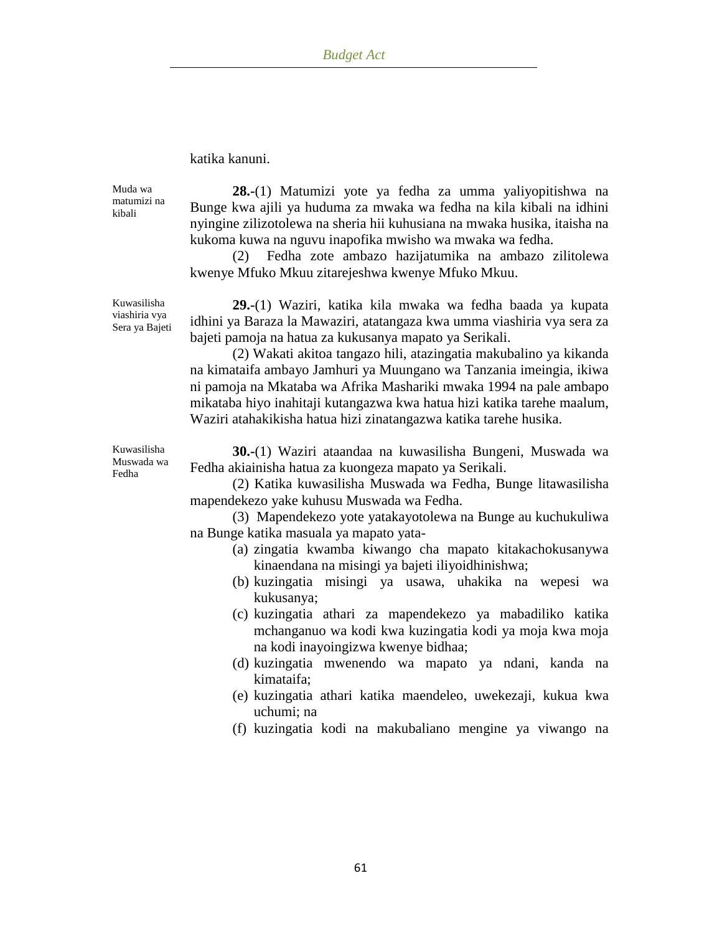#### katika kanuni.

Muda wa matumizi na kibali

Kuwasilisha viashiria vya Sera ya Bajeti

**28.-**(1) Matumizi yote ya fedha za umma yaliyopitishwa na Bunge kwa ajili ya huduma za mwaka wa fedha na kila kibali na idhini nyingine zilizotolewa na sheria hii kuhusiana na mwaka husika, itaisha na kukoma kuwa na nguvu inapofika mwisho wa mwaka wa fedha.

(2) Fedha zote ambazo hazijatumika na ambazo zilitolewa kwenye Mfuko Mkuu zitarejeshwa kwenye Mfuko Mkuu.

**29.-**(1) Waziri, katika kila mwaka wa fedha baada ya kupata idhini ya Baraza la Mawaziri, atatangaza kwa umma viashiria vya sera za bajeti pamoja na hatua za kukusanya mapato ya Serikali.

(2) Wakati akitoa tangazo hili, atazingatia makubalino ya kikanda na kimataifa ambayo Jamhuri ya Muungano wa Tanzania imeingia, ikiwa ni pamoja na Mkataba wa Afrika Mashariki mwaka 1994 na pale ambapo mikataba hiyo inahitaji kutangazwa kwa hatua hizi katika tarehe maalum, Waziri atahakikisha hatua hizi zinatangazwa katika tarehe husika.

Kuwasilisha Muswada wa Fedha

**30.-**(1) Waziri ataandaa na kuwasilisha Bungeni, Muswada wa Fedha akiainisha hatua za kuongeza mapato ya Serikali.

(2) Katika kuwasilisha Muswada wa Fedha, Bunge litawasilisha mapendekezo yake kuhusu Muswada wa Fedha.

(3) Mapendekezo yote yatakayotolewa na Bunge au kuchukuliwa na Bunge katika masuala ya mapato yata-

- (a) zingatia kwamba kiwango cha mapato kitakachokusanywa kinaendana na misingi ya bajeti iliyoidhinishwa;
- (b) kuzingatia misingi ya usawa, uhakika na wepesi wa kukusanya;
- (c) kuzingatia athari za mapendekezo ya mabadiliko katika mchanganuo wa kodi kwa kuzingatia kodi ya moja kwa moja na kodi inayoingizwa kwenye bidhaa;
- (d) kuzingatia mwenendo wa mapato ya ndani, kanda na kimataifa;
- (e) kuzingatia athari katika maendeleo, uwekezaji, kukua kwa uchumi; na
- (f) kuzingatia kodi na makubaliano mengine ya viwango na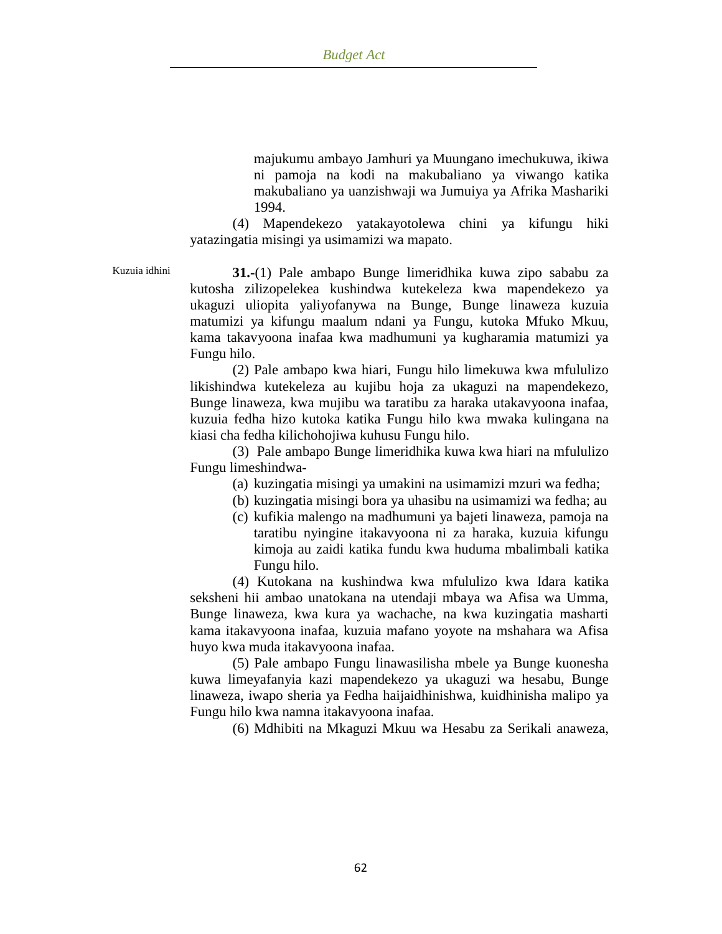majukumu ambayo Jamhuri ya Muungano imechukuwa, ikiwa ni pamoja na kodi na makubaliano ya viwango katika makubaliano ya uanzishwaji wa Jumuiya ya Afrika Mashariki 1994.

(4) Mapendekezo yatakayotolewa chini ya kifungu hiki yatazingatia misingi ya usimamizi wa mapato.

Kuzuia idhini **31.-**(1) Pale ambapo Bunge limeridhika kuwa zipo sababu za kutosha zilizopelekea kushindwa kutekeleza kwa mapendekezo ya ukaguzi uliopita yaliyofanywa na Bunge, Bunge linaweza kuzuia matumizi ya kifungu maalum ndani ya Fungu, kutoka Mfuko Mkuu, kama takavyoona inafaa kwa madhumuni ya kugharamia matumizi ya Fungu hilo.

> (2) Pale ambapo kwa hiari, Fungu hilo limekuwa kwa mfululizo likishindwa kutekeleza au kujibu hoja za ukaguzi na mapendekezo, Bunge linaweza, kwa mujibu wa taratibu za haraka utakavyoona inafaa, kuzuia fedha hizo kutoka katika Fungu hilo kwa mwaka kulingana na kiasi cha fedha kilichohojiwa kuhusu Fungu hilo.

> (3) Pale ambapo Bunge limeridhika kuwa kwa hiari na mfululizo Fungu limeshindwa-

- (a) kuzingatia misingi ya umakini na usimamizi mzuri wa fedha;
- (b) kuzingatia misingi bora ya uhasibu na usimamizi wa fedha; au
- (c) kufikia malengo na madhumuni ya bajeti linaweza, pamoja na taratibu nyingine itakavyoona ni za haraka, kuzuia kifungu kimoja au zaidi katika fundu kwa huduma mbalimbali katika Fungu hilo.

(4) Kutokana na kushindwa kwa mfululizo kwa Idara katika seksheni hii ambao unatokana na utendaji mbaya wa Afisa wa Umma, Bunge linaweza, kwa kura ya wachache, na kwa kuzingatia masharti kama itakavyoona inafaa, kuzuia mafano yoyote na mshahara wa Afisa huyo kwa muda itakavyoona inafaa.

(5) Pale ambapo Fungu linawasilisha mbele ya Bunge kuonesha kuwa limeyafanyia kazi mapendekezo ya ukaguzi wa hesabu, Bunge linaweza, iwapo sheria ya Fedha haijaidhinishwa, kuidhinisha malipo ya Fungu hilo kwa namna itakavyoona inafaa.

(6) Mdhibiti na Mkaguzi Mkuu wa Hesabu za Serikali anaweza,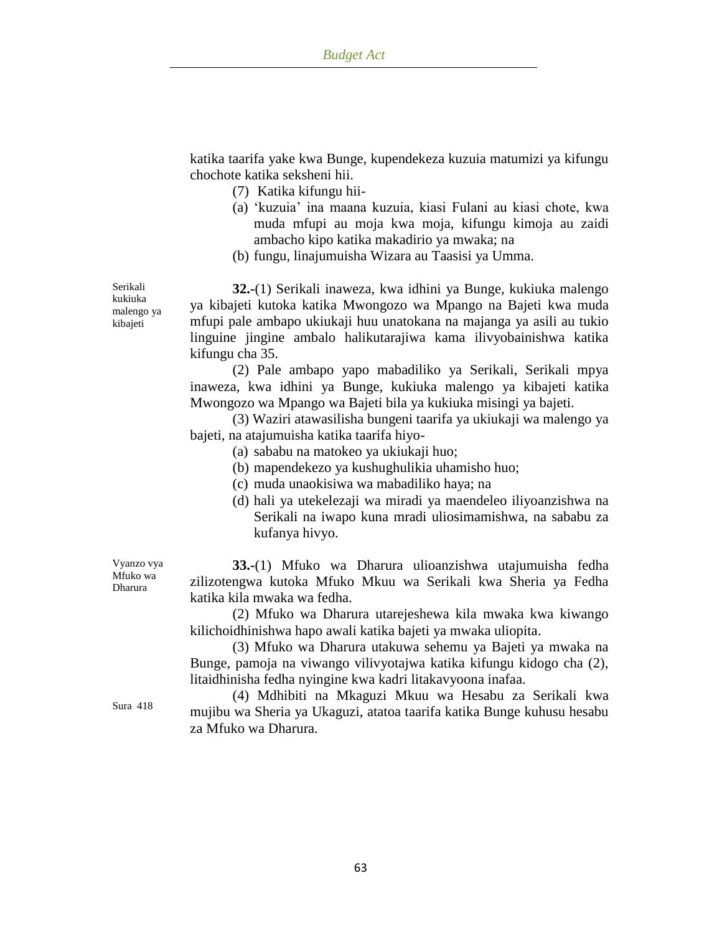katika taarifa yake kwa Bunge, kupendekeza kuzuia matumizi ya kifungu chochote katika seksheni hii.

- (7) Katika kifungu hii-
- (a) "kuzuia" ina maana kuzuia, kiasi Fulani au kiasi chote, kwa muda mfupi au moja kwa moja, kifungu kimoja au zaidi ambacho kipo katika makadirio ya mwaka; na
- (b) fungu, linajumuisha Wizara au Taasisi ya Umma.

**32.-**(1) Serikali inaweza, kwa idhini ya Bunge, kukiuka malengo ya kibajeti kutoka katika Mwongozo wa Mpango na Bajeti kwa muda mfupi pale ambapo ukiukaji huu unatokana na majanga ya asili au tukio linguine jingine ambalo halikutarajiwa kama ilivyobainishwa katika kifungu cha 35.

(2) Pale ambapo yapo mabadiliko ya Serikali, Serikali mpya inaweza, kwa idhini ya Bunge, kukiuka malengo ya kibajeti katika Mwongozo wa Mpango wa Bajeti bila ya kukiuka misingi ya bajeti.

(3) Waziri atawasilisha bungeni taarifa ya ukiukaji wa malengo ya bajeti, na atajumuisha katika taarifa hiyo-

- (a) sababu na matokeo ya ukiukaji huo;
- (b) mapendekezo ya kushughulikia uhamisho huo;
- (c) muda unaokisiwa wa mabadiliko haya; na
- (d) hali ya utekelezaji wa miradi ya maendeleo iliyoanzishwa na Serikali na iwapo kuna mradi uliosimamishwa, na sababu za kufanya hivyo.

**33.-**(1) Mfuko wa Dharura ulioanzishwa utajumuisha fedha zilizotengwa kutoka Mfuko Mkuu wa Serikali kwa Sheria ya Fedha katika kila mwaka wa fedha.

(2) Mfuko wa Dharura utarejeshewa kila mwaka kwa kiwango kilichoidhinishwa hapo awali katika bajeti ya mwaka uliopita.

(3) Mfuko wa Dharura utakuwa sehemu ya Bajeti ya mwaka na Bunge, pamoja na viwango vilivyotajwa katika kifungu kidogo cha (2), litaidhinisha fedha nyingine kwa kadri litakavyoona inafaa.

(4) Mdhibiti na Mkaguzi Mkuu wa Hesabu za Serikali kwa mujibu wa Sheria ya Ukaguzi, atatoa taarifa katika Bunge kuhusu hesabu za Mfuko wa Dharura.

kukiuka malengo ya kibajeti

Serikali

Vyanzo vya Mfuko wa Dharura

Sura 418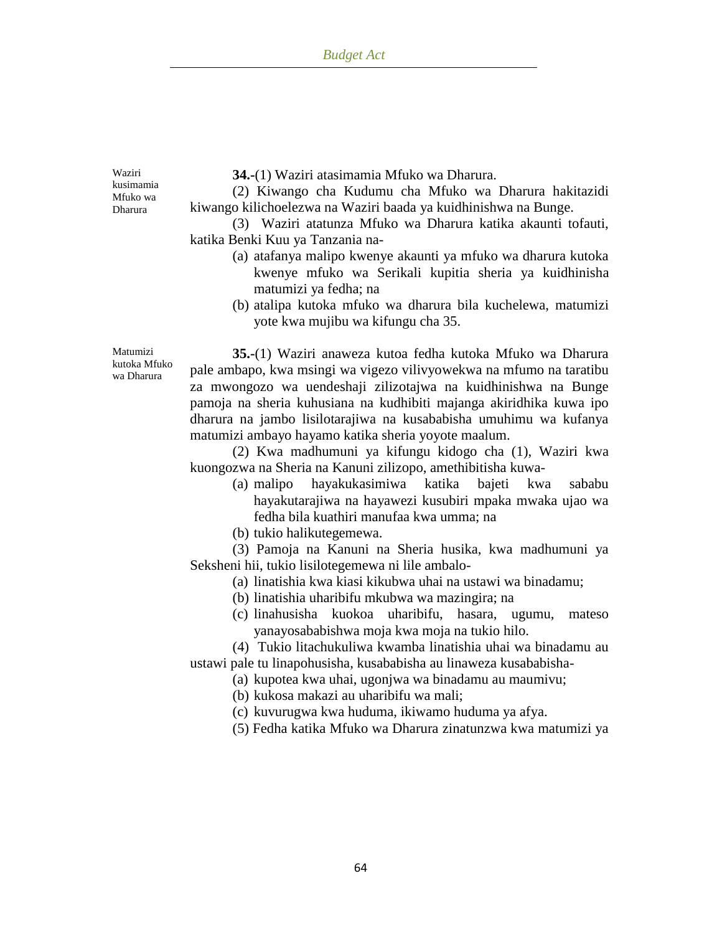Waziri kusimamia Mfuko wa Dharura

**34.-**(1) Waziri atasimamia Mfuko wa Dharura.

(2) Kiwango cha Kudumu cha Mfuko wa Dharura hakitazidi kiwango kilichoelezwa na Waziri baada ya kuidhinishwa na Bunge.

(3) Waziri atatunza Mfuko wa Dharura katika akaunti tofauti, katika Benki Kuu ya Tanzania na-

- (a) atafanya malipo kwenye akaunti ya mfuko wa dharura kutoka kwenye mfuko wa Serikali kupitia sheria ya kuidhinisha matumizi ya fedha; na
- (b) atalipa kutoka mfuko wa dharura bila kuchelewa, matumizi yote kwa mujibu wa kifungu cha 35.

Matumizi kutoka Mfuko wa Dharura

**35.-**(1) Waziri anaweza kutoa fedha kutoka Mfuko wa Dharura pale ambapo, kwa msingi wa vigezo vilivyowekwa na mfumo na taratibu za mwongozo wa uendeshaji zilizotajwa na kuidhinishwa na Bunge pamoja na sheria kuhusiana na kudhibiti majanga akiridhika kuwa ipo dharura na jambo lisilotarajiwa na kusababisha umuhimu wa kufanya matumizi ambayo hayamo katika sheria yoyote maalum.

(2) Kwa madhumuni ya kifungu kidogo cha (1), Waziri kwa kuongozwa na Sheria na Kanuni zilizopo, amethibitisha kuwa-

- (a) malipo hayakukasimiwa katika bajeti kwa sababu hayakutarajiwa na hayawezi kusubiri mpaka mwaka ujao wa fedha bila kuathiri manufaa kwa umma; na
- (b) tukio halikutegemewa.

(3) Pamoja na Kanuni na Sheria husika, kwa madhumuni ya Seksheni hii, tukio lisilotegemewa ni lile ambalo-

- (a) linatishia kwa kiasi kikubwa uhai na ustawi wa binadamu;
- (b) linatishia uharibifu mkubwa wa mazingira; na
- (c) linahusisha kuokoa uharibifu, hasara, ugumu, mateso yanayosababishwa moja kwa moja na tukio hilo.

(4) Tukio litachukuliwa kwamba linatishia uhai wa binadamu au ustawi pale tu linapohusisha, kusababisha au linaweza kusababisha-

(a) kupotea kwa uhai, ugonjwa wa binadamu au maumivu;

(b) kukosa makazi au uharibifu wa mali;

- (c) kuvurugwa kwa huduma, ikiwamo huduma ya afya.
- (5) Fedha katika Mfuko wa Dharura zinatunzwa kwa matumizi ya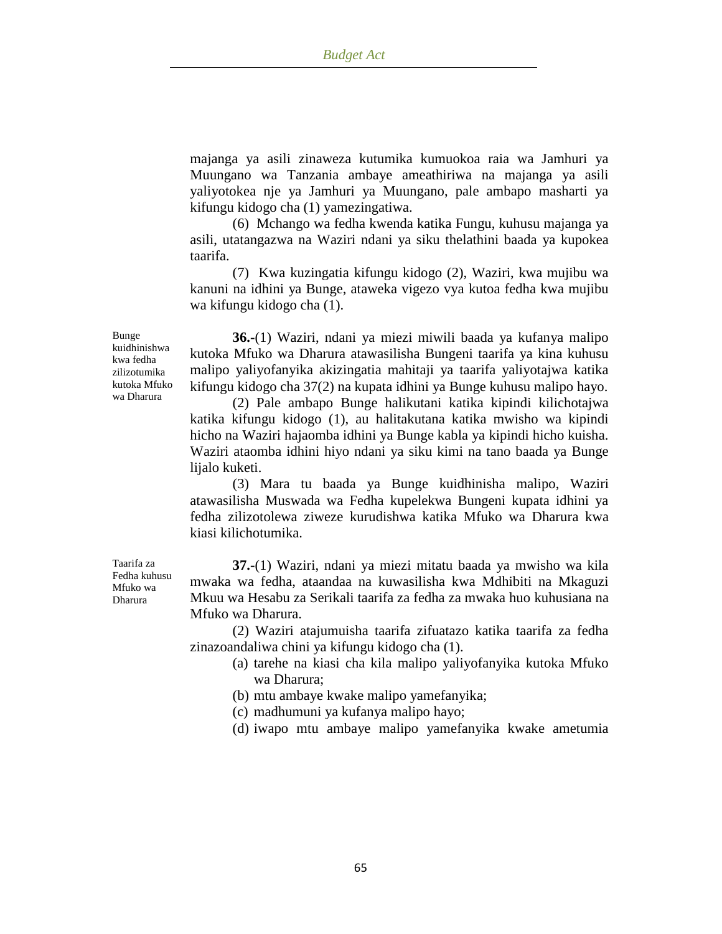majanga ya asili zinaweza kutumika kumuokoa raia wa Jamhuri ya Muungano wa Tanzania ambaye ameathiriwa na majanga ya asili yaliyotokea nje ya Jamhuri ya Muungano, pale ambapo masharti ya kifungu kidogo cha (1) yamezingatiwa.

(6) Mchango wa fedha kwenda katika Fungu, kuhusu majanga ya asili, utatangazwa na Waziri ndani ya siku thelathini baada ya kupokea taarifa.

(7) Kwa kuzingatia kifungu kidogo (2), Waziri, kwa mujibu wa kanuni na idhini ya Bunge, ataweka vigezo vya kutoa fedha kwa mujibu wa kifungu kidogo cha (1).

**36.-**(1) Waziri, ndani ya miezi miwili baada ya kufanya malipo kutoka Mfuko wa Dharura atawasilisha Bungeni taarifa ya kina kuhusu malipo yaliyofanyika akizingatia mahitaji ya taarifa yaliyotajwa katika kifungu kidogo cha 37(2) na kupata idhini ya Bunge kuhusu malipo hayo.

(2) Pale ambapo Bunge halikutani katika kipindi kilichotajwa katika kifungu kidogo (1), au halitakutana katika mwisho wa kipindi hicho na Waziri hajaomba idhini ya Bunge kabla ya kipindi hicho kuisha. Waziri ataomba idhini hiyo ndani ya siku kimi na tano baada ya Bunge lijalo kuketi.

(3) Mara tu baada ya Bunge kuidhinisha malipo, Waziri atawasilisha Muswada wa Fedha kupelekwa Bungeni kupata idhini ya fedha zilizotolewa ziweze kurudishwa katika Mfuko wa Dharura kwa kiasi kilichotumika.

**37.-**(1) Waziri, ndani ya miezi mitatu baada ya mwisho wa kila mwaka wa fedha, ataandaa na kuwasilisha kwa Mdhibiti na Mkaguzi Mkuu wa Hesabu za Serikali taarifa za fedha za mwaka huo kuhusiana na Mfuko wa Dharura.

(2) Waziri atajumuisha taarifa zifuatazo katika taarifa za fedha zinazoandaliwa chini ya kifungu kidogo cha (1).

- (a) tarehe na kiasi cha kila malipo yaliyofanyika kutoka Mfuko wa Dharura;
- (b) mtu ambaye kwake malipo yamefanyika;
- (c) madhumuni ya kufanya malipo hayo;
- (d) iwapo mtu ambaye malipo yamefanyika kwake ametumia

Bunge kuidhinishwa kwa fedha zilizotumika kutoka Mfuko wa Dharura

Taarifa za Fedha kuhusu Mfuko wa Dharura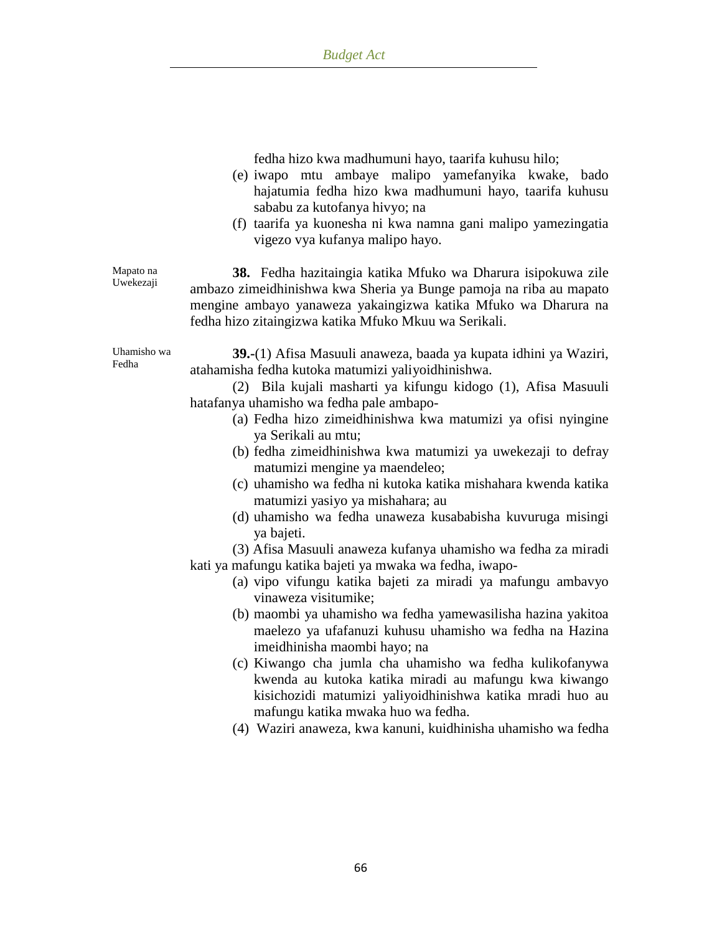fedha hizo kwa madhumuni hayo, taarifa kuhusu hilo;

- (e) iwapo mtu ambaye malipo yamefanyika kwake, bado hajatumia fedha hizo kwa madhumuni hayo, taarifa kuhusu sababu za kutofanya hivyo; na
- (f) taarifa ya kuonesha ni kwa namna gani malipo yamezingatia vigezo vya kufanya malipo hayo.

**38.** Fedha hazitaingia katika Mfuko wa Dharura isipokuwa zile ambazo zimeidhinishwa kwa Sheria ya Bunge pamoja na riba au mapato mengine ambayo yanaweza yakaingizwa katika Mfuko wa Dharura na fedha hizo zitaingizwa katika Mfuko Mkuu wa Serikali.

Uhamisho wa Fedha

Mapato na Uwekezaji

> **39.-**(1) Afisa Masuuli anaweza, baada ya kupata idhini ya Waziri, atahamisha fedha kutoka matumizi yaliyoidhinishwa.

(2) Bila kujali masharti ya kifungu kidogo (1), Afisa Masuuli hatafanya uhamisho wa fedha pale ambapo-

- (a) Fedha hizo zimeidhinishwa kwa matumizi ya ofisi nyingine ya Serikali au mtu;
- (b) fedha zimeidhinishwa kwa matumizi ya uwekezaji to defray matumizi mengine ya maendeleo;
- (c) uhamisho wa fedha ni kutoka katika mishahara kwenda katika matumizi yasiyo ya mishahara; au
- (d) uhamisho wa fedha unaweza kusababisha kuvuruga misingi ya bajeti.

(3) Afisa Masuuli anaweza kufanya uhamisho wa fedha za miradi kati ya mafungu katika bajeti ya mwaka wa fedha, iwapo-

- (a) vipo vifungu katika bajeti za miradi ya mafungu ambavyo vinaweza visitumike;
- (b) maombi ya uhamisho wa fedha yamewasilisha hazina yakitoa maelezo ya ufafanuzi kuhusu uhamisho wa fedha na Hazina imeidhinisha maombi hayo; na
- (c) Kiwango cha jumla cha uhamisho wa fedha kulikofanywa kwenda au kutoka katika miradi au mafungu kwa kiwango kisichozidi matumizi yaliyoidhinishwa katika mradi huo au mafungu katika mwaka huo wa fedha.
- (4) Waziri anaweza, kwa kanuni, kuidhinisha uhamisho wa fedha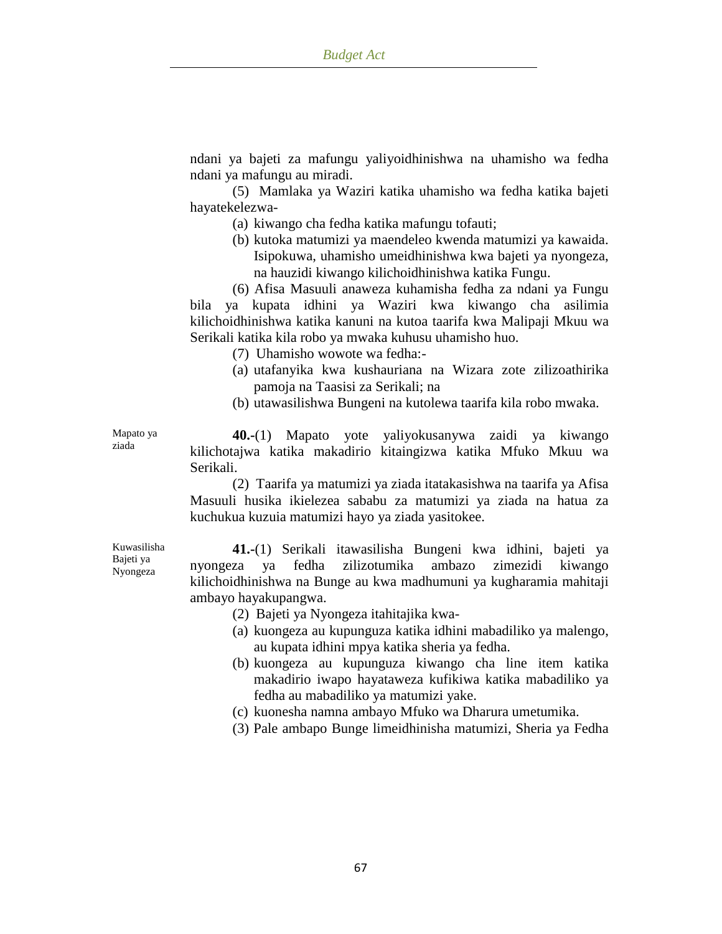ndani ya bajeti za mafungu yaliyoidhinishwa na uhamisho wa fedha ndani ya mafungu au miradi.

(5) Mamlaka ya Waziri katika uhamisho wa fedha katika bajeti hayatekelezwa-

- (a) kiwango cha fedha katika mafungu tofauti;
- (b) kutoka matumizi ya maendeleo kwenda matumizi ya kawaida. Isipokuwa, uhamisho umeidhinishwa kwa bajeti ya nyongeza, na hauzidi kiwango kilichoidhinishwa katika Fungu.

(6) Afisa Masuuli anaweza kuhamisha fedha za ndani ya Fungu bila ya kupata idhini ya Waziri kwa kiwango cha asilimia kilichoidhinishwa katika kanuni na kutoa taarifa kwa Malipaji Mkuu wa Serikali katika kila robo ya mwaka kuhusu uhamisho huo.

- (7) Uhamisho wowote wa fedha:-
- (a) utafanyika kwa kushauriana na Wizara zote zilizoathirika pamoja na Taasisi za Serikali; na
- (b) utawasilishwa Bungeni na kutolewa taarifa kila robo mwaka.

**40.-**(1) Mapato yote yaliyokusanywa zaidi ya kiwango kilichotajwa katika makadirio kitaingizwa katika Mfuko Mkuu wa Serikali.

(2) Taarifa ya matumizi ya ziada itatakasishwa na taarifa ya Afisa Masuuli husika ikielezea sababu za matumizi ya ziada na hatua za kuchukua kuzuia matumizi hayo ya ziada yasitokee.

Kuwasilisha Bajeti ya Nyongeza

Mapato ya ziada

> **41.-**(1) Serikali itawasilisha Bungeni kwa idhini, bajeti ya nyongeza ya fedha zilizotumika ambazo zimezidi kiwango kilichoidhinishwa na Bunge au kwa madhumuni ya kugharamia mahitaji ambayo hayakupangwa.

- (2) Bajeti ya Nyongeza itahitajika kwa-
- (a) kuongeza au kupunguza katika idhini mabadiliko ya malengo, au kupata idhini mpya katika sheria ya fedha.
- (b) kuongeza au kupunguza kiwango cha line item katika makadirio iwapo hayataweza kufikiwa katika mabadiliko ya fedha au mabadiliko ya matumizi yake.
- (c) kuonesha namna ambayo Mfuko wa Dharura umetumika.
- (3) Pale ambapo Bunge limeidhinisha matumizi, Sheria ya Fedha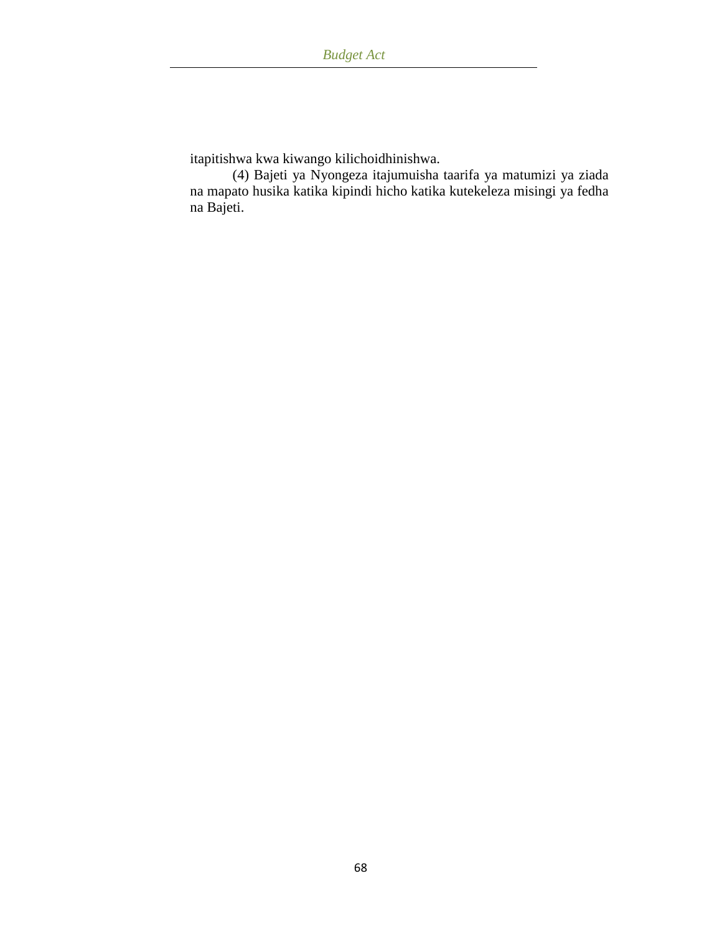itapitishwa kwa kiwango kilichoidhinishwa.

(4) Bajeti ya Nyongeza itajumuisha taarifa ya matumizi ya ziada na mapato husika katika kipindi hicho katika kutekeleza misingi ya fedha na Bajeti.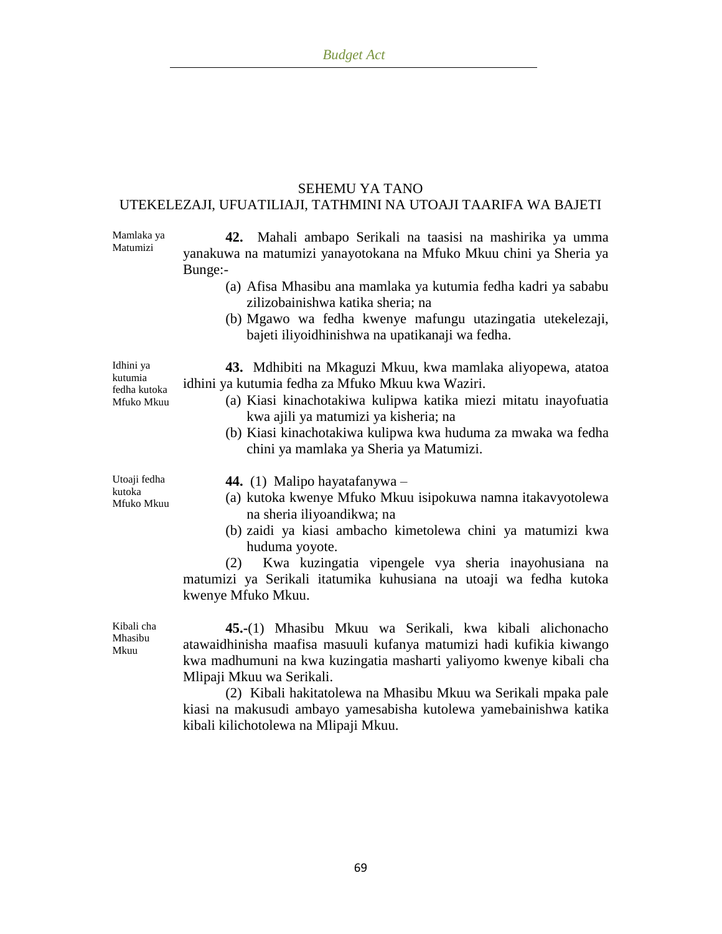#### SEHEMU YA TANO UTEKELEZAJI, UFUATILIAJI, TATHMINI NA UTOAJI TAARIFA WA BAJETI

Mamlaka ya Matumizi

**42.** Mahali ambapo Serikali na taasisi na mashirika ya umma yanakuwa na matumizi yanayotokana na Mfuko Mkuu chini ya Sheria ya Bunge:-

- (a) Afisa Mhasibu ana mamlaka ya kutumia fedha kadri ya sababu zilizobainishwa katika sheria; na
- (b) Mgawo wa fedha kwenye mafungu utazingatia utekelezaji, bajeti iliyoidhinishwa na upatikanaji wa fedha.

Idhini ya kutumia fedha kutoka Mfuko Mkuu

**43.** Mdhibiti na Mkaguzi Mkuu, kwa mamlaka aliyopewa, atatoa idhini ya kutumia fedha za Mfuko Mkuu kwa Waziri.

- (a) Kiasi kinachotakiwa kulipwa katika miezi mitatu inayofuatia kwa ajili ya matumizi ya kisheria; na
- (b) Kiasi kinachotakiwa kulipwa kwa huduma za mwaka wa fedha chini ya mamlaka ya Sheria ya Matumizi.

Utoaji fedha kutoka Mfuko Mkuu

- **44.** (1) Malipo hayatafanywa –
- (a) kutoka kwenye Mfuko Mkuu isipokuwa namna itakavyotolewa na sheria iliyoandikwa; na
- (b) zaidi ya kiasi ambacho kimetolewa chini ya matumizi kwa huduma yoyote.

(2) Kwa kuzingatia vipengele vya sheria inayohusiana na matumizi ya Serikali itatumika kuhusiana na utoaji wa fedha kutoka kwenye Mfuko Mkuu.

Kibali cha Mhasibu Mkuu

**45.-**(1) Mhasibu Mkuu wa Serikali, kwa kibali alichonacho atawaidhinisha maafisa masuuli kufanya matumizi hadi kufikia kiwango kwa madhumuni na kwa kuzingatia masharti yaliyomo kwenye kibali cha Mlipaji Mkuu wa Serikali.

(2) Kibali hakitatolewa na Mhasibu Mkuu wa Serikali mpaka pale kiasi na makusudi ambayo yamesabisha kutolewa yamebainishwa katika kibali kilichotolewa na Mlipaji Mkuu.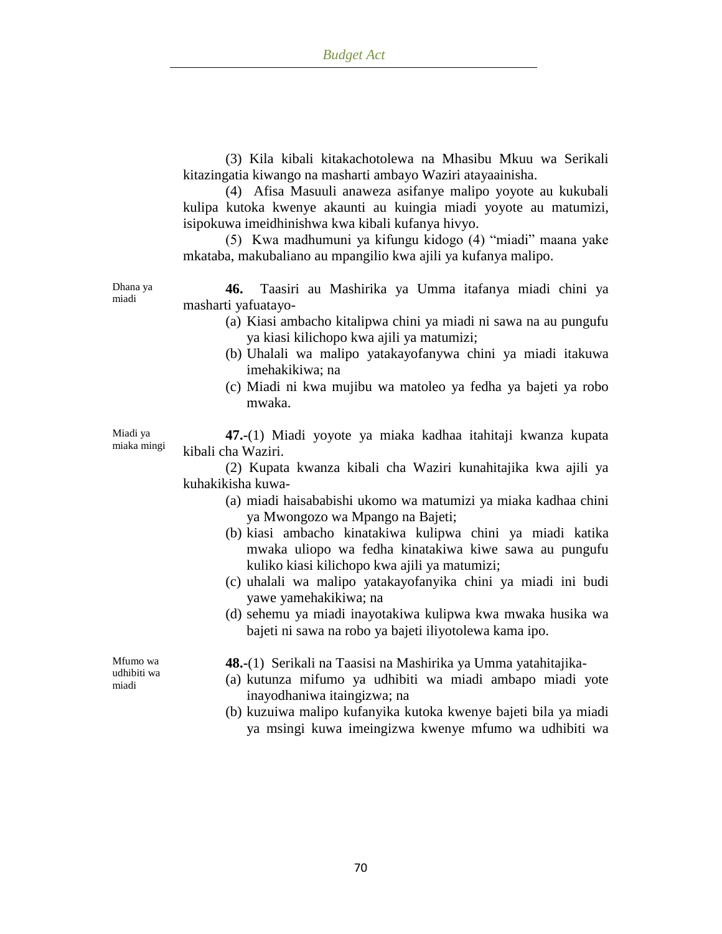(3) Kila kibali kitakachotolewa na Mhasibu Mkuu wa Serikali kitazingatia kiwango na masharti ambayo Waziri atayaainisha.

(4) Afisa Masuuli anaweza asifanye malipo yoyote au kukubali kulipa kutoka kwenye akaunti au kuingia miadi yoyote au matumizi, isipokuwa imeidhinishwa kwa kibali kufanya hivyo.

(5) Kwa madhumuni ya kifungu kidogo (4) "miadi" maana yake mkataba, makubaliano au mpangilio kwa ajili ya kufanya malipo.

**46.** Taasiri au Mashirika ya Umma itafanya miadi chini ya masharti yafuatayo-

- (a) Kiasi ambacho kitalipwa chini ya miadi ni sawa na au pungufu ya kiasi kilichopo kwa ajili ya matumizi;
- (b) Uhalali wa malipo yatakayofanywa chini ya miadi itakuwa imehakikiwa; na
- (c) Miadi ni kwa mujibu wa matoleo ya fedha ya bajeti ya robo mwaka.

Miadi ya miaka mingi

Dhana ya miadi

> **47.-**(1) Miadi yoyote ya miaka kadhaa itahitaji kwanza kupata kibali cha Waziri.

> (2) Kupata kwanza kibali cha Waziri kunahitajika kwa ajili ya kuhakikisha kuwa-

- (a) miadi haisababishi ukomo wa matumizi ya miaka kadhaa chini ya Mwongozo wa Mpango na Bajeti;
- (b) kiasi ambacho kinatakiwa kulipwa chini ya miadi katika mwaka uliopo wa fedha kinatakiwa kiwe sawa au pungufu kuliko kiasi kilichopo kwa ajili ya matumizi;
- (c) uhalali wa malipo yatakayofanyika chini ya miadi ini budi yawe yamehakikiwa; na
- (d) sehemu ya miadi inayotakiwa kulipwa kwa mwaka husika wa bajeti ni sawa na robo ya bajeti iliyotolewa kama ipo.

**48.-**(1) Serikali na Taasisi na Mashirika ya Umma yatahitajika-

- (a) kutunza mifumo ya udhibiti wa miadi ambapo miadi yote inayodhaniwa itaingizwa; na
- (b) kuzuiwa malipo kufanyika kutoka kwenye bajeti bila ya miadi ya msingi kuwa imeingizwa kwenye mfumo wa udhibiti wa

Mfumo wa udhibiti wa miadi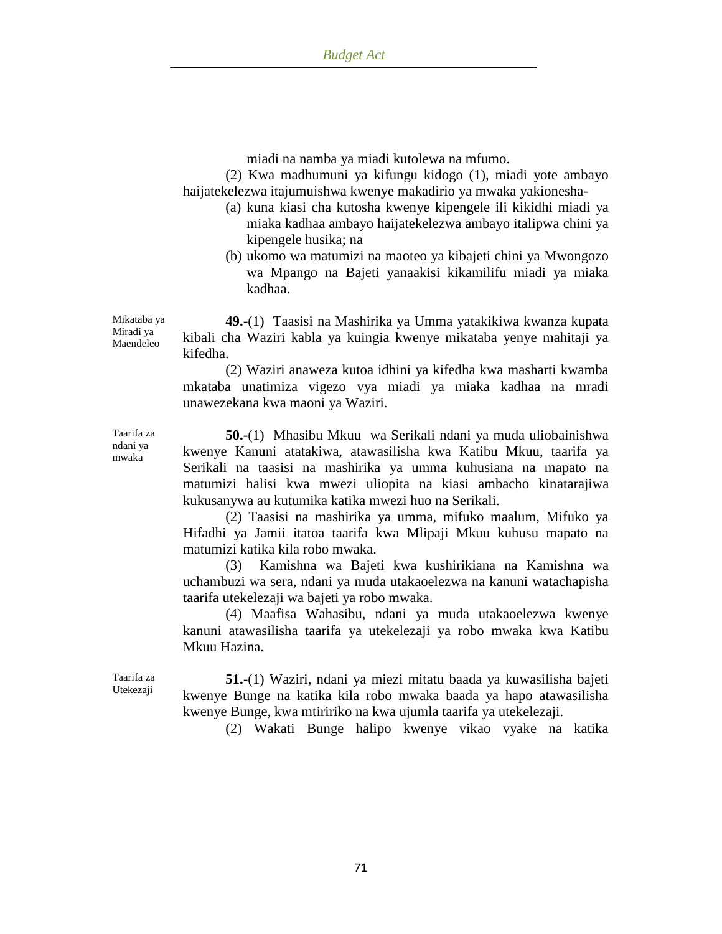miadi na namba ya miadi kutolewa na mfumo.

(2) Kwa madhumuni ya kifungu kidogo (1), miadi yote ambayo haijatekelezwa itajumuishwa kwenye makadirio ya mwaka yakionesha-

- (a) kuna kiasi cha kutosha kwenye kipengele ili kikidhi miadi ya miaka kadhaa ambayo haijatekelezwa ambayo italipwa chini ya kipengele husika; na
- (b) ukomo wa matumizi na maoteo ya kibajeti chini ya Mwongozo wa Mpango na Bajeti yanaakisi kikamilifu miadi ya miaka kadhaa.

**49.-**(1) Taasisi na Mashirika ya Umma yatakikiwa kwanza kupata kibali cha Waziri kabla ya kuingia kwenye mikataba yenye mahitaji ya kifedha.

(2) Waziri anaweza kutoa idhini ya kifedha kwa masharti kwamba mkataba unatimiza vigezo vya miadi ya miaka kadhaa na mradi unawezekana kwa maoni ya Waziri.

**50.-**(1) Mhasibu Mkuu wa Serikali ndani ya muda uliobainishwa kwenye Kanuni atatakiwa, atawasilisha kwa Katibu Mkuu, taarifa ya Serikali na taasisi na mashirika ya umma kuhusiana na mapato na matumizi halisi kwa mwezi uliopita na kiasi ambacho kinatarajiwa kukusanywa au kutumika katika mwezi huo na Serikali.

(2) Taasisi na mashirika ya umma, mifuko maalum, Mifuko ya Hifadhi ya Jamii itatoa taarifa kwa Mlipaji Mkuu kuhusu mapato na matumizi katika kila robo mwaka.

(3) Kamishna wa Bajeti kwa kushirikiana na Kamishna wa uchambuzi wa sera, ndani ya muda utakaoelezwa na kanuni watachapisha taarifa utekelezaji wa bajeti ya robo mwaka.

(4) Maafisa Wahasibu, ndani ya muda utakaoelezwa kwenye kanuni atawasilisha taarifa ya utekelezaji ya robo mwaka kwa Katibu Mkuu Hazina.

Taarifa za Utekezaji

**51.-**(1) Waziri, ndani ya miezi mitatu baada ya kuwasilisha bajeti kwenye Bunge na katika kila robo mwaka baada ya hapo atawasilisha kwenye Bunge, kwa mtiririko na kwa ujumla taarifa ya utekelezaji.

(2) Wakati Bunge halipo kwenye vikao vyake na katika

Mikataba ya Miradi ya Maendeleo

Taarifa za ndani ya mwaka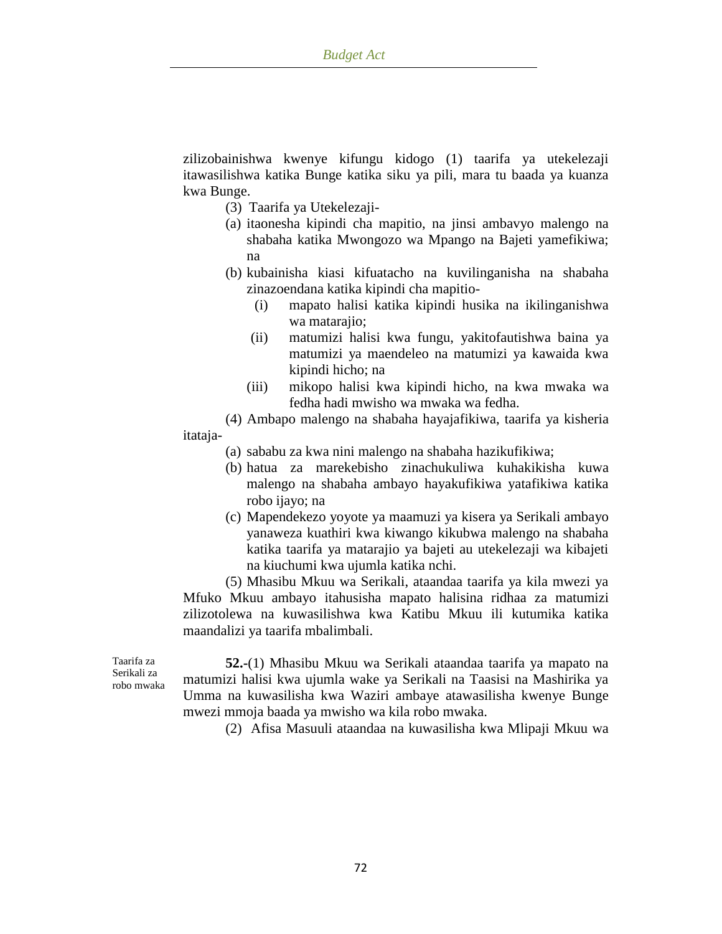zilizobainishwa kwenye kifungu kidogo (1) taarifa ya utekelezaji itawasilishwa katika Bunge katika siku ya pili, mara tu baada ya kuanza kwa Bunge.

- (3) Taarifa ya Utekelezaji-
- (a) itaonesha kipindi cha mapitio, na jinsi ambavyo malengo na shabaha katika Mwongozo wa Mpango na Bajeti yamefikiwa; na
- (b) kubainisha kiasi kifuatacho na kuvilinganisha na shabaha zinazoendana katika kipindi cha mapitio-
	- (i) mapato halisi katika kipindi husika na ikilinganishwa wa matarajio;
	- (ii) matumizi halisi kwa fungu, yakitofautishwa baina ya matumizi ya maendeleo na matumizi ya kawaida kwa kipindi hicho; na
	- (iii) mikopo halisi kwa kipindi hicho, na kwa mwaka wa fedha hadi mwisho wa mwaka wa fedha.

(4) Ambapo malengo na shabaha hayajafikiwa, taarifa ya kisheria itataja-

- (a) sababu za kwa nini malengo na shabaha hazikufikiwa;
- (b) hatua za marekebisho zinachukuliwa kuhakikisha kuwa malengo na shabaha ambayo hayakufikiwa yatafikiwa katika robo ijayo; na
- (c) Mapendekezo yoyote ya maamuzi ya kisera ya Serikali ambayo yanaweza kuathiri kwa kiwango kikubwa malengo na shabaha katika taarifa ya matarajio ya bajeti au utekelezaji wa kibajeti na kiuchumi kwa ujumla katika nchi.

(5) Mhasibu Mkuu wa Serikali, ataandaa taarifa ya kila mwezi ya Mfuko Mkuu ambayo itahusisha mapato halisina ridhaa za matumizi zilizotolewa na kuwasilishwa kwa Katibu Mkuu ili kutumika katika maandalizi ya taarifa mbalimbali.

Taarifa za Serikali za robo mwaka

**52.-**(1) Mhasibu Mkuu wa Serikali ataandaa taarifa ya mapato na matumizi halisi kwa ujumla wake ya Serikali na Taasisi na Mashirika ya Umma na kuwasilisha kwa Waziri ambaye atawasilisha kwenye Bunge mwezi mmoja baada ya mwisho wa kila robo mwaka.

(2) Afisa Masuuli ataandaa na kuwasilisha kwa Mlipaji Mkuu wa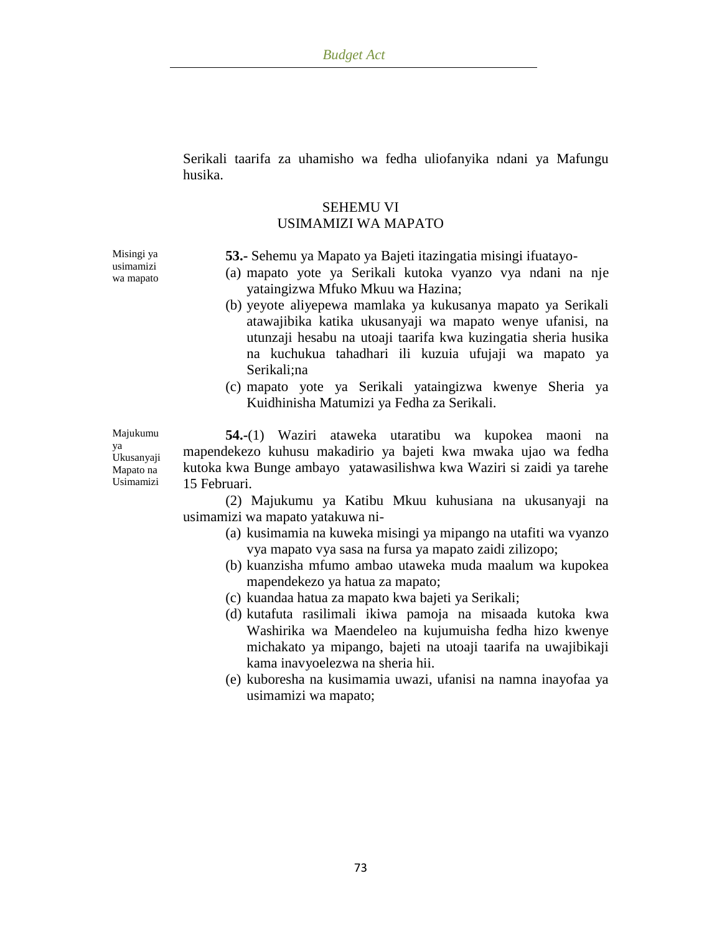Serikali taarifa za uhamisho wa fedha uliofanyika ndani ya Mafungu husika.

## SEHEMU VI USIMAMIZI WA MAPATO

Misingi ya usimamizi wa mapato

ya

- **53.-** Sehemu ya Mapato ya Bajeti itazingatia misingi ifuatayo-
- (a) mapato yote ya Serikali kutoka vyanzo vya ndani na nje yataingizwa Mfuko Mkuu wa Hazina;
- (b) yeyote aliyepewa mamlaka ya kukusanya mapato ya Serikali atawajibika katika ukusanyaji wa mapato wenye ufanisi, na utunzaji hesabu na utoaji taarifa kwa kuzingatia sheria husika na kuchukua tahadhari ili kuzuia ufujaji wa mapato ya Serikali;na
- (c) mapato yote ya Serikali yataingizwa kwenye Sheria ya Kuidhinisha Matumizi ya Fedha za Serikali.

Majukumu Ukusanyaji Mapato na Usimamizi **54.-**(1) Waziri ataweka utaratibu wa kupokea maoni na mapendekezo kuhusu makadirio ya bajeti kwa mwaka ujao wa fedha kutoka kwa Bunge ambayo yatawasilishwa kwa Waziri si zaidi ya tarehe 15 Februari.

> (2) Majukumu ya Katibu Mkuu kuhusiana na ukusanyaji na usimamizi wa mapato yatakuwa ni-

- (a) kusimamia na kuweka misingi ya mipango na utafiti wa vyanzo vya mapato vya sasa na fursa ya mapato zaidi zilizopo;
- (b) kuanzisha mfumo ambao utaweka muda maalum wa kupokea mapendekezo ya hatua za mapato;
- (c) kuandaa hatua za mapato kwa bajeti ya Serikali;
- (d) kutafuta rasilimali ikiwa pamoja na misaada kutoka kwa Washirika wa Maendeleo na kujumuisha fedha hizo kwenye michakato ya mipango, bajeti na utoaji taarifa na uwajibikaji kama inavyoelezwa na sheria hii.
- (e) kuboresha na kusimamia uwazi, ufanisi na namna inayofaa ya usimamizi wa mapato;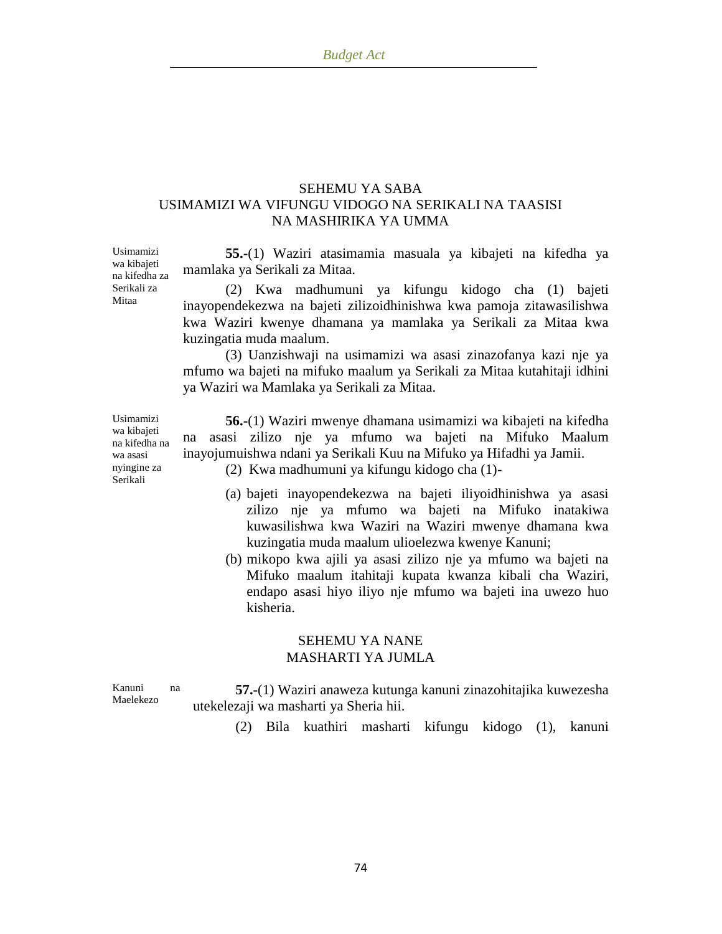## SEHEMU YA SABA USIMAMIZI WA VIFUNGU VIDOGO NA SERIKALI NA TAASISI NA MASHIRIKA YA UMMA

**55.-**(1) Waziri atasimamia masuala ya kibajeti na kifedha ya mamlaka ya Serikali za Mitaa.

(2) Kwa madhumuni ya kifungu kidogo cha (1) bajeti inayopendekezwa na bajeti zilizoidhinishwa kwa pamoja zitawasilishwa kwa Waziri kwenye dhamana ya mamlaka ya Serikali za Mitaa kwa kuzingatia muda maalum.

(3) Uanzishwaji na usimamizi wa asasi zinazofanya kazi nje ya mfumo wa bajeti na mifuko maalum ya Serikali za Mitaa kutahitaji idhini ya Waziri wa Mamlaka ya Serikali za Mitaa.

Usimamizi wa kibajeti na kifedha na wa asasi nyingine za Serikali

Usimamizi wa kibajeti na kifedha za Serikali za Mitaa

> **56.-**(1) Waziri mwenye dhamana usimamizi wa kibajeti na kifedha na asasi zilizo nje ya mfumo wa bajeti na Mifuko Maalum inayojumuishwa ndani ya Serikali Kuu na Mifuko ya Hifadhi ya Jamii.

(2) Kwa madhumuni ya kifungu kidogo cha (1)-

- (a) bajeti inayopendekezwa na bajeti iliyoidhinishwa ya asasi zilizo nje ya mfumo wa bajeti na Mifuko inatakiwa kuwasilishwa kwa Waziri na Waziri mwenye dhamana kwa kuzingatia muda maalum ulioelezwa kwenye Kanuni;
- (b) mikopo kwa ajili ya asasi zilizo nje ya mfumo wa bajeti na Mifuko maalum itahitaji kupata kwanza kibali cha Waziri, endapo asasi hiyo iliyo nje mfumo wa bajeti ina uwezo huo kisheria.

## SEHEMU YA NANE MASHARTI YA JUMLA

Kanuni na Maelekezo

**57.-**(1) Waziri anaweza kutunga kanuni zinazohitajika kuwezesha utekelezaji wa masharti ya Sheria hii.

(2) Bila kuathiri masharti kifungu kidogo (1), kanuni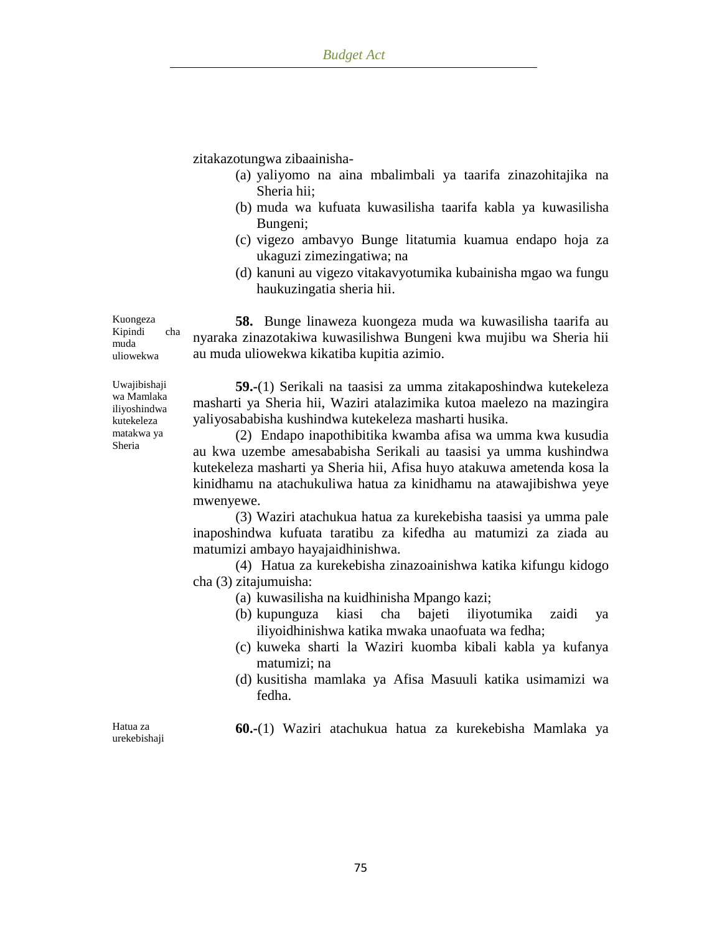zitakazotungwa zibaainisha-

- (a) yaliyomo na aina mbalimbali ya taarifa zinazohitajika na Sheria hii;
- (b) muda wa kufuata kuwasilisha taarifa kabla ya kuwasilisha Bungeni;
- (c) vigezo ambavyo Bunge litatumia kuamua endapo hoja za ukaguzi zimezingatiwa; na
- (d) kanuni au vigezo vitakavyotumika kubainisha mgao wa fungu haukuzingatia sheria hii.

**58.** Bunge linaweza kuongeza muda wa kuwasilisha taarifa au nyaraka zinazotakiwa kuwasilishwa Bungeni kwa mujibu wa Sheria hii au muda uliowekwa kikatiba kupitia azimio.

**59.-**(1) Serikali na taasisi za umma zitakaposhindwa kutekeleza masharti ya Sheria hii, Waziri atalazimika kutoa maelezo na mazingira yaliyosababisha kushindwa kutekeleza masharti husika.

(2) Endapo inapothibitika kwamba afisa wa umma kwa kusudia au kwa uzembe amesababisha Serikali au taasisi ya umma kushindwa kutekeleza masharti ya Sheria hii, Afisa huyo atakuwa ametenda kosa la kinidhamu na atachukuliwa hatua za kinidhamu na atawajibishwa yeye mwenyewe.

(3) Waziri atachukua hatua za kurekebisha taasisi ya umma pale inaposhindwa kufuata taratibu za kifedha au matumizi za ziada au matumizi ambayo hayajaidhinishwa.

(4) Hatua za kurekebisha zinazoainishwa katika kifungu kidogo cha (3) zitajumuisha:

- (a) kuwasilisha na kuidhinisha Mpango kazi;
- (b) kupunguza kiasi cha bajeti iliyotumika zaidi ya iliyoidhinishwa katika mwaka unaofuata wa fedha;
- (c) kuweka sharti la Waziri kuomba kibali kabla ya kufanya matumizi; na
- (d) kusitisha mamlaka ya Afisa Masuuli katika usimamizi wa fedha.

**60.-**(1) Waziri atachukua hatua za kurekebisha Mamlaka ya

Hatua za urekebishaji

Kuongeza Kipindi cha muda uliowekwa

Uwajibishaji wa Mamlaka iliyoshindwa kutekeleza matakwa ya Sheria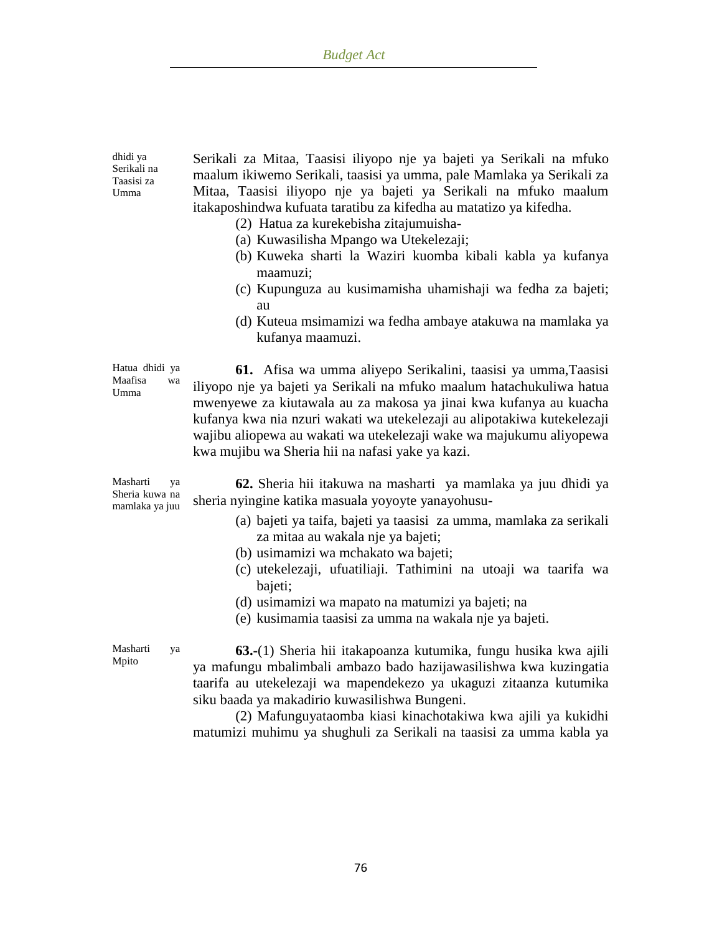| dhidi ya<br>Serikali na<br>Taasisi za<br>Umma      | Serikali za Mitaa, Taasisi iliyopo nje ya bajeti ya Serikali na mfuko<br>maalum ikiwemo Serikali, taasisi ya umma, pale Mamlaka ya Serikali za<br>Mitaa, Taasisi iliyopo nje ya bajeti ya Serikali na mfuko maalum<br>itakaposhindwa kufuata taratibu za kifedha au matatizo ya kifedha.<br>(2) Hatua za kurekebisha zitajumuisha-<br>(a) Kuwasilisha Mpango wa Utekelezaji;<br>(b) Kuweka sharti la Waziri kuomba kibali kabla ya kufanya<br>maamuzi;<br>(c) Kupunguza au kusimamisha uhamishaji wa fedha za bajeti;<br>au<br>(d) Kuteua msimamizi wa fedha ambaye atakuwa na mamlaka ya<br>kufanya maamuzi. |
|----------------------------------------------------|---------------------------------------------------------------------------------------------------------------------------------------------------------------------------------------------------------------------------------------------------------------------------------------------------------------------------------------------------------------------------------------------------------------------------------------------------------------------------------------------------------------------------------------------------------------------------------------------------------------|
| Hatua dhidi ya<br>Maafisa<br>wa<br>Umma            | 61. Afisa wa umma aliyepo Serikalini, taasisi ya umma, Taasisi<br>iliyopo nje ya bajeti ya Serikali na mfuko maalum hatachukuliwa hatua<br>mwenyewe za kiutawala au za makosa ya jinai kwa kufanya au kuacha<br>kufanya kwa nia nzuri wakati wa utekelezaji au alipotakiwa kutekelezaji<br>wajibu aliopewa au wakati wa utekelezaji wake wa majukumu aliyopewa<br>kwa mujibu wa Sheria hii na nafasi yake ya kazi.                                                                                                                                                                                            |
| Masharti<br>ya<br>Sheria kuwa na<br>mamlaka ya juu | 62. Sheria hii itakuwa na masharti ya mamlaka ya juu dhidi ya<br>sheria nyingine katika masuala yoyoyte yanayohusu-<br>(a) bajeti ya taifa, bajeti ya taasisi za umma, mamlaka za serikali<br>za mitaa au wakala nje ya bajeti;<br>(b) usimamizi wa mchakato wa bajeti;<br>(c) utekelezaji, ufuatiliaji. Tathimini na utoaji wa taarifa wa<br>bajeti;<br>(d) usimamizi wa mapato na matumizi ya bajeti; na<br>(e) kusimamia taasisi za umma na wakala nje ya bajeti.                                                                                                                                          |
| Masharti<br>ya<br>Mpito                            | 63.-(1) Sheria hii itakapoanza kutumika, fungu husika kwa ajili<br>ya mafungu mbalimbali ambazo bado hazijawasilishwa kwa kuzingatia<br>taarifa au utekelezaji wa mapendekezo ya ukaguzi zitaanza kutumika<br>siku baada ya makadirio kuwasilishwa Bungeni.<br>the contract of the contract of the contract of the contract of the contract of the contract of the contract of<br>$\sqrt{2}$                                                                                                                                                                                                                  |

(2) Mafunguyataomba kiasi kinachotakiwa kwa ajili ya kukidhi matumizi muhimu ya shughuli za Serikali na taasisi za umma kabla ya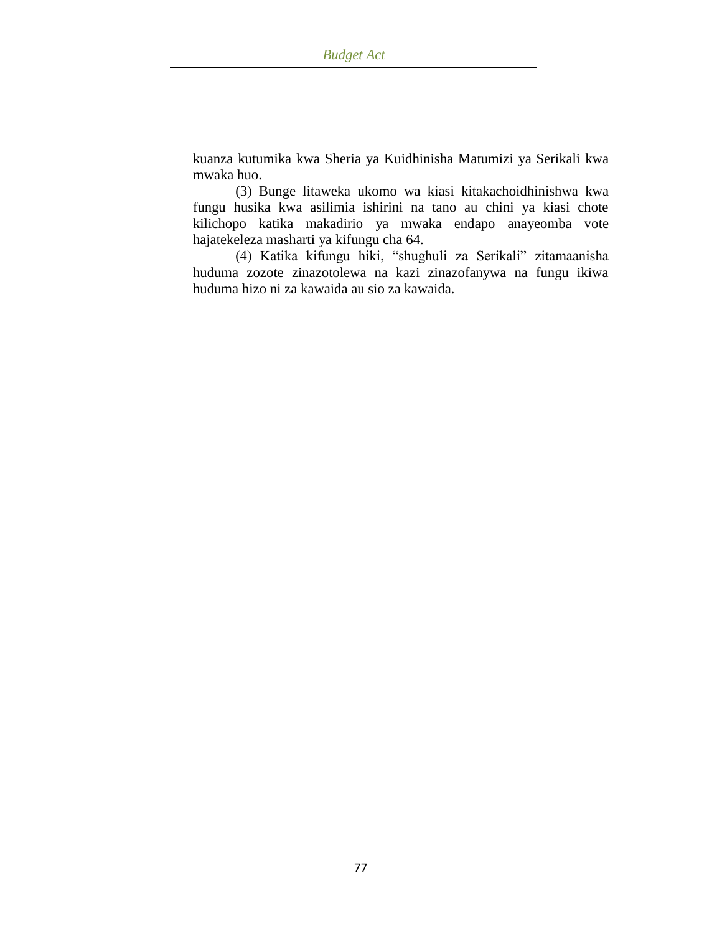kuanza kutumika kwa Sheria ya Kuidhinisha Matumizi ya Serikali kwa mwaka huo.

(3) Bunge litaweka ukomo wa kiasi kitakachoidhinishwa kwa fungu husika kwa asilimia ishirini na tano au chini ya kiasi chote kilichopo katika makadirio ya mwaka endapo anayeomba vote hajatekeleza masharti ya kifungu cha 64.

(4) Katika kifungu hiki, "shughuli za Serikali" zitamaanisha huduma zozote zinazotolewa na kazi zinazofanywa na fungu ikiwa huduma hizo ni za kawaida au sio za kawaida.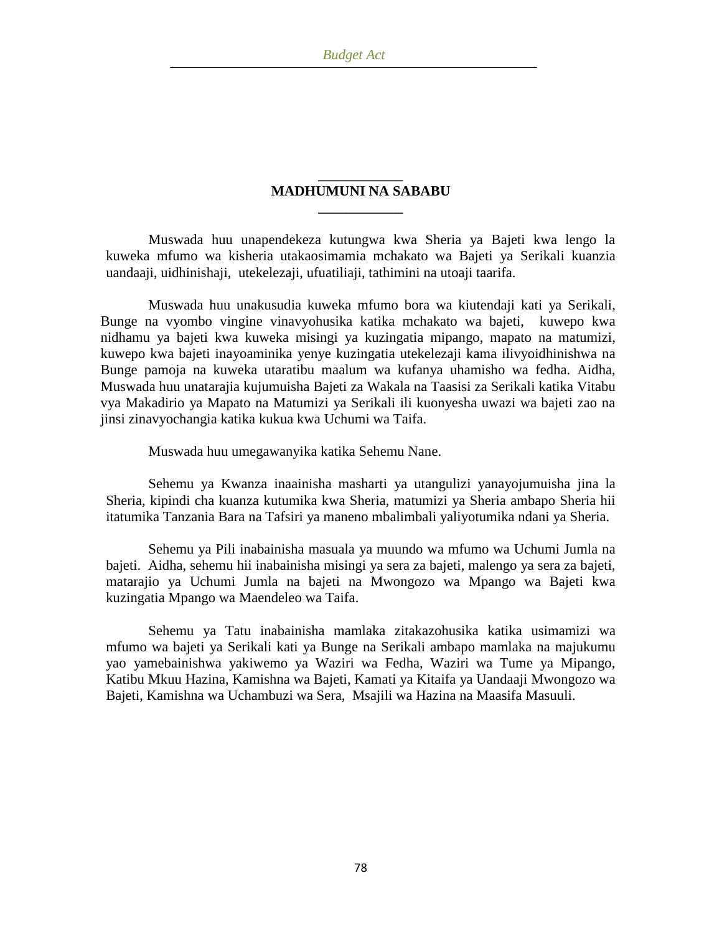## **\_\_\_\_\_\_\_\_\_\_\_\_ MADHUMUNI NA SABABU \_\_\_\_\_\_\_\_\_\_\_\_**

Muswada huu unapendekeza kutungwa kwa Sheria ya Bajeti kwa lengo la kuweka mfumo wa kisheria utakaosimamia mchakato wa Bajeti ya Serikali kuanzia uandaaji, uidhinishaji, utekelezaji, ufuatiliaji, tathimini na utoaji taarifa.

Muswada huu unakusudia kuweka mfumo bora wa kiutendaji kati ya Serikali, Bunge na vyombo vingine vinavyohusika katika mchakato wa bajeti, kuwepo kwa nidhamu ya bajeti kwa kuweka misingi ya kuzingatia mipango, mapato na matumizi, kuwepo kwa bajeti inayoaminika yenye kuzingatia utekelezaji kama ilivyoidhinishwa na Bunge pamoja na kuweka utaratibu maalum wa kufanya uhamisho wa fedha. Aidha, Muswada huu unatarajia kujumuisha Bajeti za Wakala na Taasisi za Serikali katika Vitabu vya Makadirio ya Mapato na Matumizi ya Serikali ili kuonyesha uwazi wa bajeti zao na jinsi zinavyochangia katika kukua kwa Uchumi wa Taifa.

Muswada huu umegawanyika katika Sehemu Nane.

Sehemu ya Kwanza inaainisha masharti ya utangulizi yanayojumuisha jina la Sheria, kipindi cha kuanza kutumika kwa Sheria, matumizi ya Sheria ambapo Sheria hii itatumika Tanzania Bara na Tafsiri ya maneno mbalimbali yaliyotumika ndani ya Sheria.

Sehemu ya Pili inabainisha masuala ya muundo wa mfumo wa Uchumi Jumla na bajeti. Aidha, sehemu hii inabainisha misingi ya sera za bajeti, malengo ya sera za bajeti, matarajio ya Uchumi Jumla na bajeti na Mwongozo wa Mpango wa Bajeti kwa kuzingatia Mpango wa Maendeleo wa Taifa.

Sehemu ya Tatu inabainisha mamlaka zitakazohusika katika usimamizi wa mfumo wa bajeti ya Serikali kati ya Bunge na Serikali ambapo mamlaka na majukumu yao yamebainishwa yakiwemo ya Waziri wa Fedha, Waziri wa Tume ya Mipango, Katibu Mkuu Hazina, Kamishna wa Bajeti, Kamati ya Kitaifa ya Uandaaji Mwongozo wa Bajeti, Kamishna wa Uchambuzi wa Sera, Msajili wa Hazina na Maasifa Masuuli.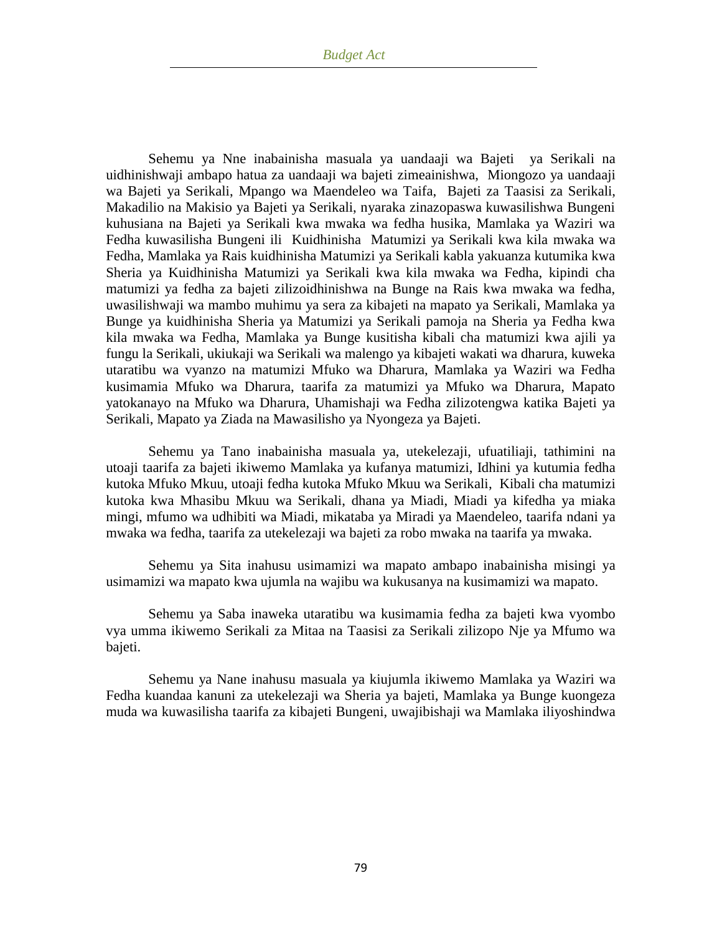Sehemu ya Nne inabainisha masuala ya uandaaji wa Bajeti ya Serikali na uidhinishwaji ambapo hatua za uandaaji wa bajeti zimeainishwa, Miongozo ya uandaaji wa Bajeti ya Serikali, Mpango wa Maendeleo wa Taifa, Bajeti za Taasisi za Serikali, Makadilio na Makisio ya Bajeti ya Serikali, nyaraka zinazopaswa kuwasilishwa Bungeni kuhusiana na Bajeti ya Serikali kwa mwaka wa fedha husika, Mamlaka ya Waziri wa Fedha kuwasilisha Bungeni ili Kuidhinisha Matumizi ya Serikali kwa kila mwaka wa Fedha, Mamlaka ya Rais kuidhinisha Matumizi ya Serikali kabla yakuanza kutumika kwa Sheria ya Kuidhinisha Matumizi ya Serikali kwa kila mwaka wa Fedha, kipindi cha matumizi ya fedha za bajeti zilizoidhinishwa na Bunge na Rais kwa mwaka wa fedha, uwasilishwaji wa mambo muhimu ya sera za kibajeti na mapato ya Serikali, Mamlaka ya Bunge ya kuidhinisha Sheria ya Matumizi ya Serikali pamoja na Sheria ya Fedha kwa kila mwaka wa Fedha, Mamlaka ya Bunge kusitisha kibali cha matumizi kwa ajili ya fungu la Serikali, ukiukaji wa Serikali wa malengo ya kibajeti wakati wa dharura, kuweka utaratibu wa vyanzo na matumizi Mfuko wa Dharura, Mamlaka ya Waziri wa Fedha kusimamia Mfuko wa Dharura, taarifa za matumizi ya Mfuko wa Dharura, Mapato yatokanayo na Mfuko wa Dharura, Uhamishaji wa Fedha zilizotengwa katika Bajeti ya Serikali, Mapato ya Ziada na Mawasilisho ya Nyongeza ya Bajeti.

Sehemu ya Tano inabainisha masuala ya, utekelezaji, ufuatiliaji, tathimini na utoaji taarifa za bajeti ikiwemo Mamlaka ya kufanya matumizi, Idhini ya kutumia fedha kutoka Mfuko Mkuu, utoaji fedha kutoka Mfuko Mkuu wa Serikali, Kibali cha matumizi kutoka kwa Mhasibu Mkuu wa Serikali, dhana ya Miadi, Miadi ya kifedha ya miaka mingi, mfumo wa udhibiti wa Miadi, mikataba ya Miradi ya Maendeleo, taarifa ndani ya mwaka wa fedha, taarifa za utekelezaji wa bajeti za robo mwaka na taarifa ya mwaka.

Sehemu ya Sita inahusu usimamizi wa mapato ambapo inabainisha misingi ya usimamizi wa mapato kwa ujumla na wajibu wa kukusanya na kusimamizi wa mapato.

Sehemu ya Saba inaweka utaratibu wa kusimamia fedha za bajeti kwa vyombo vya umma ikiwemo Serikali za Mitaa na Taasisi za Serikali zilizopo Nje ya Mfumo wa bajeti.

Sehemu ya Nane inahusu masuala ya kiujumla ikiwemo Mamlaka ya Waziri wa Fedha kuandaa kanuni za utekelezaji wa Sheria ya bajeti, Mamlaka ya Bunge kuongeza muda wa kuwasilisha taarifa za kibajeti Bungeni, uwajibishaji wa Mamlaka iliyoshindwa